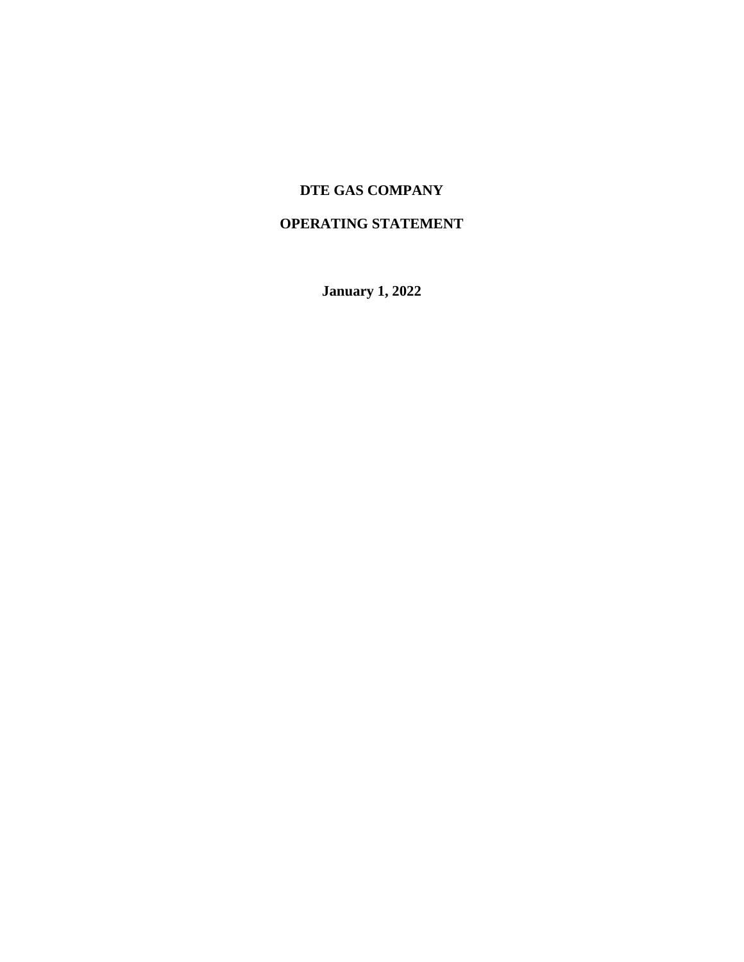# **DTE GAS COMPANY**

# **OPERATING STATEMENT**

**January 1, 2022**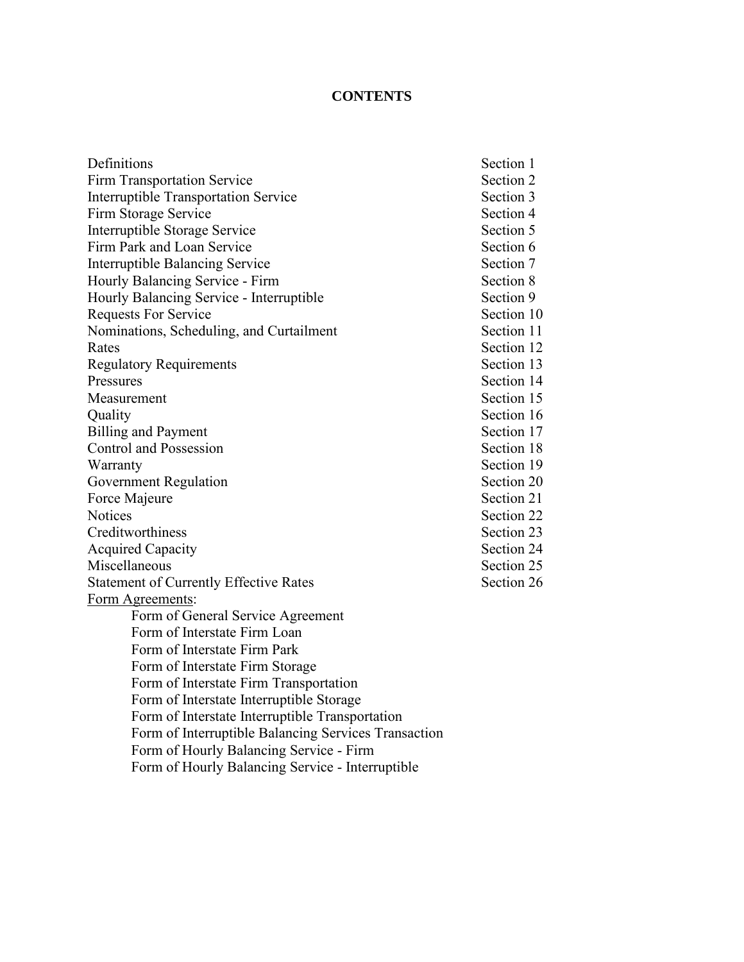# **CONTENTS**

| Definitions                                                 | Section 1  |
|-------------------------------------------------------------|------------|
| <b>Firm Transportation Service</b>                          | Section 2  |
| <b>Interruptible Transportation Service</b>                 | Section 3  |
| Firm Storage Service                                        | Section 4  |
| Interruptible Storage Service                               | Section 5  |
| Firm Park and Loan Service                                  | Section 6  |
| <b>Interruptible Balancing Service</b>                      | Section 7  |
| Hourly Balancing Service - Firm                             | Section 8  |
| Hourly Balancing Service - Interruptible                    | Section 9  |
| <b>Requests For Service</b>                                 | Section 10 |
| Nominations, Scheduling, and Curtailment                    | Section 11 |
| Rates                                                       | Section 12 |
| <b>Regulatory Requirements</b>                              | Section 13 |
| Pressures                                                   | Section 14 |
| Measurement                                                 | Section 15 |
| Quality                                                     | Section 16 |
| <b>Billing and Payment</b>                                  | Section 17 |
| <b>Control and Possession</b>                               | Section 18 |
| Warranty                                                    | Section 19 |
| Government Regulation                                       | Section 20 |
| Force Majeure                                               | Section 21 |
| <b>Notices</b>                                              | Section 22 |
| Creditworthiness                                            | Section 23 |
| <b>Acquired Capacity</b>                                    | Section 24 |
| Miscellaneous                                               | Section 25 |
| <b>Statement of Currently Effective Rates</b>               | Section 26 |
| Form Agreements:                                            |            |
| Form of General Service Agreement                           |            |
| Form of Interstate Firm Loan                                |            |
| Form of Interstate Firm Park                                |            |
| Form of Interstate Firm Storage                             |            |
| Form of Interstate Firm Transportation                      |            |
| Form of Interstate Interruptible Storage                    |            |
| Form of Interstate Interruptible Transportation             |            |
| Form of Interruptible Balancing Services Transaction        |            |
| Form of Hourly Balancing Service - Firm                     |            |
| $E_{\text{Gauss}}$ of Houghy Dolomoing Souries Intermediate |            |

Form of Hourly Balancing Service - Interruptible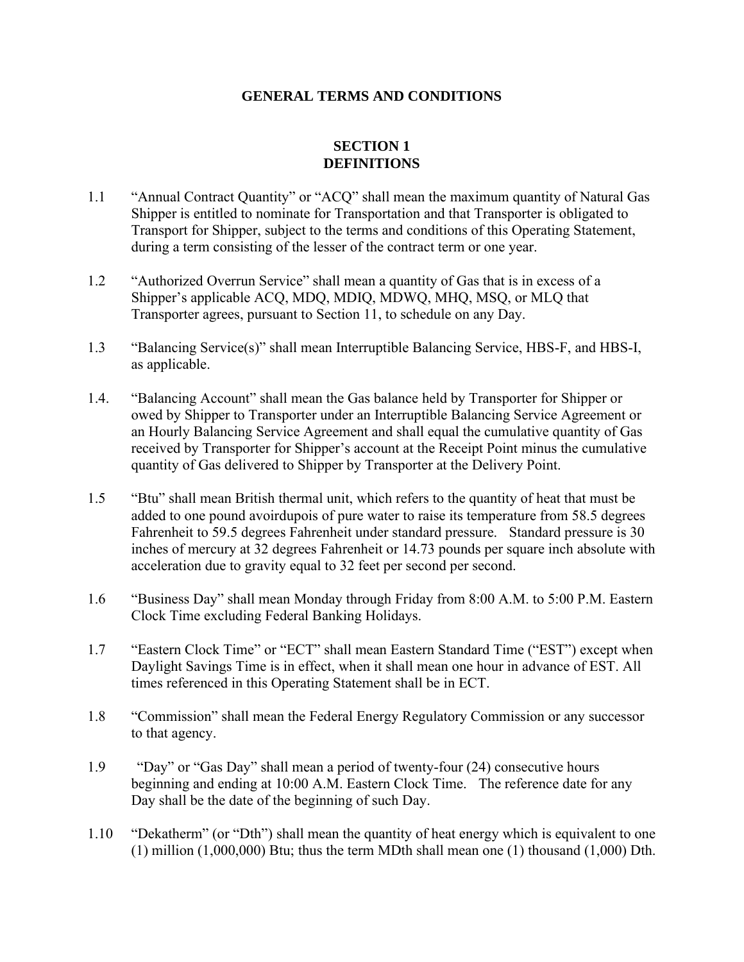### **GENERAL TERMS AND CONDITIONS**

## **SECTION 1 DEFINITIONS**

- 1.1 "Annual Contract Quantity" or "ACQ" shall mean the maximum quantity of Natural Gas Shipper is entitled to nominate for Transportation and that Transporter is obligated to Transport for Shipper, subject to the terms and conditions of this Operating Statement, during a term consisting of the lesser of the contract term or one year.
- 1.2 "Authorized Overrun Service" shall mean a quantity of Gas that is in excess of a Shipper's applicable ACQ, MDQ, MDIQ, MDWQ, MHQ, MSQ, or MLQ that Transporter agrees, pursuant to Section 11, to schedule on any Day.
- 1.3 "Balancing Service(s)" shall mean Interruptible Balancing Service, HBS-F, and HBS-I, as applicable.
- 1.4. "Balancing Account" shall mean the Gas balance held by Transporter for Shipper or owed by Shipper to Transporter under an Interruptible Balancing Service Agreement or an Hourly Balancing Service Agreement and shall equal the cumulative quantity of Gas received by Transporter for Shipper's account at the Receipt Point minus the cumulative quantity of Gas delivered to Shipper by Transporter at the Delivery Point.
- 1.5 "Btu" shall mean British thermal unit, which refers to the quantity of heat that must be added to one pound avoirdupois of pure water to raise its temperature from 58.5 degrees Fahrenheit to 59.5 degrees Fahrenheit under standard pressure. Standard pressure is 30 inches of mercury at 32 degrees Fahrenheit or 14.73 pounds per square inch absolute with acceleration due to gravity equal to 32 feet per second per second.
- 1.6 "Business Day" shall mean Monday through Friday from 8:00 A.M. to 5:00 P.M. Eastern Clock Time excluding Federal Banking Holidays.
- 1.7 "Eastern Clock Time" or "ECT" shall mean Eastern Standard Time ("EST") except when Daylight Savings Time is in effect, when it shall mean one hour in advance of EST. All times referenced in this Operating Statement shall be in ECT.
- 1.8 "Commission" shall mean the Federal Energy Regulatory Commission or any successor to that agency.
- 1.9 "Day" or "Gas Day" shall mean a period of twenty-four (24) consecutive hours beginning and ending at 10:00 A.M. Eastern Clock Time. The reference date for any Day shall be the date of the beginning of such Day.
- 1.10 "Dekatherm" (or "Dth") shall mean the quantity of heat energy which is equivalent to one (1) million (1,000,000) Btu; thus the term MDth shall mean one (1) thousand (1,000) Dth.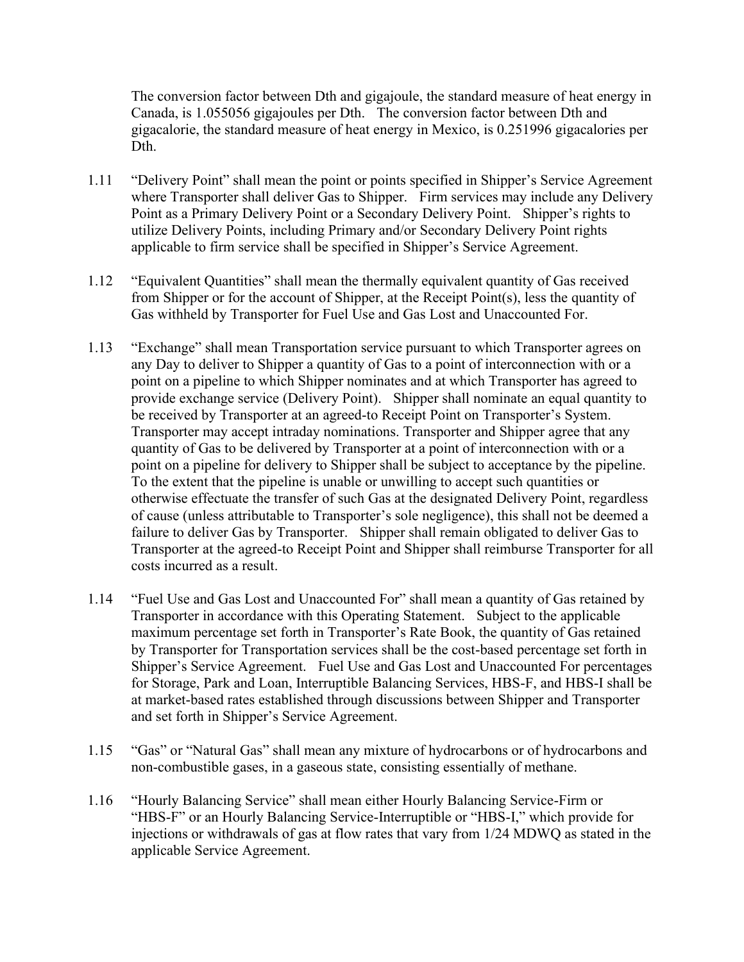The conversion factor between Dth and gigajoule, the standard measure of heat energy in Canada, is 1.055056 gigajoules per Dth. The conversion factor between Dth and gigacalorie, the standard measure of heat energy in Mexico, is 0.251996 gigacalories per Dth.

- 1.11 "Delivery Point" shall mean the point or points specified in Shipper's Service Agreement where Transporter shall deliver Gas to Shipper. Firm services may include any Delivery Point as a Primary Delivery Point or a Secondary Delivery Point. Shipper's rights to utilize Delivery Points, including Primary and/or Secondary Delivery Point rights applicable to firm service shall be specified in Shipper's Service Agreement.
- 1.12 "Equivalent Quantities" shall mean the thermally equivalent quantity of Gas received from Shipper or for the account of Shipper, at the Receipt Point(s), less the quantity of Gas withheld by Transporter for Fuel Use and Gas Lost and Unaccounted For.
- 1.13 "Exchange" shall mean Transportation service pursuant to which Transporter agrees on any Day to deliver to Shipper a quantity of Gas to a point of interconnection with or a point on a pipeline to which Shipper nominates and at which Transporter has agreed to provide exchange service (Delivery Point). Shipper shall nominate an equal quantity to be received by Transporter at an agreed-to Receipt Point on Transporter's System. Transporter may accept intraday nominations. Transporter and Shipper agree that any quantity of Gas to be delivered by Transporter at a point of interconnection with or a point on a pipeline for delivery to Shipper shall be subject to acceptance by the pipeline. To the extent that the pipeline is unable or unwilling to accept such quantities or otherwise effectuate the transfer of such Gas at the designated Delivery Point, regardless of cause (unless attributable to Transporter's sole negligence), this shall not be deemed a failure to deliver Gas by Transporter. Shipper shall remain obligated to deliver Gas to Transporter at the agreed-to Receipt Point and Shipper shall reimburse Transporter for all costs incurred as a result.
- 1.14 "Fuel Use and Gas Lost and Unaccounted For" shall mean a quantity of Gas retained by Transporter in accordance with this Operating Statement. Subject to the applicable maximum percentage set forth in Transporter's Rate Book, the quantity of Gas retained by Transporter for Transportation services shall be the cost-based percentage set forth in Shipper's Service Agreement. Fuel Use and Gas Lost and Unaccounted For percentages for Storage, Park and Loan, Interruptible Balancing Services, HBS-F, and HBS-I shall be at market-based rates established through discussions between Shipper and Transporter and set forth in Shipper's Service Agreement.
- 1.15 "Gas" or "Natural Gas" shall mean any mixture of hydrocarbons or of hydrocarbons and non-combustible gases, in a gaseous state, consisting essentially of methane.
- 1.16 "Hourly Balancing Service" shall mean either Hourly Balancing Service-Firm or "HBS-F" or an Hourly Balancing Service-Interruptible or "HBS-I," which provide for injections or withdrawals of gas at flow rates that vary from 1/24 MDWQ as stated in the applicable Service Agreement.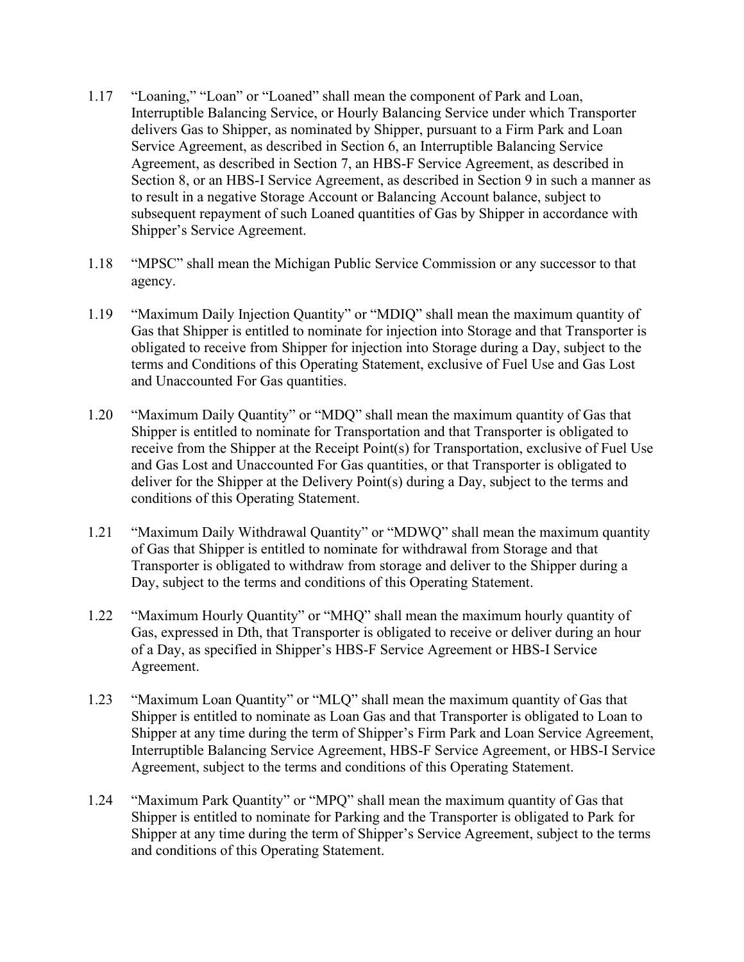- 1.17 "Loaning," "Loan" or "Loaned" shall mean the component of Park and Loan, Interruptible Balancing Service, or Hourly Balancing Service under which Transporter delivers Gas to Shipper, as nominated by Shipper, pursuant to a Firm Park and Loan Service Agreement, as described in Section 6, an Interruptible Balancing Service Agreement, as described in Section 7, an HBS-F Service Agreement, as described in Section 8, or an HBS-I Service Agreement, as described in Section 9 in such a manner as to result in a negative Storage Account or Balancing Account balance, subject to subsequent repayment of such Loaned quantities of Gas by Shipper in accordance with Shipper's Service Agreement.
- 1.18 "MPSC" shall mean the Michigan Public Service Commission or any successor to that agency.
- 1.19 "Maximum Daily Injection Quantity" or "MDIQ" shall mean the maximum quantity of Gas that Shipper is entitled to nominate for injection into Storage and that Transporter is obligated to receive from Shipper for injection into Storage during a Day, subject to the terms and Conditions of this Operating Statement, exclusive of Fuel Use and Gas Lost and Unaccounted For Gas quantities.
- 1.20 "Maximum Daily Quantity" or "MDQ" shall mean the maximum quantity of Gas that Shipper is entitled to nominate for Transportation and that Transporter is obligated to receive from the Shipper at the Receipt Point(s) for Transportation, exclusive of Fuel Use and Gas Lost and Unaccounted For Gas quantities, or that Transporter is obligated to deliver for the Shipper at the Delivery Point(s) during a Day, subject to the terms and conditions of this Operating Statement.
- 1.21 "Maximum Daily Withdrawal Quantity" or "MDWQ" shall mean the maximum quantity of Gas that Shipper is entitled to nominate for withdrawal from Storage and that Transporter is obligated to withdraw from storage and deliver to the Shipper during a Day, subject to the terms and conditions of this Operating Statement.
- 1.22 "Maximum Hourly Quantity" or "MHQ" shall mean the maximum hourly quantity of Gas, expressed in Dth, that Transporter is obligated to receive or deliver during an hour of a Day, as specified in Shipper's HBS-F Service Agreement or HBS-I Service Agreement.
- 1.23 "Maximum Loan Quantity" or "MLQ" shall mean the maximum quantity of Gas that Shipper is entitled to nominate as Loan Gas and that Transporter is obligated to Loan to Shipper at any time during the term of Shipper's Firm Park and Loan Service Agreement, Interruptible Balancing Service Agreement, HBS-F Service Agreement, or HBS-I Service Agreement, subject to the terms and conditions of this Operating Statement.
- 1.24 "Maximum Park Quantity" or "MPQ" shall mean the maximum quantity of Gas that Shipper is entitled to nominate for Parking and the Transporter is obligated to Park for Shipper at any time during the term of Shipper's Service Agreement, subject to the terms and conditions of this Operating Statement.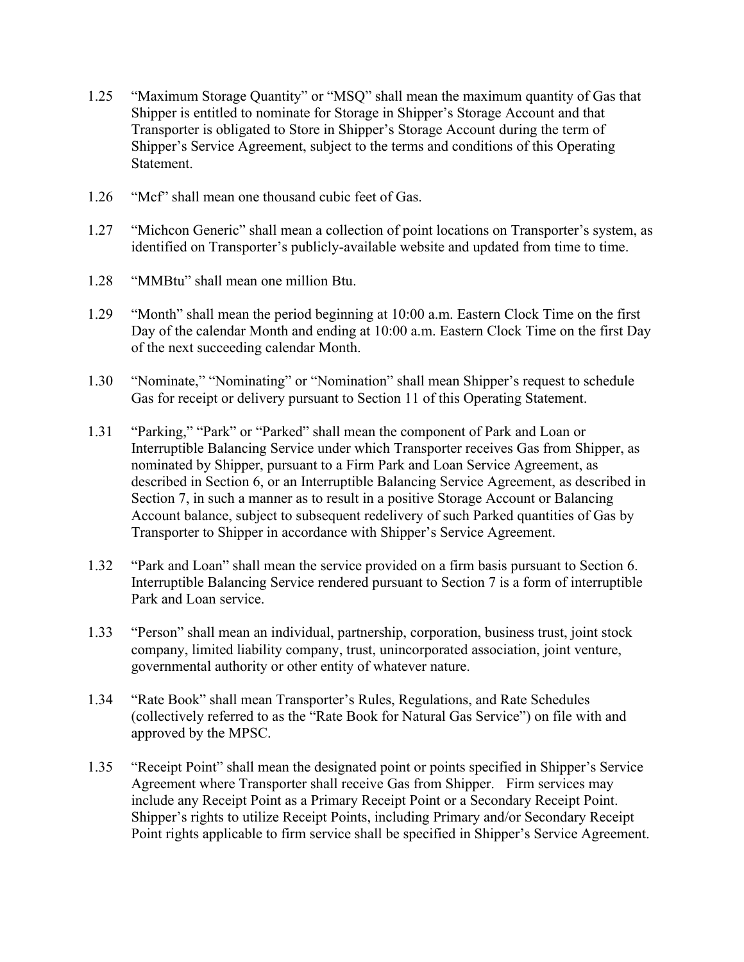- 1.25 "Maximum Storage Quantity" or "MSQ" shall mean the maximum quantity of Gas that Shipper is entitled to nominate for Storage in Shipper's Storage Account and that Transporter is obligated to Store in Shipper's Storage Account during the term of Shipper's Service Agreement, subject to the terms and conditions of this Operating Statement.
- 1.26 "Mcf" shall mean one thousand cubic feet of Gas.
- 1.27 "Michcon Generic" shall mean a collection of point locations on Transporter's system, as identified on Transporter's publicly-available website and updated from time to time.
- 1.28 "MMBtu" shall mean one million Btu.
- 1.29 "Month" shall mean the period beginning at 10:00 a.m. Eastern Clock Time on the first Day of the calendar Month and ending at 10:00 a.m. Eastern Clock Time on the first Day of the next succeeding calendar Month.
- 1.30 "Nominate," "Nominating" or "Nomination" shall mean Shipper's request to schedule Gas for receipt or delivery pursuant to Section 11 of this Operating Statement.
- 1.31 "Parking," "Park" or "Parked" shall mean the component of Park and Loan or Interruptible Balancing Service under which Transporter receives Gas from Shipper, as nominated by Shipper, pursuant to a Firm Park and Loan Service Agreement, as described in Section 6, or an Interruptible Balancing Service Agreement, as described in Section 7, in such a manner as to result in a positive Storage Account or Balancing Account balance, subject to subsequent redelivery of such Parked quantities of Gas by Transporter to Shipper in accordance with Shipper's Service Agreement.
- 1.32 "Park and Loan" shall mean the service provided on a firm basis pursuant to Section 6. Interruptible Balancing Service rendered pursuant to Section 7 is a form of interruptible Park and Loan service.
- 1.33 "Person" shall mean an individual, partnership, corporation, business trust, joint stock company, limited liability company, trust, unincorporated association, joint venture, governmental authority or other entity of whatever nature.
- 1.34 "Rate Book" shall mean Transporter's Rules, Regulations, and Rate Schedules (collectively referred to as the "Rate Book for Natural Gas Service") on file with and approved by the MPSC.
- 1.35 "Receipt Point" shall mean the designated point or points specified in Shipper's Service Agreement where Transporter shall receive Gas from Shipper. Firm services may include any Receipt Point as a Primary Receipt Point or a Secondary Receipt Point. Shipper's rights to utilize Receipt Points, including Primary and/or Secondary Receipt Point rights applicable to firm service shall be specified in Shipper's Service Agreement.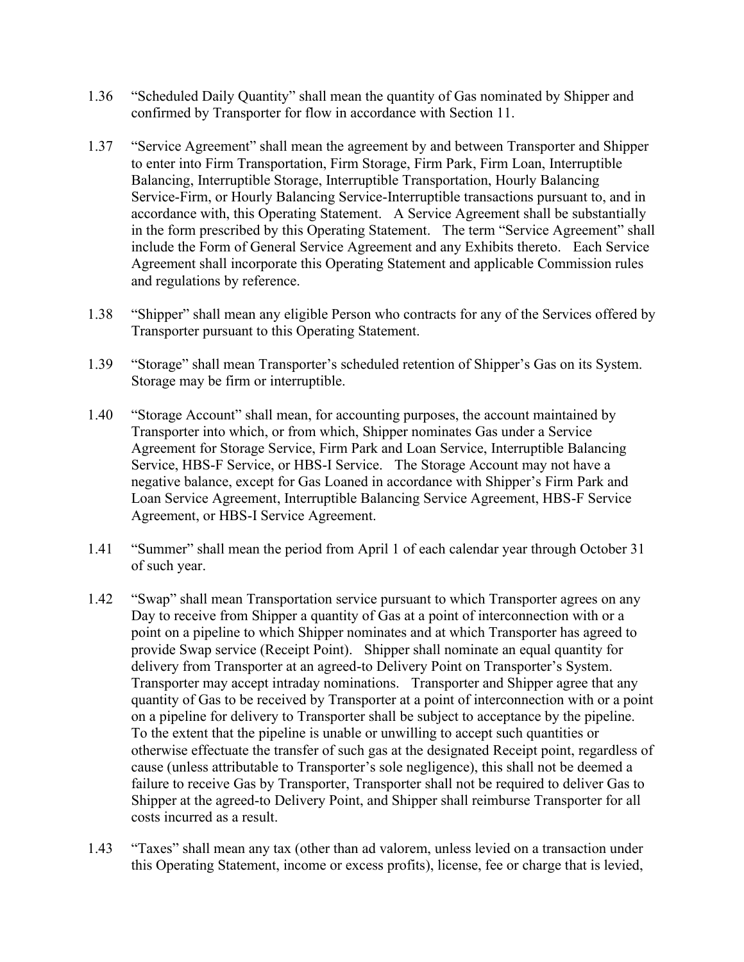- 1.36 "Scheduled Daily Quantity" shall mean the quantity of Gas nominated by Shipper and confirmed by Transporter for flow in accordance with Section 11.
- 1.37 "Service Agreement" shall mean the agreement by and between Transporter and Shipper to enter into Firm Transportation, Firm Storage, Firm Park, Firm Loan, Interruptible Balancing, Interruptible Storage, Interruptible Transportation, Hourly Balancing Service-Firm, or Hourly Balancing Service-Interruptible transactions pursuant to, and in accordance with, this Operating Statement. A Service Agreement shall be substantially in the form prescribed by this Operating Statement. The term "Service Agreement" shall include the Form of General Service Agreement and any Exhibits thereto. Each Service Agreement shall incorporate this Operating Statement and applicable Commission rules and regulations by reference.
- 1.38 "Shipper" shall mean any eligible Person who contracts for any of the Services offered by Transporter pursuant to this Operating Statement.
- 1.39 "Storage" shall mean Transporter's scheduled retention of Shipper's Gas on its System. Storage may be firm or interruptible.
- 1.40 "Storage Account" shall mean, for accounting purposes, the account maintained by Transporter into which, or from which, Shipper nominates Gas under a Service Agreement for Storage Service, Firm Park and Loan Service, Interruptible Balancing Service, HBS-F Service, or HBS-I Service. The Storage Account may not have a negative balance, except for Gas Loaned in accordance with Shipper's Firm Park and Loan Service Agreement, Interruptible Balancing Service Agreement, HBS-F Service Agreement, or HBS-I Service Agreement.
- 1.41 "Summer" shall mean the period from April 1 of each calendar year through October 31 of such year.
- 1.42 "Swap" shall mean Transportation service pursuant to which Transporter agrees on any Day to receive from Shipper a quantity of Gas at a point of interconnection with or a point on a pipeline to which Shipper nominates and at which Transporter has agreed to provide Swap service (Receipt Point). Shipper shall nominate an equal quantity for delivery from Transporter at an agreed-to Delivery Point on Transporter's System. Transporter may accept intraday nominations. Transporter and Shipper agree that any quantity of Gas to be received by Transporter at a point of interconnection with or a point on a pipeline for delivery to Transporter shall be subject to acceptance by the pipeline. To the extent that the pipeline is unable or unwilling to accept such quantities or otherwise effectuate the transfer of such gas at the designated Receipt point, regardless of cause (unless attributable to Transporter's sole negligence), this shall not be deemed a failure to receive Gas by Transporter, Transporter shall not be required to deliver Gas to Shipper at the agreed-to Delivery Point, and Shipper shall reimburse Transporter for all costs incurred as a result.
- 1.43 "Taxes" shall mean any tax (other than ad valorem, unless levied on a transaction under this Operating Statement, income or excess profits), license, fee or charge that is levied,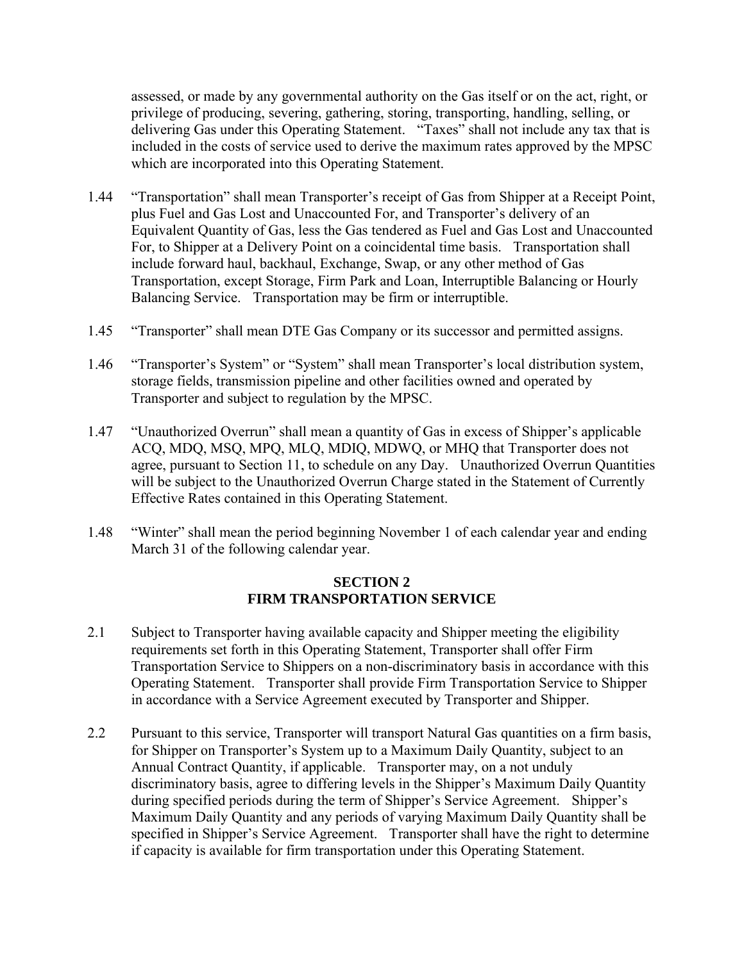assessed, or made by any governmental authority on the Gas itself or on the act, right, or privilege of producing, severing, gathering, storing, transporting, handling, selling, or delivering Gas under this Operating Statement. "Taxes" shall not include any tax that is included in the costs of service used to derive the maximum rates approved by the MPSC which are incorporated into this Operating Statement.

- 1.44 "Transportation" shall mean Transporter's receipt of Gas from Shipper at a Receipt Point, plus Fuel and Gas Lost and Unaccounted For, and Transporter's delivery of an Equivalent Quantity of Gas, less the Gas tendered as Fuel and Gas Lost and Unaccounted For, to Shipper at a Delivery Point on a coincidental time basis. Transportation shall include forward haul, backhaul, Exchange, Swap, or any other method of Gas Transportation, except Storage, Firm Park and Loan, Interruptible Balancing or Hourly Balancing Service. Transportation may be firm or interruptible.
- 1.45 "Transporter" shall mean DTE Gas Company or its successor and permitted assigns.
- 1.46 "Transporter's System" or "System" shall mean Transporter's local distribution system, storage fields, transmission pipeline and other facilities owned and operated by Transporter and subject to regulation by the MPSC.
- 1.47 "Unauthorized Overrun" shall mean a quantity of Gas in excess of Shipper's applicable ACQ, MDQ, MSQ, MPQ, MLQ, MDIQ, MDWQ, or MHQ that Transporter does not agree, pursuant to Section 11, to schedule on any Day. Unauthorized Overrun Quantities will be subject to the Unauthorized Overrun Charge stated in the Statement of Currently Effective Rates contained in this Operating Statement.
- 1.48 "Winter" shall mean the period beginning November 1 of each calendar year and ending March 31 of the following calendar year.

### **SECTION 2 FIRM TRANSPORTATION SERVICE**

- 2.1 Subject to Transporter having available capacity and Shipper meeting the eligibility requirements set forth in this Operating Statement, Transporter shall offer Firm Transportation Service to Shippers on a non-discriminatory basis in accordance with this Operating Statement. Transporter shall provide Firm Transportation Service to Shipper in accordance with a Service Agreement executed by Transporter and Shipper.
- 2.2 Pursuant to this service, Transporter will transport Natural Gas quantities on a firm basis, for Shipper on Transporter's System up to a Maximum Daily Quantity, subject to an Annual Contract Quantity, if applicable. Transporter may, on a not unduly discriminatory basis, agree to differing levels in the Shipper's Maximum Daily Quantity during specified periods during the term of Shipper's Service Agreement. Shipper's Maximum Daily Quantity and any periods of varying Maximum Daily Quantity shall be specified in Shipper's Service Agreement. Transporter shall have the right to determine if capacity is available for firm transportation under this Operating Statement.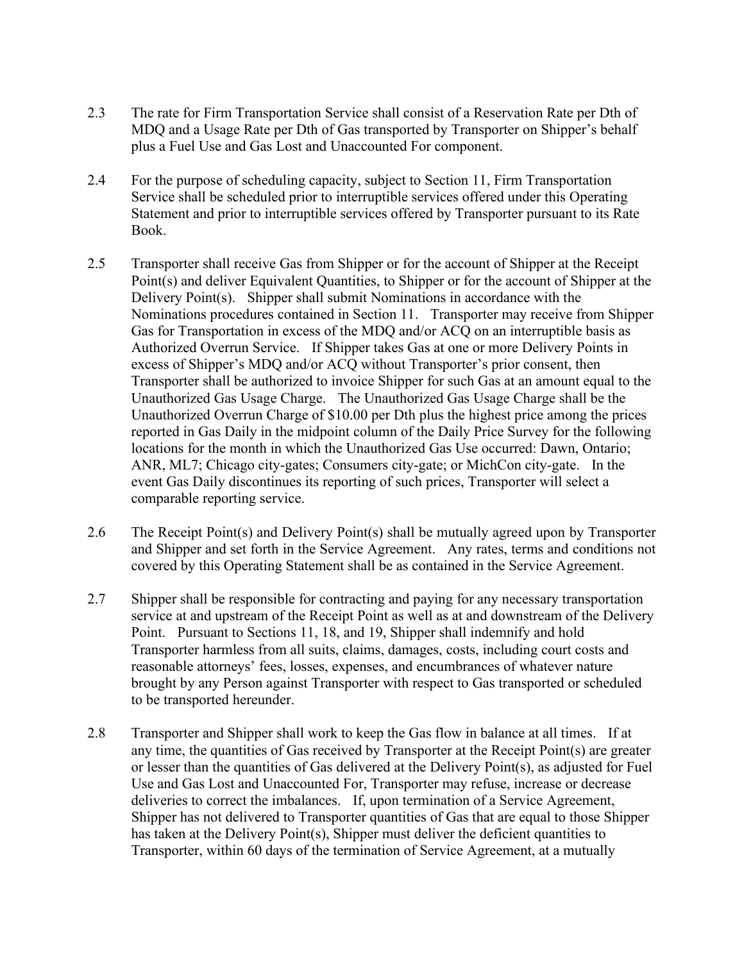- 2.3 The rate for Firm Transportation Service shall consist of a Reservation Rate per Dth of MDQ and a Usage Rate per Dth of Gas transported by Transporter on Shipper's behalf plus a Fuel Use and Gas Lost and Unaccounted For component.
- 2.4 For the purpose of scheduling capacity, subject to Section 11, Firm Transportation Service shall be scheduled prior to interruptible services offered under this Operating Statement and prior to interruptible services offered by Transporter pursuant to its Rate Book.
- 2.5 Transporter shall receive Gas from Shipper or for the account of Shipper at the Receipt Point(s) and deliver Equivalent Quantities, to Shipper or for the account of Shipper at the Delivery Point(s). Shipper shall submit Nominations in accordance with the Nominations procedures contained in Section 11. Transporter may receive from Shipper Gas for Transportation in excess of the MDQ and/or ACQ on an interruptible basis as Authorized Overrun Service. If Shipper takes Gas at one or more Delivery Points in excess of Shipper's MDQ and/or ACQ without Transporter's prior consent, then Transporter shall be authorized to invoice Shipper for such Gas at an amount equal to the Unauthorized Gas Usage Charge. The Unauthorized Gas Usage Charge shall be the Unauthorized Overrun Charge of \$10.00 per Dth plus the highest price among the prices reported in Gas Daily in the midpoint column of the Daily Price Survey for the following locations for the month in which the Unauthorized Gas Use occurred: Dawn, Ontario; ANR, ML7; Chicago city-gates; Consumers city-gate; or MichCon city-gate. In the event Gas Daily discontinues its reporting of such prices, Transporter will select a comparable reporting service.
- 2.6 The Receipt Point(s) and Delivery Point(s) shall be mutually agreed upon by Transporter and Shipper and set forth in the Service Agreement. Any rates, terms and conditions not covered by this Operating Statement shall be as contained in the Service Agreement.
- 2.7 Shipper shall be responsible for contracting and paying for any necessary transportation service at and upstream of the Receipt Point as well as at and downstream of the Delivery Point. Pursuant to Sections 11, 18, and 19, Shipper shall indemnify and hold Transporter harmless from all suits, claims, damages, costs, including court costs and reasonable attorneys' fees, losses, expenses, and encumbrances of whatever nature brought by any Person against Transporter with respect to Gas transported or scheduled to be transported hereunder.
- 2.8 Transporter and Shipper shall work to keep the Gas flow in balance at all times. If at any time, the quantities of Gas received by Transporter at the Receipt Point(s) are greater or lesser than the quantities of Gas delivered at the Delivery Point(s), as adjusted for Fuel Use and Gas Lost and Unaccounted For, Transporter may refuse, increase or decrease deliveries to correct the imbalances. If, upon termination of a Service Agreement, Shipper has not delivered to Transporter quantities of Gas that are equal to those Shipper has taken at the Delivery Point(s), Shipper must deliver the deficient quantities to Transporter, within 60 days of the termination of Service Agreement, at a mutually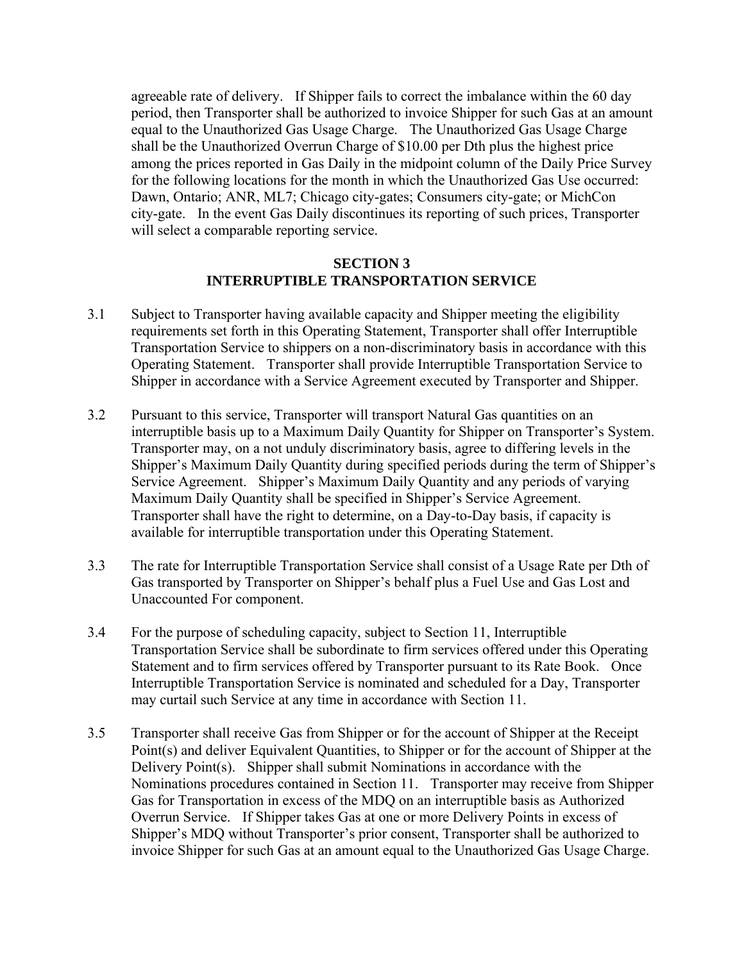agreeable rate of delivery. If Shipper fails to correct the imbalance within the 60 day period, then Transporter shall be authorized to invoice Shipper for such Gas at an amount equal to the Unauthorized Gas Usage Charge. The Unauthorized Gas Usage Charge shall be the Unauthorized Overrun Charge of \$10.00 per Dth plus the highest price among the prices reported in Gas Daily in the midpoint column of the Daily Price Survey for the following locations for the month in which the Unauthorized Gas Use occurred: Dawn, Ontario; ANR, ML7; Chicago city-gates; Consumers city-gate; or MichCon city-gate. In the event Gas Daily discontinues its reporting of such prices, Transporter will select a comparable reporting service.

### **SECTION 3 INTERRUPTIBLE TRANSPORTATION SERVICE**

- 3.1 Subject to Transporter having available capacity and Shipper meeting the eligibility requirements set forth in this Operating Statement, Transporter shall offer Interruptible Transportation Service to shippers on a non-discriminatory basis in accordance with this Operating Statement. Transporter shall provide Interruptible Transportation Service to Shipper in accordance with a Service Agreement executed by Transporter and Shipper.
- 3.2 Pursuant to this service, Transporter will transport Natural Gas quantities on an interruptible basis up to a Maximum Daily Quantity for Shipper on Transporter's System. Transporter may, on a not unduly discriminatory basis, agree to differing levels in the Shipper's Maximum Daily Quantity during specified periods during the term of Shipper's Service Agreement. Shipper's Maximum Daily Quantity and any periods of varying Maximum Daily Quantity shall be specified in Shipper's Service Agreement. Transporter shall have the right to determine, on a Day-to-Day basis, if capacity is available for interruptible transportation under this Operating Statement.
- 3.3 The rate for Interruptible Transportation Service shall consist of a Usage Rate per Dth of Gas transported by Transporter on Shipper's behalf plus a Fuel Use and Gas Lost and Unaccounted For component.
- 3.4 For the purpose of scheduling capacity, subject to Section 11, Interruptible Transportation Service shall be subordinate to firm services offered under this Operating Statement and to firm services offered by Transporter pursuant to its Rate Book. Once Interruptible Transportation Service is nominated and scheduled for a Day, Transporter may curtail such Service at any time in accordance with Section 11.
- 3.5 Transporter shall receive Gas from Shipper or for the account of Shipper at the Receipt Point(s) and deliver Equivalent Quantities, to Shipper or for the account of Shipper at the Delivery Point(s). Shipper shall submit Nominations in accordance with the Nominations procedures contained in Section 11. Transporter may receive from Shipper Gas for Transportation in excess of the MDQ on an interruptible basis as Authorized Overrun Service. If Shipper takes Gas at one or more Delivery Points in excess of Shipper's MDQ without Transporter's prior consent, Transporter shall be authorized to invoice Shipper for such Gas at an amount equal to the Unauthorized Gas Usage Charge.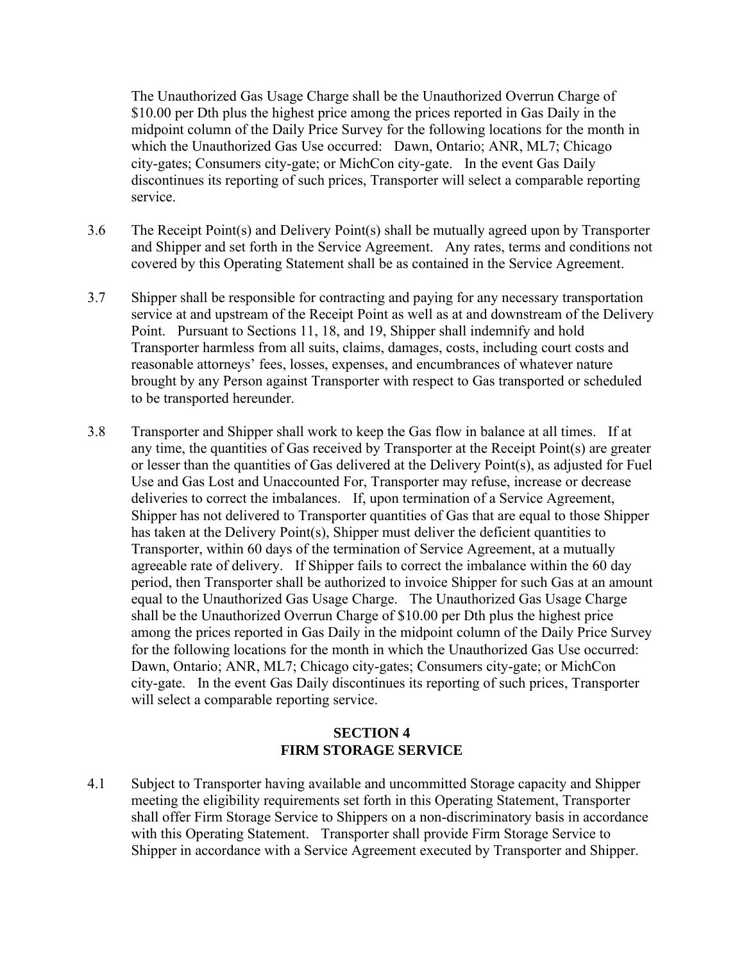The Unauthorized Gas Usage Charge shall be the Unauthorized Overrun Charge of \$10.00 per Dth plus the highest price among the prices reported in Gas Daily in the midpoint column of the Daily Price Survey for the following locations for the month in which the Unauthorized Gas Use occurred: Dawn, Ontario; ANR, ML7; Chicago city-gates; Consumers city-gate; or MichCon city-gate. In the event Gas Daily discontinues its reporting of such prices, Transporter will select a comparable reporting service.

- 3.6 The Receipt Point(s) and Delivery Point(s) shall be mutually agreed upon by Transporter and Shipper and set forth in the Service Agreement. Any rates, terms and conditions not covered by this Operating Statement shall be as contained in the Service Agreement.
- 3.7 Shipper shall be responsible for contracting and paying for any necessary transportation service at and upstream of the Receipt Point as well as at and downstream of the Delivery Point. Pursuant to Sections 11, 18, and 19, Shipper shall indemnify and hold Transporter harmless from all suits, claims, damages, costs, including court costs and reasonable attorneys' fees, losses, expenses, and encumbrances of whatever nature brought by any Person against Transporter with respect to Gas transported or scheduled to be transported hereunder.
- 3.8 Transporter and Shipper shall work to keep the Gas flow in balance at all times. If at any time, the quantities of Gas received by Transporter at the Receipt Point(s) are greater or lesser than the quantities of Gas delivered at the Delivery Point(s), as adjusted for Fuel Use and Gas Lost and Unaccounted For, Transporter may refuse, increase or decrease deliveries to correct the imbalances. If, upon termination of a Service Agreement, Shipper has not delivered to Transporter quantities of Gas that are equal to those Shipper has taken at the Delivery Point(s), Shipper must deliver the deficient quantities to Transporter, within 60 days of the termination of Service Agreement, at a mutually agreeable rate of delivery. If Shipper fails to correct the imbalance within the 60 day period, then Transporter shall be authorized to invoice Shipper for such Gas at an amount equal to the Unauthorized Gas Usage Charge. The Unauthorized Gas Usage Charge shall be the Unauthorized Overrun Charge of \$10.00 per Dth plus the highest price among the prices reported in Gas Daily in the midpoint column of the Daily Price Survey for the following locations for the month in which the Unauthorized Gas Use occurred: Dawn, Ontario; ANR, ML7; Chicago city-gates; Consumers city-gate; or MichCon city-gate. In the event Gas Daily discontinues its reporting of such prices, Transporter will select a comparable reporting service.

## **SECTION 4 FIRM STORAGE SERVICE**

4.1 Subject to Transporter having available and uncommitted Storage capacity and Shipper meeting the eligibility requirements set forth in this Operating Statement, Transporter shall offer Firm Storage Service to Shippers on a non-discriminatory basis in accordance with this Operating Statement. Transporter shall provide Firm Storage Service to Shipper in accordance with a Service Agreement executed by Transporter and Shipper.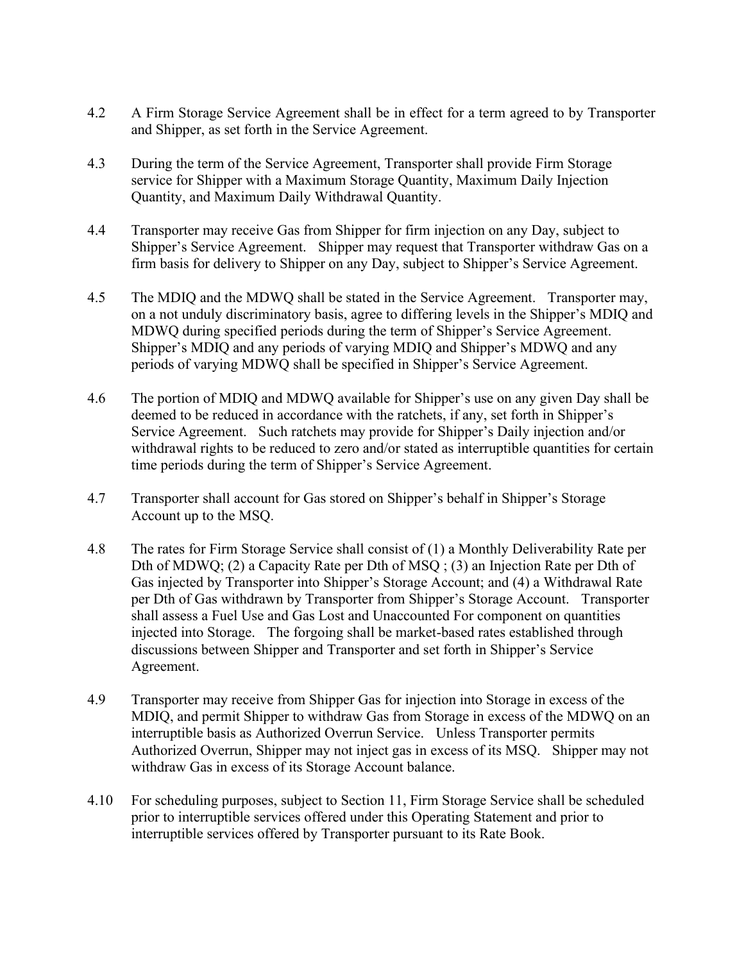- 4.2 A Firm Storage Service Agreement shall be in effect for a term agreed to by Transporter and Shipper, as set forth in the Service Agreement.
- 4.3 During the term of the Service Agreement, Transporter shall provide Firm Storage service for Shipper with a Maximum Storage Quantity, Maximum Daily Injection Quantity, and Maximum Daily Withdrawal Quantity.
- 4.4 Transporter may receive Gas from Shipper for firm injection on any Day, subject to Shipper's Service Agreement. Shipper may request that Transporter withdraw Gas on a firm basis for delivery to Shipper on any Day, subject to Shipper's Service Agreement.
- 4.5 The MDIQ and the MDWQ shall be stated in the Service Agreement. Transporter may, on a not unduly discriminatory basis, agree to differing levels in the Shipper's MDIQ and MDWQ during specified periods during the term of Shipper's Service Agreement. Shipper's MDIQ and any periods of varying MDIQ and Shipper's MDWQ and any periods of varying MDWQ shall be specified in Shipper's Service Agreement.
- 4.6 The portion of MDIQ and MDWQ available for Shipper's use on any given Day shall be deemed to be reduced in accordance with the ratchets, if any, set forth in Shipper's Service Agreement. Such ratchets may provide for Shipper's Daily injection and/or withdrawal rights to be reduced to zero and/or stated as interruptible quantities for certain time periods during the term of Shipper's Service Agreement.
- 4.7 Transporter shall account for Gas stored on Shipper's behalf in Shipper's Storage Account up to the MSQ.
- 4.8 The rates for Firm Storage Service shall consist of (1) a Monthly Deliverability Rate per Dth of MDWQ; (2) a Capacity Rate per Dth of MSQ ; (3) an Injection Rate per Dth of Gas injected by Transporter into Shipper's Storage Account; and (4) a Withdrawal Rate per Dth of Gas withdrawn by Transporter from Shipper's Storage Account. Transporter shall assess a Fuel Use and Gas Lost and Unaccounted For component on quantities injected into Storage. The forgoing shall be market-based rates established through discussions between Shipper and Transporter and set forth in Shipper's Service Agreement.
- 4.9 Transporter may receive from Shipper Gas for injection into Storage in excess of the MDIQ, and permit Shipper to withdraw Gas from Storage in excess of the MDWQ on an interruptible basis as Authorized Overrun Service. Unless Transporter permits Authorized Overrun, Shipper may not inject gas in excess of its MSQ. Shipper may not withdraw Gas in excess of its Storage Account balance.
- 4.10 For scheduling purposes, subject to Section 11, Firm Storage Service shall be scheduled prior to interruptible services offered under this Operating Statement and prior to interruptible services offered by Transporter pursuant to its Rate Book.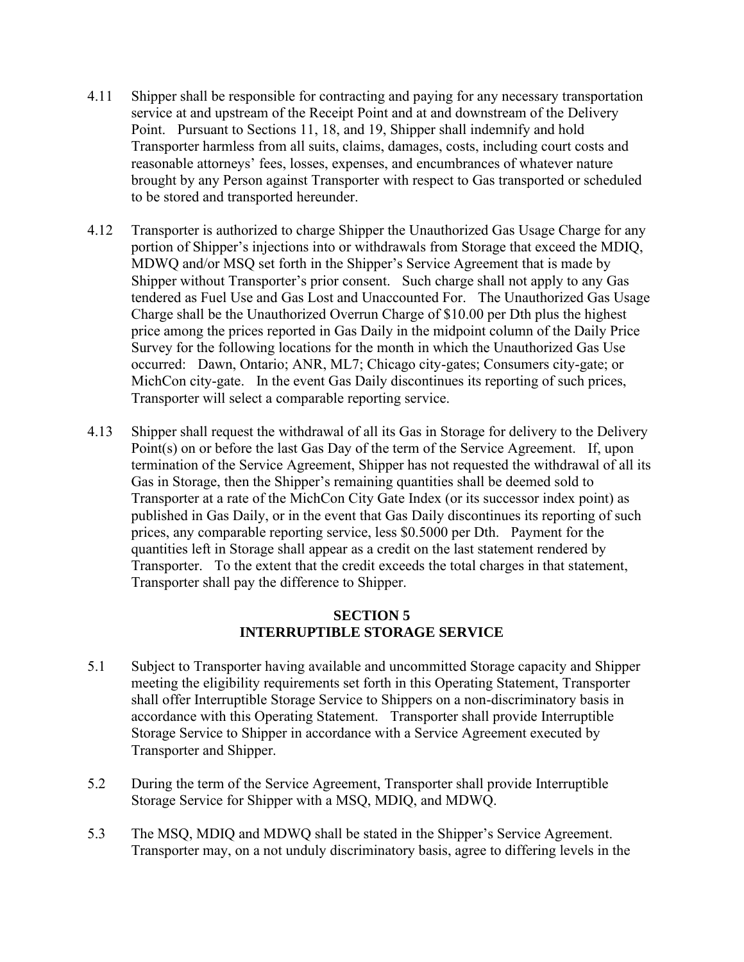- 4.11 Shipper shall be responsible for contracting and paying for any necessary transportation service at and upstream of the Receipt Point and at and downstream of the Delivery Point. Pursuant to Sections 11, 18, and 19, Shipper shall indemnify and hold Transporter harmless from all suits, claims, damages, costs, including court costs and reasonable attorneys' fees, losses, expenses, and encumbrances of whatever nature brought by any Person against Transporter with respect to Gas transported or scheduled to be stored and transported hereunder.
- 4.12 Transporter is authorized to charge Shipper the Unauthorized Gas Usage Charge for any portion of Shipper's injections into or withdrawals from Storage that exceed the MDIQ, MDWQ and/or MSQ set forth in the Shipper's Service Agreement that is made by Shipper without Transporter's prior consent. Such charge shall not apply to any Gas tendered as Fuel Use and Gas Lost and Unaccounted For. The Unauthorized Gas Usage Charge shall be the Unauthorized Overrun Charge of \$10.00 per Dth plus the highest price among the prices reported in Gas Daily in the midpoint column of the Daily Price Survey for the following locations for the month in which the Unauthorized Gas Use occurred: Dawn, Ontario; ANR, ML7; Chicago city-gates; Consumers city-gate; or MichCon city-gate. In the event Gas Daily discontinues its reporting of such prices, Transporter will select a comparable reporting service.
- 4.13 Shipper shall request the withdrawal of all its Gas in Storage for delivery to the Delivery Point(s) on or before the last Gas Day of the term of the Service Agreement. If, upon termination of the Service Agreement, Shipper has not requested the withdrawal of all its Gas in Storage, then the Shipper's remaining quantities shall be deemed sold to Transporter at a rate of the MichCon City Gate Index (or its successor index point) as published in Gas Daily, or in the event that Gas Daily discontinues its reporting of such prices, any comparable reporting service, less \$0.5000 per Dth. Payment for the quantities left in Storage shall appear as a credit on the last statement rendered by Transporter. To the extent that the credit exceeds the total charges in that statement, Transporter shall pay the difference to Shipper.

### **SECTION 5 INTERRUPTIBLE STORAGE SERVICE**

- 5.1 Subject to Transporter having available and uncommitted Storage capacity and Shipper meeting the eligibility requirements set forth in this Operating Statement, Transporter shall offer Interruptible Storage Service to Shippers on a non-discriminatory basis in accordance with this Operating Statement. Transporter shall provide Interruptible Storage Service to Shipper in accordance with a Service Agreement executed by Transporter and Shipper.
- 5.2 During the term of the Service Agreement, Transporter shall provide Interruptible Storage Service for Shipper with a MSQ, MDIQ, and MDWQ.
- 5.3 The MSQ, MDIQ and MDWQ shall be stated in the Shipper's Service Agreement. Transporter may, on a not unduly discriminatory basis, agree to differing levels in the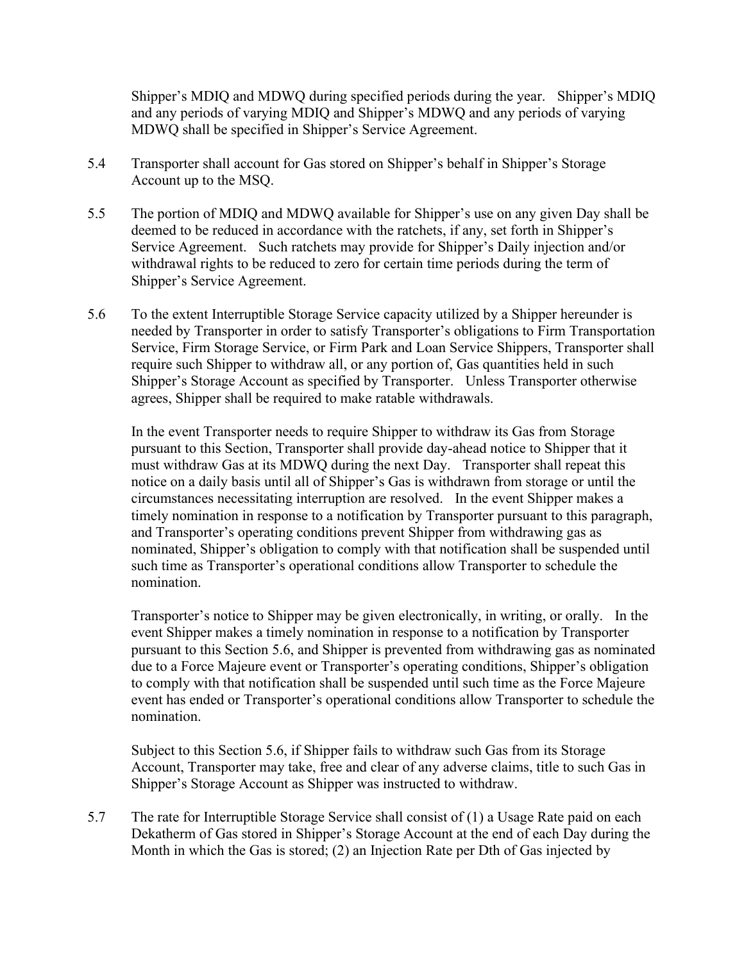Shipper's MDIQ and MDWQ during specified periods during the year. Shipper's MDIQ and any periods of varying MDIQ and Shipper's MDWQ and any periods of varying MDWQ shall be specified in Shipper's Service Agreement.

- 5.4 Transporter shall account for Gas stored on Shipper's behalf in Shipper's Storage Account up to the MSQ.
- 5.5 The portion of MDIQ and MDWQ available for Shipper's use on any given Day shall be deemed to be reduced in accordance with the ratchets, if any, set forth in Shipper's Service Agreement. Such ratchets may provide for Shipper's Daily injection and/or withdrawal rights to be reduced to zero for certain time periods during the term of Shipper's Service Agreement.
- 5.6 To the extent Interruptible Storage Service capacity utilized by a Shipper hereunder is needed by Transporter in order to satisfy Transporter's obligations to Firm Transportation Service, Firm Storage Service, or Firm Park and Loan Service Shippers, Transporter shall require such Shipper to withdraw all, or any portion of, Gas quantities held in such Shipper's Storage Account as specified by Transporter. Unless Transporter otherwise agrees, Shipper shall be required to make ratable withdrawals.

In the event Transporter needs to require Shipper to withdraw its Gas from Storage pursuant to this Section, Transporter shall provide day-ahead notice to Shipper that it must withdraw Gas at its MDWQ during the next Day. Transporter shall repeat this notice on a daily basis until all of Shipper's Gas is withdrawn from storage or until the circumstances necessitating interruption are resolved. In the event Shipper makes a timely nomination in response to a notification by Transporter pursuant to this paragraph, and Transporter's operating conditions prevent Shipper from withdrawing gas as nominated, Shipper's obligation to comply with that notification shall be suspended until such time as Transporter's operational conditions allow Transporter to schedule the nomination.

Transporter's notice to Shipper may be given electronically, in writing, or orally. In the event Shipper makes a timely nomination in response to a notification by Transporter pursuant to this Section 5.6, and Shipper is prevented from withdrawing gas as nominated due to a Force Majeure event or Transporter's operating conditions, Shipper's obligation to comply with that notification shall be suspended until such time as the Force Majeure event has ended or Transporter's operational conditions allow Transporter to schedule the nomination.

Subject to this Section 5.6, if Shipper fails to withdraw such Gas from its Storage Account, Transporter may take, free and clear of any adverse claims, title to such Gas in Shipper's Storage Account as Shipper was instructed to withdraw.

5.7 The rate for Interruptible Storage Service shall consist of (1) a Usage Rate paid on each Dekatherm of Gas stored in Shipper's Storage Account at the end of each Day during the Month in which the Gas is stored; (2) an Injection Rate per Dth of Gas injected by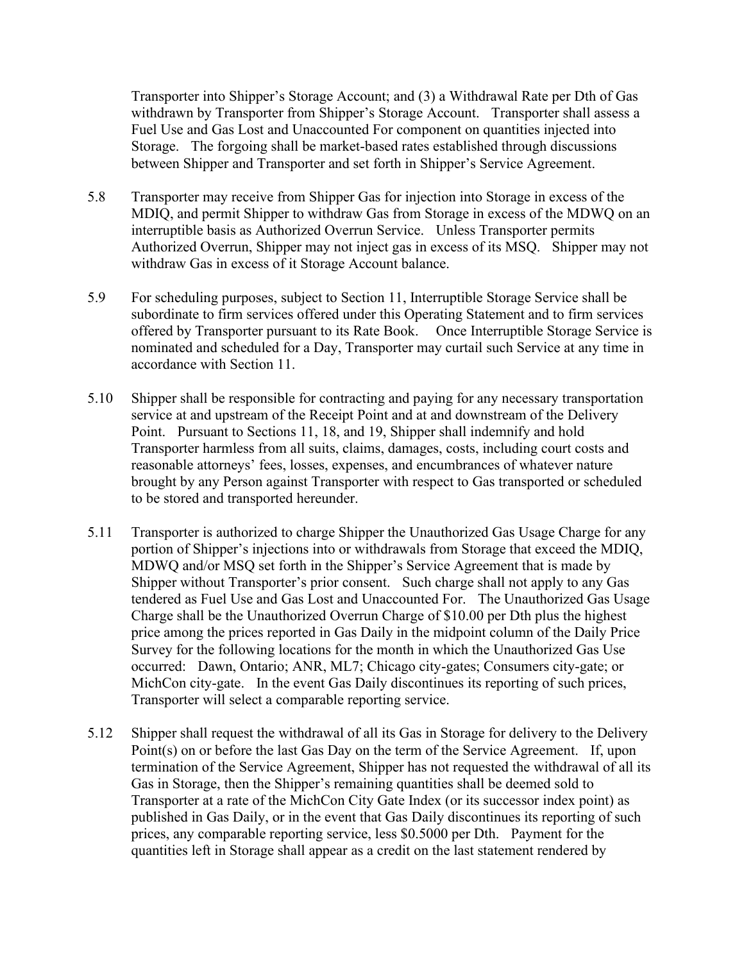Transporter into Shipper's Storage Account; and (3) a Withdrawal Rate per Dth of Gas withdrawn by Transporter from Shipper's Storage Account. Transporter shall assess a Fuel Use and Gas Lost and Unaccounted For component on quantities injected into Storage. The forgoing shall be market-based rates established through discussions between Shipper and Transporter and set forth in Shipper's Service Agreement.

- 5.8 Transporter may receive from Shipper Gas for injection into Storage in excess of the MDIQ, and permit Shipper to withdraw Gas from Storage in excess of the MDWQ on an interruptible basis as Authorized Overrun Service. Unless Transporter permits Authorized Overrun, Shipper may not inject gas in excess of its MSQ. Shipper may not withdraw Gas in excess of it Storage Account balance.
- 5.9 For scheduling purposes, subject to Section 11, Interruptible Storage Service shall be subordinate to firm services offered under this Operating Statement and to firm services offered by Transporter pursuant to its Rate Book. Once Interruptible Storage Service is nominated and scheduled for a Day, Transporter may curtail such Service at any time in accordance with Section 11.
- 5.10 Shipper shall be responsible for contracting and paying for any necessary transportation service at and upstream of the Receipt Point and at and downstream of the Delivery Point. Pursuant to Sections 11, 18, and 19, Shipper shall indemnify and hold Transporter harmless from all suits, claims, damages, costs, including court costs and reasonable attorneys' fees, losses, expenses, and encumbrances of whatever nature brought by any Person against Transporter with respect to Gas transported or scheduled to be stored and transported hereunder.
- 5.11 Transporter is authorized to charge Shipper the Unauthorized Gas Usage Charge for any portion of Shipper's injections into or withdrawals from Storage that exceed the MDIQ, MDWQ and/or MSQ set forth in the Shipper's Service Agreement that is made by Shipper without Transporter's prior consent. Such charge shall not apply to any Gas tendered as Fuel Use and Gas Lost and Unaccounted For. The Unauthorized Gas Usage Charge shall be the Unauthorized Overrun Charge of \$10.00 per Dth plus the highest price among the prices reported in Gas Daily in the midpoint column of the Daily Price Survey for the following locations for the month in which the Unauthorized Gas Use occurred: Dawn, Ontario; ANR, ML7; Chicago city-gates; Consumers city-gate; or MichCon city-gate. In the event Gas Daily discontinues its reporting of such prices, Transporter will select a comparable reporting service.
- 5.12 Shipper shall request the withdrawal of all its Gas in Storage for delivery to the Delivery Point(s) on or before the last Gas Day on the term of the Service Agreement. If, upon termination of the Service Agreement, Shipper has not requested the withdrawal of all its Gas in Storage, then the Shipper's remaining quantities shall be deemed sold to Transporter at a rate of the MichCon City Gate Index (or its successor index point) as published in Gas Daily, or in the event that Gas Daily discontinues its reporting of such prices, any comparable reporting service, less \$0.5000 per Dth. Payment for the quantities left in Storage shall appear as a credit on the last statement rendered by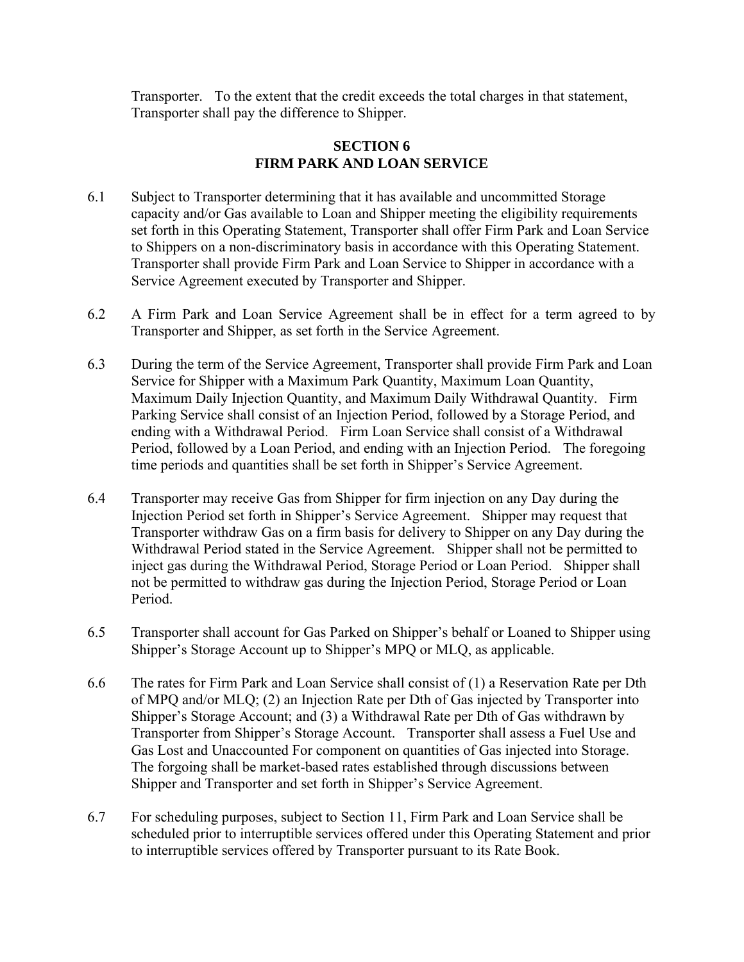Transporter. To the extent that the credit exceeds the total charges in that statement, Transporter shall pay the difference to Shipper.

## **SECTION 6 FIRM PARK AND LOAN SERVICE**

- 6.1 Subject to Transporter determining that it has available and uncommitted Storage capacity and/or Gas available to Loan and Shipper meeting the eligibility requirements set forth in this Operating Statement, Transporter shall offer Firm Park and Loan Service to Shippers on a non-discriminatory basis in accordance with this Operating Statement. Transporter shall provide Firm Park and Loan Service to Shipper in accordance with a Service Agreement executed by Transporter and Shipper.
- 6.2 A Firm Park and Loan Service Agreement shall be in effect for a term agreed to by Transporter and Shipper, as set forth in the Service Agreement.
- 6.3 During the term of the Service Agreement, Transporter shall provide Firm Park and Loan Service for Shipper with a Maximum Park Quantity, Maximum Loan Quantity, Maximum Daily Injection Quantity, and Maximum Daily Withdrawal Quantity. Firm Parking Service shall consist of an Injection Period, followed by a Storage Period, and ending with a Withdrawal Period. Firm Loan Service shall consist of a Withdrawal Period, followed by a Loan Period, and ending with an Injection Period. The foregoing time periods and quantities shall be set forth in Shipper's Service Agreement.
- 6.4 Transporter may receive Gas from Shipper for firm injection on any Day during the Injection Period set forth in Shipper's Service Agreement. Shipper may request that Transporter withdraw Gas on a firm basis for delivery to Shipper on any Day during the Withdrawal Period stated in the Service Agreement. Shipper shall not be permitted to inject gas during the Withdrawal Period, Storage Period or Loan Period. Shipper shall not be permitted to withdraw gas during the Injection Period, Storage Period or Loan Period.
- 6.5 Transporter shall account for Gas Parked on Shipper's behalf or Loaned to Shipper using Shipper's Storage Account up to Shipper's MPQ or MLQ, as applicable.
- 6.6 The rates for Firm Park and Loan Service shall consist of (1) a Reservation Rate per Dth of MPQ and/or MLQ; (2) an Injection Rate per Dth of Gas injected by Transporter into Shipper's Storage Account; and (3) a Withdrawal Rate per Dth of Gas withdrawn by Transporter from Shipper's Storage Account. Transporter shall assess a Fuel Use and Gas Lost and Unaccounted For component on quantities of Gas injected into Storage. The forgoing shall be market-based rates established through discussions between Shipper and Transporter and set forth in Shipper's Service Agreement.
- 6.7 For scheduling purposes, subject to Section 11, Firm Park and Loan Service shall be scheduled prior to interruptible services offered under this Operating Statement and prior to interruptible services offered by Transporter pursuant to its Rate Book.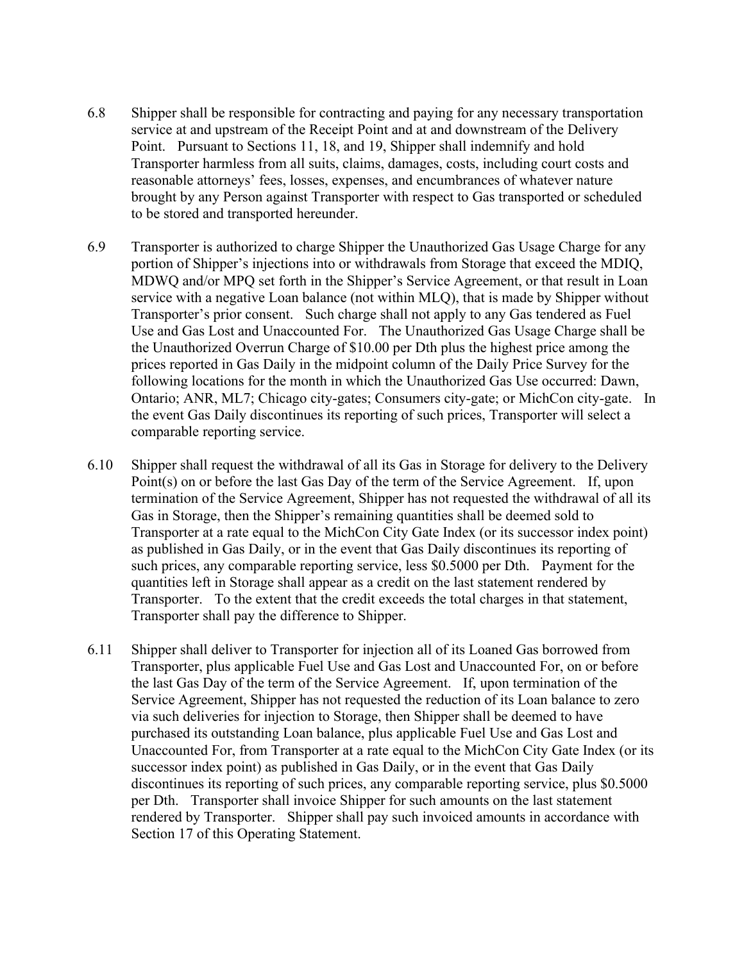- 6.8 Shipper shall be responsible for contracting and paying for any necessary transportation service at and upstream of the Receipt Point and at and downstream of the Delivery Point. Pursuant to Sections 11, 18, and 19, Shipper shall indemnify and hold Transporter harmless from all suits, claims, damages, costs, including court costs and reasonable attorneys' fees, losses, expenses, and encumbrances of whatever nature brought by any Person against Transporter with respect to Gas transported or scheduled to be stored and transported hereunder.
- 6.9 Transporter is authorized to charge Shipper the Unauthorized Gas Usage Charge for any portion of Shipper's injections into or withdrawals from Storage that exceed the MDIQ, MDWQ and/or MPQ set forth in the Shipper's Service Agreement, or that result in Loan service with a negative Loan balance (not within MLQ), that is made by Shipper without Transporter's prior consent. Such charge shall not apply to any Gas tendered as Fuel Use and Gas Lost and Unaccounted For. The Unauthorized Gas Usage Charge shall be the Unauthorized Overrun Charge of \$10.00 per Dth plus the highest price among the prices reported in Gas Daily in the midpoint column of the Daily Price Survey for the following locations for the month in which the Unauthorized Gas Use occurred: Dawn, Ontario; ANR, ML7; Chicago city-gates; Consumers city-gate; or MichCon city-gate. In the event Gas Daily discontinues its reporting of such prices, Transporter will select a comparable reporting service.
- 6.10 Shipper shall request the withdrawal of all its Gas in Storage for delivery to the Delivery Point(s) on or before the last Gas Day of the term of the Service Agreement. If, upon termination of the Service Agreement, Shipper has not requested the withdrawal of all its Gas in Storage, then the Shipper's remaining quantities shall be deemed sold to Transporter at a rate equal to the MichCon City Gate Index (or its successor index point) as published in Gas Daily, or in the event that Gas Daily discontinues its reporting of such prices, any comparable reporting service, less \$0.5000 per Dth. Payment for the quantities left in Storage shall appear as a credit on the last statement rendered by Transporter. To the extent that the credit exceeds the total charges in that statement, Transporter shall pay the difference to Shipper.
- 6.11 Shipper shall deliver to Transporter for injection all of its Loaned Gas borrowed from Transporter, plus applicable Fuel Use and Gas Lost and Unaccounted For, on or before the last Gas Day of the term of the Service Agreement. If, upon termination of the Service Agreement, Shipper has not requested the reduction of its Loan balance to zero via such deliveries for injection to Storage, then Shipper shall be deemed to have purchased its outstanding Loan balance, plus applicable Fuel Use and Gas Lost and Unaccounted For, from Transporter at a rate equal to the MichCon City Gate Index (or its successor index point) as published in Gas Daily, or in the event that Gas Daily discontinues its reporting of such prices, any comparable reporting service, plus \$0.5000 per Dth. Transporter shall invoice Shipper for such amounts on the last statement rendered by Transporter. Shipper shall pay such invoiced amounts in accordance with Section 17 of this Operating Statement.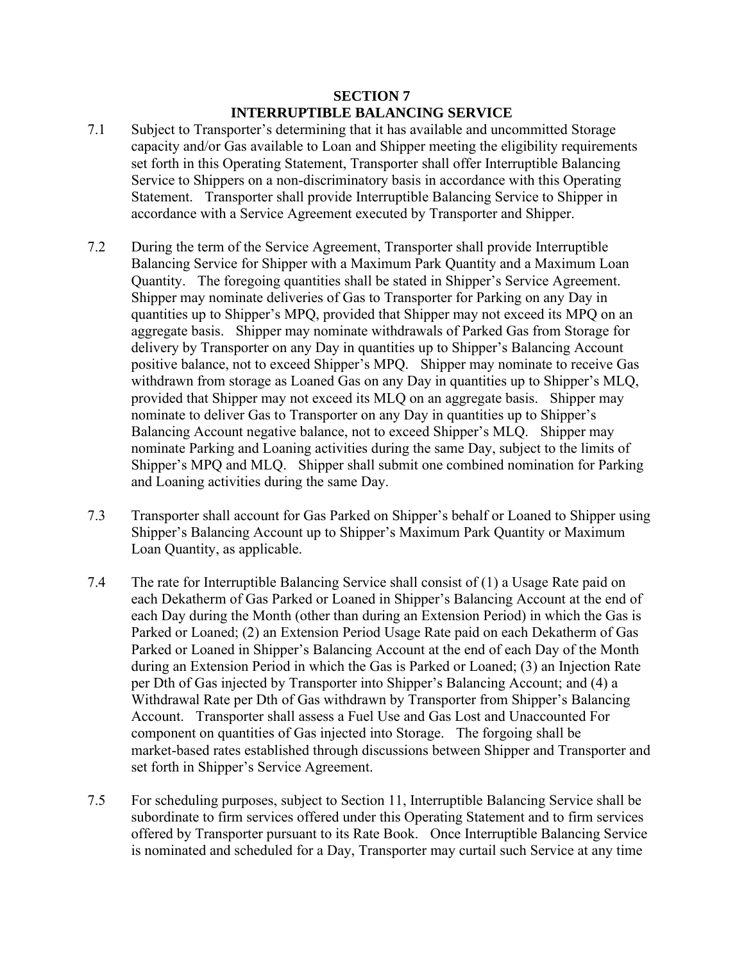### **SECTION 7 INTERRUPTIBLE BALANCING SERVICE**

- 7.1 Subject to Transporter's determining that it has available and uncommitted Storage capacity and/or Gas available to Loan and Shipper meeting the eligibility requirements set forth in this Operating Statement, Transporter shall offer Interruptible Balancing Service to Shippers on a non-discriminatory basis in accordance with this Operating Statement. Transporter shall provide Interruptible Balancing Service to Shipper in accordance with a Service Agreement executed by Transporter and Shipper.
- 7.2 During the term of the Service Agreement, Transporter shall provide Interruptible Balancing Service for Shipper with a Maximum Park Quantity and a Maximum Loan Quantity. The foregoing quantities shall be stated in Shipper's Service Agreement. Shipper may nominate deliveries of Gas to Transporter for Parking on any Day in quantities up to Shipper's MPQ, provided that Shipper may not exceed its MPQ on an aggregate basis. Shipper may nominate withdrawals of Parked Gas from Storage for delivery by Transporter on any Day in quantities up to Shipper's Balancing Account positive balance, not to exceed Shipper's MPQ. Shipper may nominate to receive Gas withdrawn from storage as Loaned Gas on any Day in quantities up to Shipper's MLQ, provided that Shipper may not exceed its MLQ on an aggregate basis. Shipper may nominate to deliver Gas to Transporter on any Day in quantities up to Shipper's Balancing Account negative balance, not to exceed Shipper's MLQ. Shipper may nominate Parking and Loaning activities during the same Day, subject to the limits of Shipper's MPQ and MLQ. Shipper shall submit one combined nomination for Parking and Loaning activities during the same Day.
- 7.3 Transporter shall account for Gas Parked on Shipper's behalf or Loaned to Shipper using Shipper's Balancing Account up to Shipper's Maximum Park Quantity or Maximum Loan Quantity, as applicable.
- 7.4 The rate for Interruptible Balancing Service shall consist of (1) a Usage Rate paid on each Dekatherm of Gas Parked or Loaned in Shipper's Balancing Account at the end of each Day during the Month (other than during an Extension Period) in which the Gas is Parked or Loaned; (2) an Extension Period Usage Rate paid on each Dekatherm of Gas Parked or Loaned in Shipper's Balancing Account at the end of each Day of the Month during an Extension Period in which the Gas is Parked or Loaned; (3) an Injection Rate per Dth of Gas injected by Transporter into Shipper's Balancing Account; and (4) a Withdrawal Rate per Dth of Gas withdrawn by Transporter from Shipper's Balancing Account. Transporter shall assess a Fuel Use and Gas Lost and Unaccounted For component on quantities of Gas injected into Storage. The forgoing shall be market-based rates established through discussions between Shipper and Transporter and set forth in Shipper's Service Agreement.
- 7.5 For scheduling purposes, subject to Section 11, Interruptible Balancing Service shall be subordinate to firm services offered under this Operating Statement and to firm services offered by Transporter pursuant to its Rate Book. Once Interruptible Balancing Service is nominated and scheduled for a Day, Transporter may curtail such Service at any time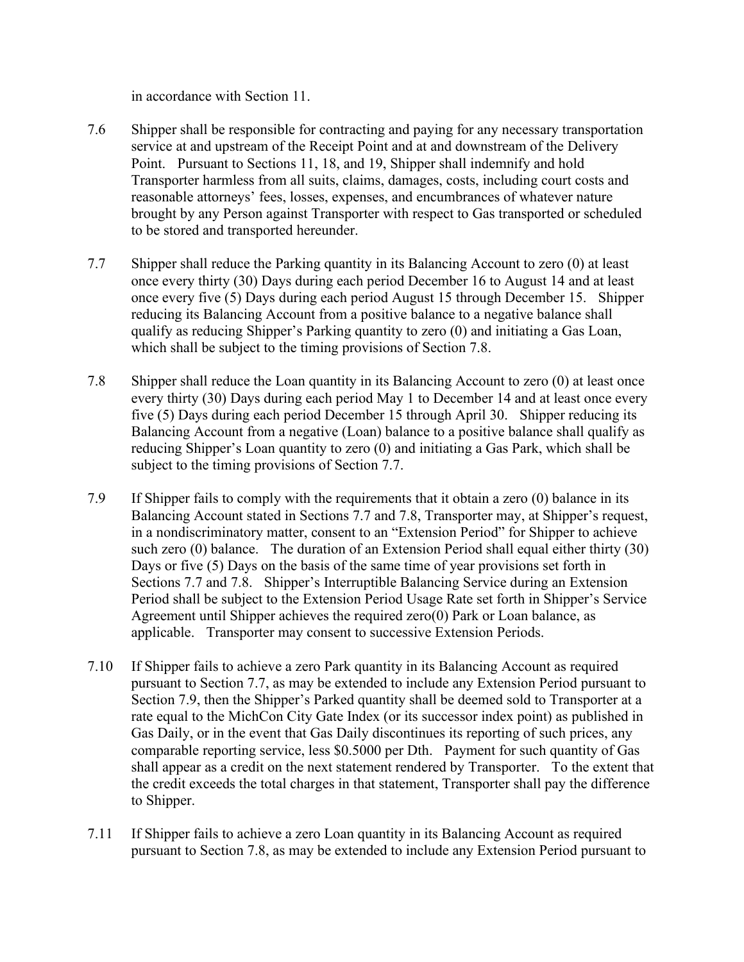in accordance with Section 11.

- 7.6 Shipper shall be responsible for contracting and paying for any necessary transportation service at and upstream of the Receipt Point and at and downstream of the Delivery Point. Pursuant to Sections 11, 18, and 19, Shipper shall indemnify and hold Transporter harmless from all suits, claims, damages, costs, including court costs and reasonable attorneys' fees, losses, expenses, and encumbrances of whatever nature brought by any Person against Transporter with respect to Gas transported or scheduled to be stored and transported hereunder.
- 7.7 Shipper shall reduce the Parking quantity in its Balancing Account to zero (0) at least once every thirty (30) Days during each period December 16 to August 14 and at least once every five (5) Days during each period August 15 through December 15. Shipper reducing its Balancing Account from a positive balance to a negative balance shall qualify as reducing Shipper's Parking quantity to zero (0) and initiating a Gas Loan, which shall be subject to the timing provisions of Section 7.8.
- 7.8 Shipper shall reduce the Loan quantity in its Balancing Account to zero (0) at least once every thirty (30) Days during each period May 1 to December 14 and at least once every five (5) Days during each period December 15 through April 30. Shipper reducing its Balancing Account from a negative (Loan) balance to a positive balance shall qualify as reducing Shipper's Loan quantity to zero (0) and initiating a Gas Park, which shall be subject to the timing provisions of Section 7.7.
- 7.9 If Shipper fails to comply with the requirements that it obtain a zero (0) balance in its Balancing Account stated in Sections 7.7 and 7.8, Transporter may, at Shipper's request, in a nondiscriminatory matter, consent to an "Extension Period" for Shipper to achieve such zero (0) balance. The duration of an Extension Period shall equal either thirty (30) Days or five (5) Days on the basis of the same time of year provisions set forth in Sections 7.7 and 7.8. Shipper's Interruptible Balancing Service during an Extension Period shall be subject to the Extension Period Usage Rate set forth in Shipper's Service Agreement until Shipper achieves the required zero(0) Park or Loan balance, as applicable. Transporter may consent to successive Extension Periods.
- 7.10 If Shipper fails to achieve a zero Park quantity in its Balancing Account as required pursuant to Section 7.7, as may be extended to include any Extension Period pursuant to Section 7.9, then the Shipper's Parked quantity shall be deemed sold to Transporter at a rate equal to the MichCon City Gate Index (or its successor index point) as published in Gas Daily, or in the event that Gas Daily discontinues its reporting of such prices, any comparable reporting service, less \$0.5000 per Dth. Payment for such quantity of Gas shall appear as a credit on the next statement rendered by Transporter. To the extent that the credit exceeds the total charges in that statement, Transporter shall pay the difference to Shipper.
- 7.11 If Shipper fails to achieve a zero Loan quantity in its Balancing Account as required pursuant to Section 7.8, as may be extended to include any Extension Period pursuant to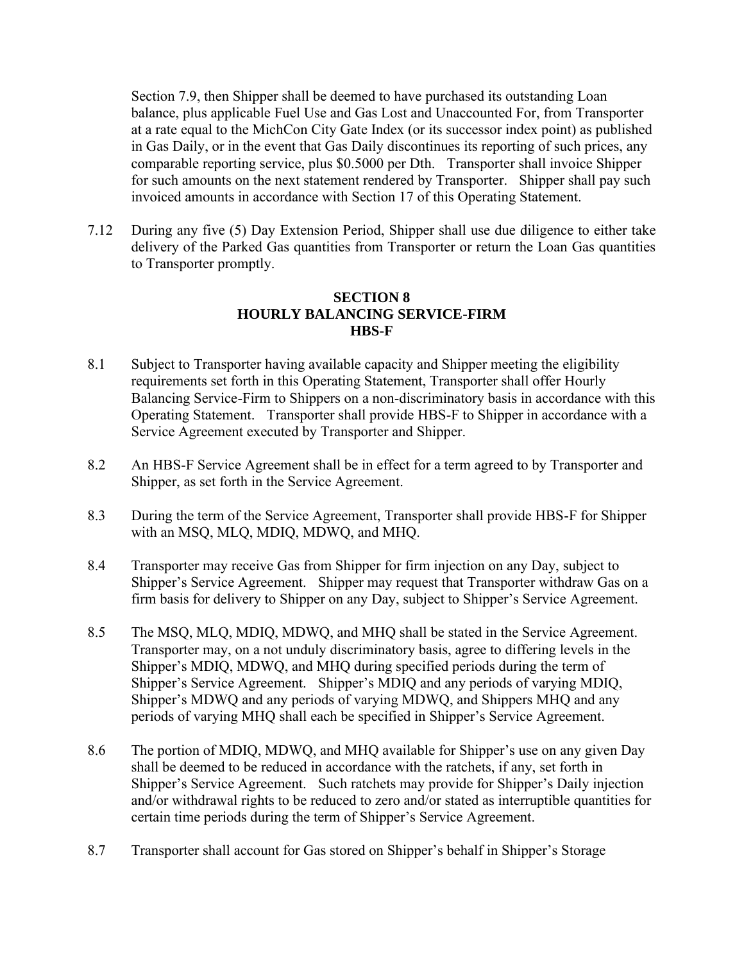Section 7.9, then Shipper shall be deemed to have purchased its outstanding Loan balance, plus applicable Fuel Use and Gas Lost and Unaccounted For, from Transporter at a rate equal to the MichCon City Gate Index (or its successor index point) as published in Gas Daily, or in the event that Gas Daily discontinues its reporting of such prices, any comparable reporting service, plus \$0.5000 per Dth. Transporter shall invoice Shipper for such amounts on the next statement rendered by Transporter. Shipper shall pay such invoiced amounts in accordance with Section 17 of this Operating Statement.

7.12 During any five (5) Day Extension Period, Shipper shall use due diligence to either take delivery of the Parked Gas quantities from Transporter or return the Loan Gas quantities to Transporter promptly.

## **SECTION 8 HOURLY BALANCING SERVICE-FIRM HBS-F**

- 8.1 Subject to Transporter having available capacity and Shipper meeting the eligibility requirements set forth in this Operating Statement, Transporter shall offer Hourly Balancing Service-Firm to Shippers on a non-discriminatory basis in accordance with this Operating Statement. Transporter shall provide HBS-F to Shipper in accordance with a Service Agreement executed by Transporter and Shipper.
- 8.2 An HBS-F Service Agreement shall be in effect for a term agreed to by Transporter and Shipper, as set forth in the Service Agreement.
- 8.3 During the term of the Service Agreement, Transporter shall provide HBS-F for Shipper with an MSQ, MLQ, MDIQ, MDWQ, and MHQ.
- 8.4 Transporter may receive Gas from Shipper for firm injection on any Day, subject to Shipper's Service Agreement. Shipper may request that Transporter withdraw Gas on a firm basis for delivery to Shipper on any Day, subject to Shipper's Service Agreement.
- 8.5 The MSQ, MLQ, MDIQ, MDWQ, and MHQ shall be stated in the Service Agreement. Transporter may, on a not unduly discriminatory basis, agree to differing levels in the Shipper's MDIQ, MDWQ, and MHQ during specified periods during the term of Shipper's Service Agreement. Shipper's MDIQ and any periods of varying MDIQ, Shipper's MDWQ and any periods of varying MDWQ, and Shippers MHQ and any periods of varying MHQ shall each be specified in Shipper's Service Agreement.
- 8.6 The portion of MDIQ, MDWQ, and MHQ available for Shipper's use on any given Day shall be deemed to be reduced in accordance with the ratchets, if any, set forth in Shipper's Service Agreement. Such ratchets may provide for Shipper's Daily injection and/or withdrawal rights to be reduced to zero and/or stated as interruptible quantities for certain time periods during the term of Shipper's Service Agreement.
- 8.7 Transporter shall account for Gas stored on Shipper's behalf in Shipper's Storage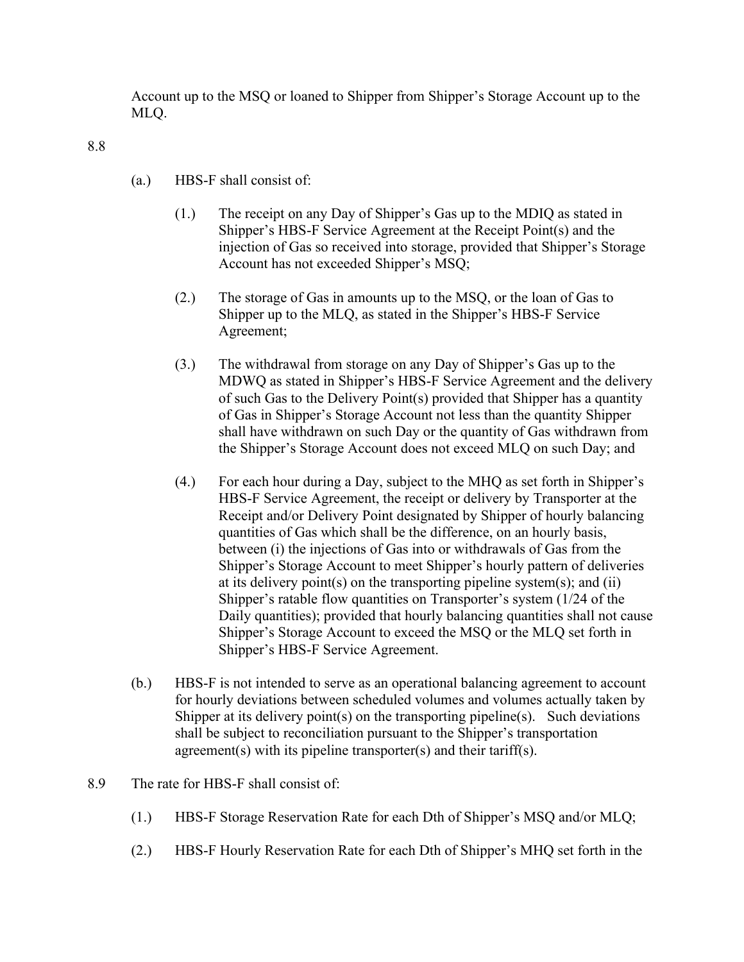Account up to the MSQ or loaned to Shipper from Shipper's Storage Account up to the MLQ.

8.8

- (a.) HBS-F shall consist of:
	- (1.) The receipt on any Day of Shipper's Gas up to the MDIQ as stated in Shipper's HBS-F Service Agreement at the Receipt Point(s) and the injection of Gas so received into storage, provided that Shipper's Storage Account has not exceeded Shipper's MSQ;
	- (2.) The storage of Gas in amounts up to the MSQ, or the loan of Gas to Shipper up to the MLQ, as stated in the Shipper's HBS-F Service Agreement;
	- (3.) The withdrawal from storage on any Day of Shipper's Gas up to the MDWQ as stated in Shipper's HBS-F Service Agreement and the delivery of such Gas to the Delivery Point(s) provided that Shipper has a quantity of Gas in Shipper's Storage Account not less than the quantity Shipper shall have withdrawn on such Day or the quantity of Gas withdrawn from the Shipper's Storage Account does not exceed MLQ on such Day; and
	- (4.) For each hour during a Day, subject to the MHQ as set forth in Shipper's HBS-F Service Agreement, the receipt or delivery by Transporter at the Receipt and/or Delivery Point designated by Shipper of hourly balancing quantities of Gas which shall be the difference, on an hourly basis, between (i) the injections of Gas into or withdrawals of Gas from the Shipper's Storage Account to meet Shipper's hourly pattern of deliveries at its delivery point(s) on the transporting pipeline system(s); and (ii) Shipper's ratable flow quantities on Transporter's system (1/24 of the Daily quantities); provided that hourly balancing quantities shall not cause Shipper's Storage Account to exceed the MSQ or the MLQ set forth in Shipper's HBS-F Service Agreement.
- (b.) HBS-F is not intended to serve as an operational balancing agreement to account for hourly deviations between scheduled volumes and volumes actually taken by Shipper at its delivery point(s) on the transporting pipeline(s). Such deviations shall be subject to reconciliation pursuant to the Shipper's transportation agreement(s) with its pipeline transporter(s) and their tariff(s).
- 8.9 The rate for HBS-F shall consist of:
	- (1.) HBS-F Storage Reservation Rate for each Dth of Shipper's MSQ and/or MLQ;
	- (2.) HBS-F Hourly Reservation Rate for each Dth of Shipper's MHQ set forth in the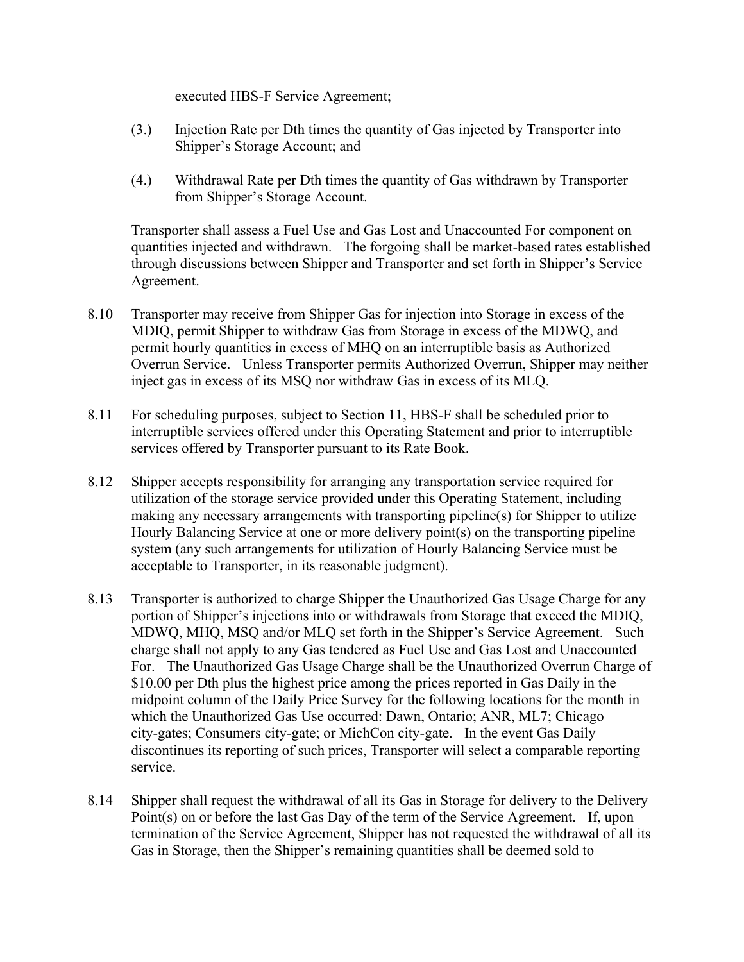executed HBS-F Service Agreement;

- (3.) Injection Rate per Dth times the quantity of Gas injected by Transporter into Shipper's Storage Account; and
- (4.) Withdrawal Rate per Dth times the quantity of Gas withdrawn by Transporter from Shipper's Storage Account.

Transporter shall assess a Fuel Use and Gas Lost and Unaccounted For component on quantities injected and withdrawn. The forgoing shall be market-based rates established through discussions between Shipper and Transporter and set forth in Shipper's Service Agreement.

- 8.10 Transporter may receive from Shipper Gas for injection into Storage in excess of the MDIQ, permit Shipper to withdraw Gas from Storage in excess of the MDWQ, and permit hourly quantities in excess of MHQ on an interruptible basis as Authorized Overrun Service. Unless Transporter permits Authorized Overrun, Shipper may neither inject gas in excess of its MSQ nor withdraw Gas in excess of its MLQ.
- 8.11 For scheduling purposes, subject to Section 11, HBS-F shall be scheduled prior to interruptible services offered under this Operating Statement and prior to interruptible services offered by Transporter pursuant to its Rate Book.
- 8.12 Shipper accepts responsibility for arranging any transportation service required for utilization of the storage service provided under this Operating Statement, including making any necessary arrangements with transporting pipeline(s) for Shipper to utilize Hourly Balancing Service at one or more delivery point(s) on the transporting pipeline system (any such arrangements for utilization of Hourly Balancing Service must be acceptable to Transporter, in its reasonable judgment).
- 8.13 Transporter is authorized to charge Shipper the Unauthorized Gas Usage Charge for any portion of Shipper's injections into or withdrawals from Storage that exceed the MDIQ, MDWQ, MHQ, MSQ and/or MLQ set forth in the Shipper's Service Agreement. Such charge shall not apply to any Gas tendered as Fuel Use and Gas Lost and Unaccounted For. The Unauthorized Gas Usage Charge shall be the Unauthorized Overrun Charge of \$10.00 per Dth plus the highest price among the prices reported in Gas Daily in the midpoint column of the Daily Price Survey for the following locations for the month in which the Unauthorized Gas Use occurred: Dawn, Ontario; ANR, ML7; Chicago city-gates; Consumers city-gate; or MichCon city-gate. In the event Gas Daily discontinues its reporting of such prices, Transporter will select a comparable reporting service.
- 8.14 Shipper shall request the withdrawal of all its Gas in Storage for delivery to the Delivery Point(s) on or before the last Gas Day of the term of the Service Agreement. If, upon termination of the Service Agreement, Shipper has not requested the withdrawal of all its Gas in Storage, then the Shipper's remaining quantities shall be deemed sold to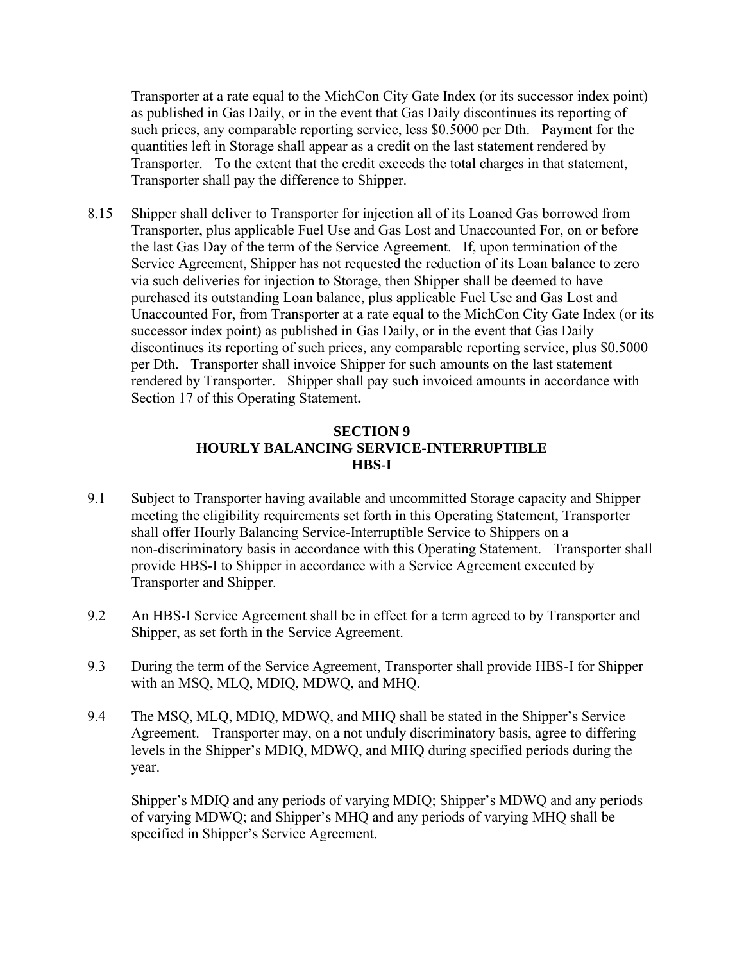Transporter at a rate equal to the MichCon City Gate Index (or its successor index point) as published in Gas Daily, or in the event that Gas Daily discontinues its reporting of such prices, any comparable reporting service, less \$0.5000 per Dth. Payment for the quantities left in Storage shall appear as a credit on the last statement rendered by Transporter. To the extent that the credit exceeds the total charges in that statement, Transporter shall pay the difference to Shipper.

8.15 Shipper shall deliver to Transporter for injection all of its Loaned Gas borrowed from Transporter, plus applicable Fuel Use and Gas Lost and Unaccounted For, on or before the last Gas Day of the term of the Service Agreement. If, upon termination of the Service Agreement, Shipper has not requested the reduction of its Loan balance to zero via such deliveries for injection to Storage, then Shipper shall be deemed to have purchased its outstanding Loan balance, plus applicable Fuel Use and Gas Lost and Unaccounted For, from Transporter at a rate equal to the MichCon City Gate Index (or its successor index point) as published in Gas Daily, or in the event that Gas Daily discontinues its reporting of such prices, any comparable reporting service, plus \$0.5000 per Dth. Transporter shall invoice Shipper for such amounts on the last statement rendered by Transporter. Shipper shall pay such invoiced amounts in accordance with Section 17 of this Operating Statement**.**

# **SECTION 9 HOURLY BALANCING SERVICE-INTERRUPTIBLE HBS-I**

- 9.1 Subject to Transporter having available and uncommitted Storage capacity and Shipper meeting the eligibility requirements set forth in this Operating Statement, Transporter shall offer Hourly Balancing Service-Interruptible Service to Shippers on a non-discriminatory basis in accordance with this Operating Statement. Transporter shall provide HBS-I to Shipper in accordance with a Service Agreement executed by Transporter and Shipper.
- 9.2 An HBS-I Service Agreement shall be in effect for a term agreed to by Transporter and Shipper, as set forth in the Service Agreement.
- 9.3 During the term of the Service Agreement, Transporter shall provide HBS-I for Shipper with an MSQ, MLQ, MDIQ, MDWQ, and MHQ.
- 9.4 The MSQ, MLQ, MDIQ, MDWQ, and MHQ shall be stated in the Shipper's Service Agreement. Transporter may, on a not unduly discriminatory basis, agree to differing levels in the Shipper's MDIQ, MDWQ, and MHQ during specified periods during the year.

Shipper's MDIQ and any periods of varying MDIQ; Shipper's MDWQ and any periods of varying MDWQ; and Shipper's MHQ and any periods of varying MHQ shall be specified in Shipper's Service Agreement.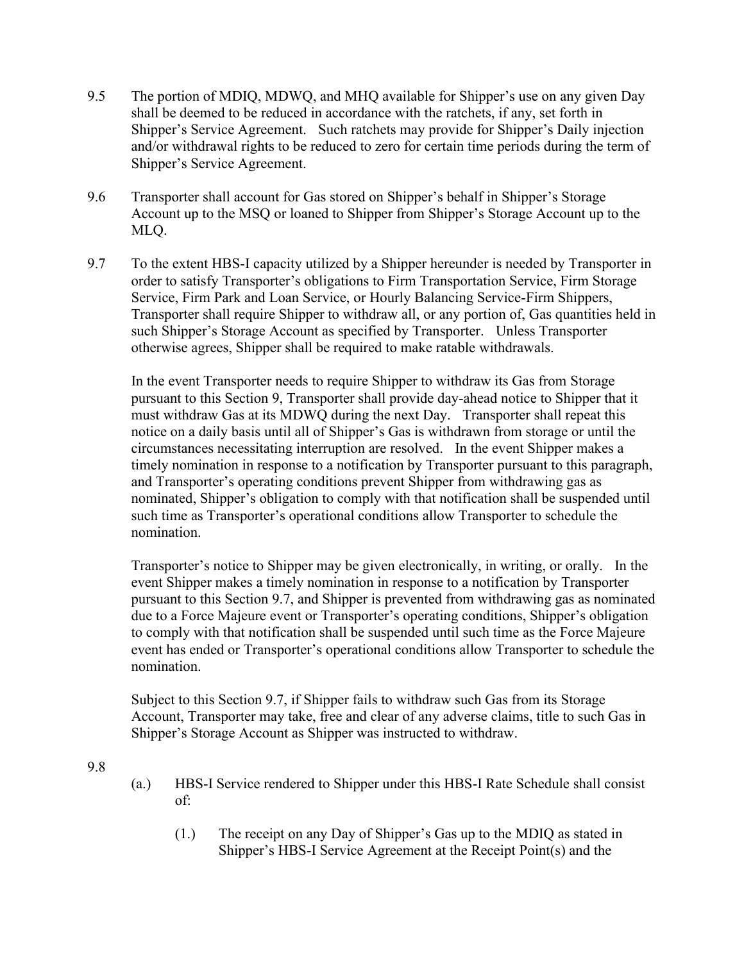- 9.5 The portion of MDIQ, MDWQ, and MHQ available for Shipper's use on any given Day shall be deemed to be reduced in accordance with the ratchets, if any, set forth in Shipper's Service Agreement. Such ratchets may provide for Shipper's Daily injection and/or withdrawal rights to be reduced to zero for certain time periods during the term of Shipper's Service Agreement.
- 9.6 Transporter shall account for Gas stored on Shipper's behalf in Shipper's Storage Account up to the MSQ or loaned to Shipper from Shipper's Storage Account up to the MLQ.
- 9.7 To the extent HBS-I capacity utilized by a Shipper hereunder is needed by Transporter in order to satisfy Transporter's obligations to Firm Transportation Service, Firm Storage Service, Firm Park and Loan Service, or Hourly Balancing Service-Firm Shippers, Transporter shall require Shipper to withdraw all, or any portion of, Gas quantities held in such Shipper's Storage Account as specified by Transporter. Unless Transporter otherwise agrees, Shipper shall be required to make ratable withdrawals.

In the event Transporter needs to require Shipper to withdraw its Gas from Storage pursuant to this Section 9, Transporter shall provide day-ahead notice to Shipper that it must withdraw Gas at its MDWQ during the next Day. Transporter shall repeat this notice on a daily basis until all of Shipper's Gas is withdrawn from storage or until the circumstances necessitating interruption are resolved. In the event Shipper makes a timely nomination in response to a notification by Transporter pursuant to this paragraph, and Transporter's operating conditions prevent Shipper from withdrawing gas as nominated, Shipper's obligation to comply with that notification shall be suspended until such time as Transporter's operational conditions allow Transporter to schedule the nomination.

Transporter's notice to Shipper may be given electronically, in writing, or orally. In the event Shipper makes a timely nomination in response to a notification by Transporter pursuant to this Section 9.7, and Shipper is prevented from withdrawing gas as nominated due to a Force Majeure event or Transporter's operating conditions, Shipper's obligation to comply with that notification shall be suspended until such time as the Force Majeure event has ended or Transporter's operational conditions allow Transporter to schedule the nomination.

Subject to this Section 9.7, if Shipper fails to withdraw such Gas from its Storage Account, Transporter may take, free and clear of any adverse claims, title to such Gas in Shipper's Storage Account as Shipper was instructed to withdraw.

9.8

- (a.) HBS-I Service rendered to Shipper under this HBS-I Rate Schedule shall consist of:
	- (1.) The receipt on any Day of Shipper's Gas up to the MDIQ as stated in Shipper's HBS-I Service Agreement at the Receipt Point(s) and the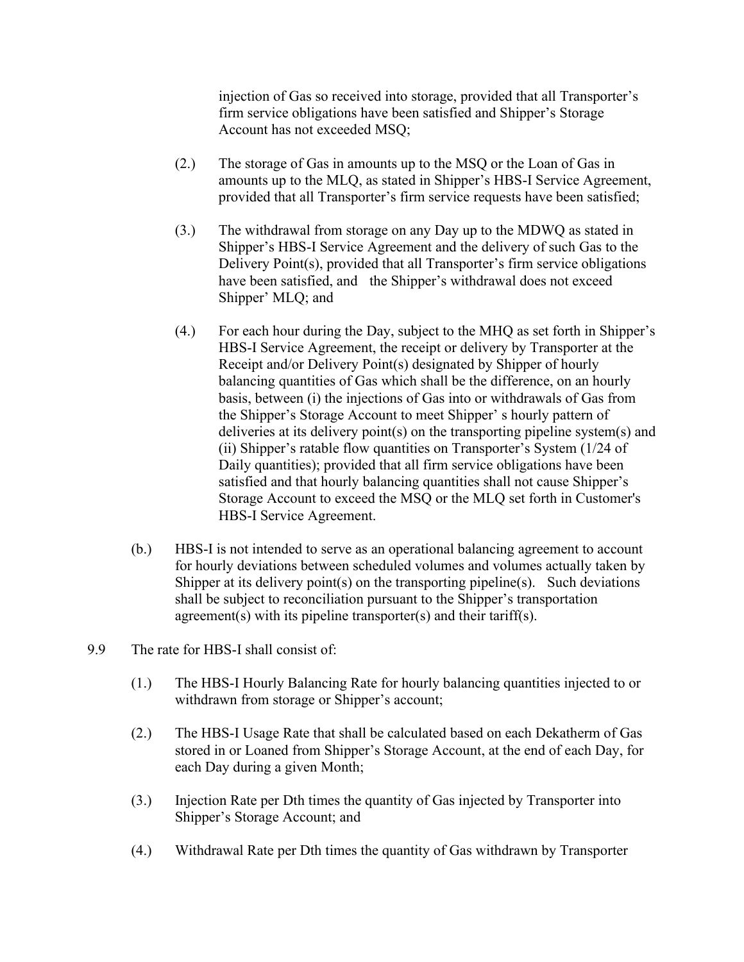injection of Gas so received into storage, provided that all Transporter's firm service obligations have been satisfied and Shipper's Storage Account has not exceeded MSQ;

- (2.) The storage of Gas in amounts up to the MSQ or the Loan of Gas in amounts up to the MLQ, as stated in Shipper's HBS-I Service Agreement, provided that all Transporter's firm service requests have been satisfied;
- (3.) The withdrawal from storage on any Day up to the MDWQ as stated in Shipper's HBS-I Service Agreement and the delivery of such Gas to the Delivery Point(s), provided that all Transporter's firm service obligations have been satisfied, and the Shipper's withdrawal does not exceed Shipper' MLQ; and
- (4.) For each hour during the Day, subject to the MHQ as set forth in Shipper's HBS-I Service Agreement, the receipt or delivery by Transporter at the Receipt and/or Delivery Point(s) designated by Shipper of hourly balancing quantities of Gas which shall be the difference, on an hourly basis, between (i) the injections of Gas into or withdrawals of Gas from the Shipper's Storage Account to meet Shipper' s hourly pattern of deliveries at its delivery point(s) on the transporting pipeline system(s) and (ii) Shipper's ratable flow quantities on Transporter's System (1/24 of Daily quantities); provided that all firm service obligations have been satisfied and that hourly balancing quantities shall not cause Shipper's Storage Account to exceed the MSQ or the MLQ set forth in Customer's HBS-I Service Agreement.
- (b.) HBS-I is not intended to serve as an operational balancing agreement to account for hourly deviations between scheduled volumes and volumes actually taken by Shipper at its delivery point(s) on the transporting pipeline(s). Such deviations shall be subject to reconciliation pursuant to the Shipper's transportation agreement(s) with its pipeline transporter(s) and their tariff(s).
- 9.9 The rate for HBS-I shall consist of:
	- (1.) The HBS-I Hourly Balancing Rate for hourly balancing quantities injected to or withdrawn from storage or Shipper's account;
	- (2.) The HBS-I Usage Rate that shall be calculated based on each Dekatherm of Gas stored in or Loaned from Shipper's Storage Account, at the end of each Day, for each Day during a given Month;
	- (3.) Injection Rate per Dth times the quantity of Gas injected by Transporter into Shipper's Storage Account; and
	- (4.) Withdrawal Rate per Dth times the quantity of Gas withdrawn by Transporter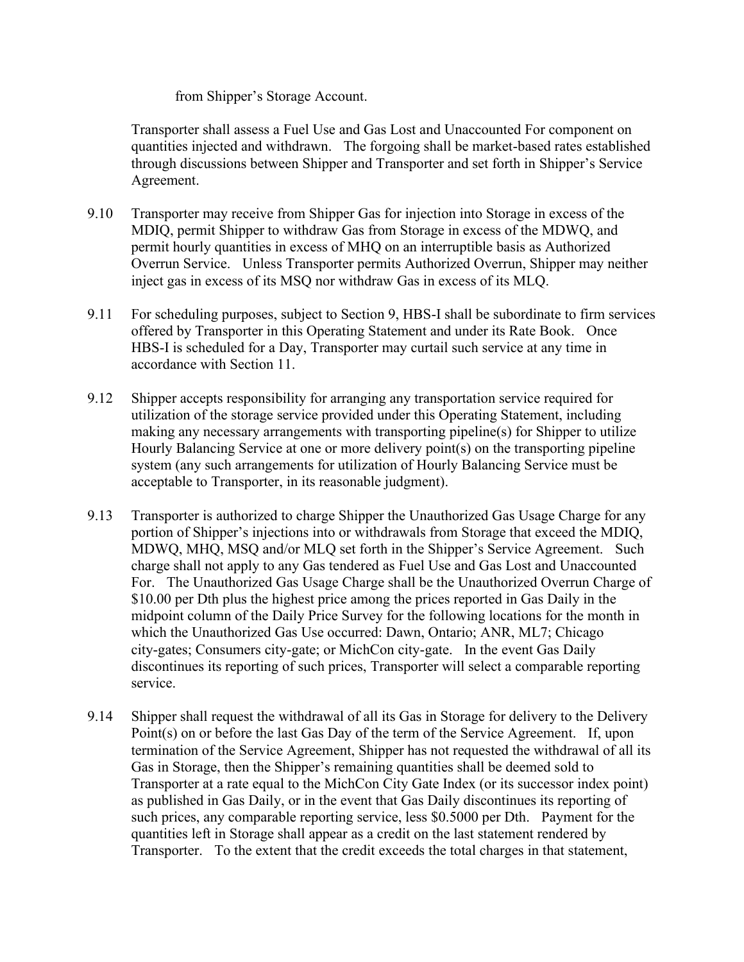from Shipper's Storage Account.

Transporter shall assess a Fuel Use and Gas Lost and Unaccounted For component on quantities injected and withdrawn. The forgoing shall be market-based rates established through discussions between Shipper and Transporter and set forth in Shipper's Service Agreement.

- 9.10 Transporter may receive from Shipper Gas for injection into Storage in excess of the MDIQ, permit Shipper to withdraw Gas from Storage in excess of the MDWQ, and permit hourly quantities in excess of MHQ on an interruptible basis as Authorized Overrun Service. Unless Transporter permits Authorized Overrun, Shipper may neither inject gas in excess of its MSQ nor withdraw Gas in excess of its MLQ.
- 9.11 For scheduling purposes, subject to Section 9, HBS-I shall be subordinate to firm services offered by Transporter in this Operating Statement and under its Rate Book. Once HBS-I is scheduled for a Day, Transporter may curtail such service at any time in accordance with Section 11.
- 9.12 Shipper accepts responsibility for arranging any transportation service required for utilization of the storage service provided under this Operating Statement, including making any necessary arrangements with transporting pipeline(s) for Shipper to utilize Hourly Balancing Service at one or more delivery point(s) on the transporting pipeline system (any such arrangements for utilization of Hourly Balancing Service must be acceptable to Transporter, in its reasonable judgment).
- 9.13 Transporter is authorized to charge Shipper the Unauthorized Gas Usage Charge for any portion of Shipper's injections into or withdrawals from Storage that exceed the MDIQ, MDWQ, MHQ, MSQ and/or MLQ set forth in the Shipper's Service Agreement. Such charge shall not apply to any Gas tendered as Fuel Use and Gas Lost and Unaccounted For. The Unauthorized Gas Usage Charge shall be the Unauthorized Overrun Charge of \$10.00 per Dth plus the highest price among the prices reported in Gas Daily in the midpoint column of the Daily Price Survey for the following locations for the month in which the Unauthorized Gas Use occurred: Dawn, Ontario; ANR, ML7; Chicago city-gates; Consumers city-gate; or MichCon city-gate. In the event Gas Daily discontinues its reporting of such prices, Transporter will select a comparable reporting service.
- 9.14 Shipper shall request the withdrawal of all its Gas in Storage for delivery to the Delivery Point(s) on or before the last Gas Day of the term of the Service Agreement. If, upon termination of the Service Agreement, Shipper has not requested the withdrawal of all its Gas in Storage, then the Shipper's remaining quantities shall be deemed sold to Transporter at a rate equal to the MichCon City Gate Index (or its successor index point) as published in Gas Daily, or in the event that Gas Daily discontinues its reporting of such prices, any comparable reporting service, less \$0.5000 per Dth. Payment for the quantities left in Storage shall appear as a credit on the last statement rendered by Transporter. To the extent that the credit exceeds the total charges in that statement,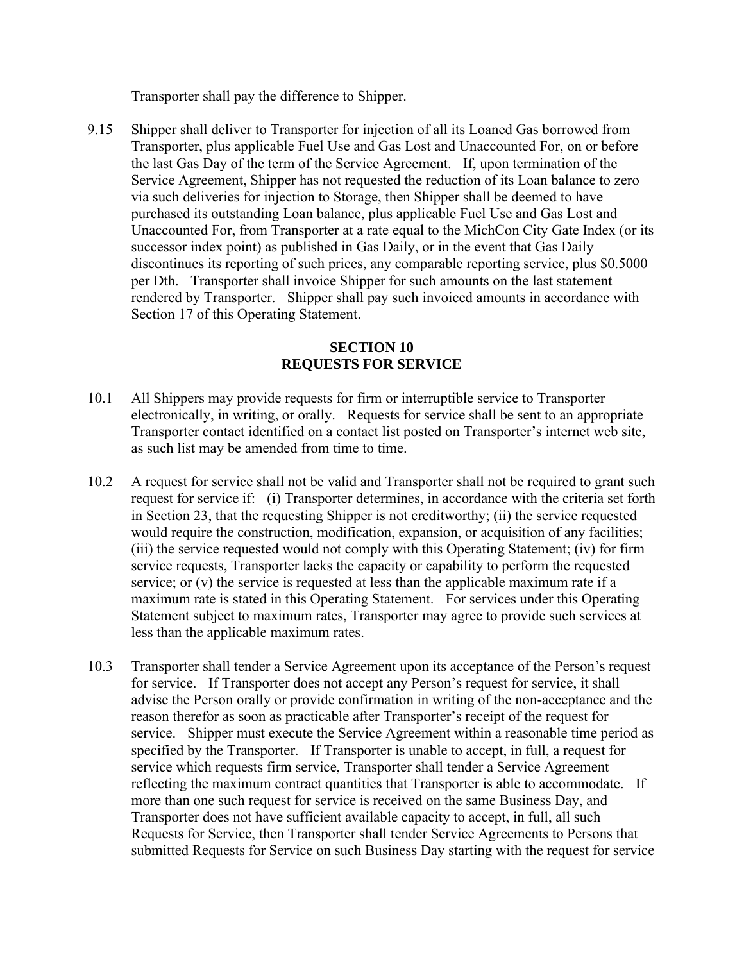Transporter shall pay the difference to Shipper.

9.15 Shipper shall deliver to Transporter for injection of all its Loaned Gas borrowed from Transporter, plus applicable Fuel Use and Gas Lost and Unaccounted For, on or before the last Gas Day of the term of the Service Agreement. If, upon termination of the Service Agreement, Shipper has not requested the reduction of its Loan balance to zero via such deliveries for injection to Storage, then Shipper shall be deemed to have purchased its outstanding Loan balance, plus applicable Fuel Use and Gas Lost and Unaccounted For, from Transporter at a rate equal to the MichCon City Gate Index (or its successor index point) as published in Gas Daily, or in the event that Gas Daily discontinues its reporting of such prices, any comparable reporting service, plus \$0.5000 per Dth. Transporter shall invoice Shipper for such amounts on the last statement rendered by Transporter. Shipper shall pay such invoiced amounts in accordance with Section 17 of this Operating Statement.

### **SECTION 10 REQUESTS FOR SERVICE**

- 10.1 All Shippers may provide requests for firm or interruptible service to Transporter electronically, in writing, or orally. Requests for service shall be sent to an appropriate Transporter contact identified on a contact list posted on Transporter's internet web site, as such list may be amended from time to time.
- 10.2 A request for service shall not be valid and Transporter shall not be required to grant such request for service if: (i) Transporter determines, in accordance with the criteria set forth in Section 23, that the requesting Shipper is not creditworthy; (ii) the service requested would require the construction, modification, expansion, or acquisition of any facilities; (iii) the service requested would not comply with this Operating Statement; (iv) for firm service requests, Transporter lacks the capacity or capability to perform the requested service; or (v) the service is requested at less than the applicable maximum rate if a maximum rate is stated in this Operating Statement. For services under this Operating Statement subject to maximum rates, Transporter may agree to provide such services at less than the applicable maximum rates.
- 10.3 Transporter shall tender a Service Agreement upon its acceptance of the Person's request for service. If Transporter does not accept any Person's request for service, it shall advise the Person orally or provide confirmation in writing of the non-acceptance and the reason therefor as soon as practicable after Transporter's receipt of the request for service. Shipper must execute the Service Agreement within a reasonable time period as specified by the Transporter. If Transporter is unable to accept, in full, a request for service which requests firm service, Transporter shall tender a Service Agreement reflecting the maximum contract quantities that Transporter is able to accommodate. If more than one such request for service is received on the same Business Day, and Transporter does not have sufficient available capacity to accept, in full, all such Requests for Service, then Transporter shall tender Service Agreements to Persons that submitted Requests for Service on such Business Day starting with the request for service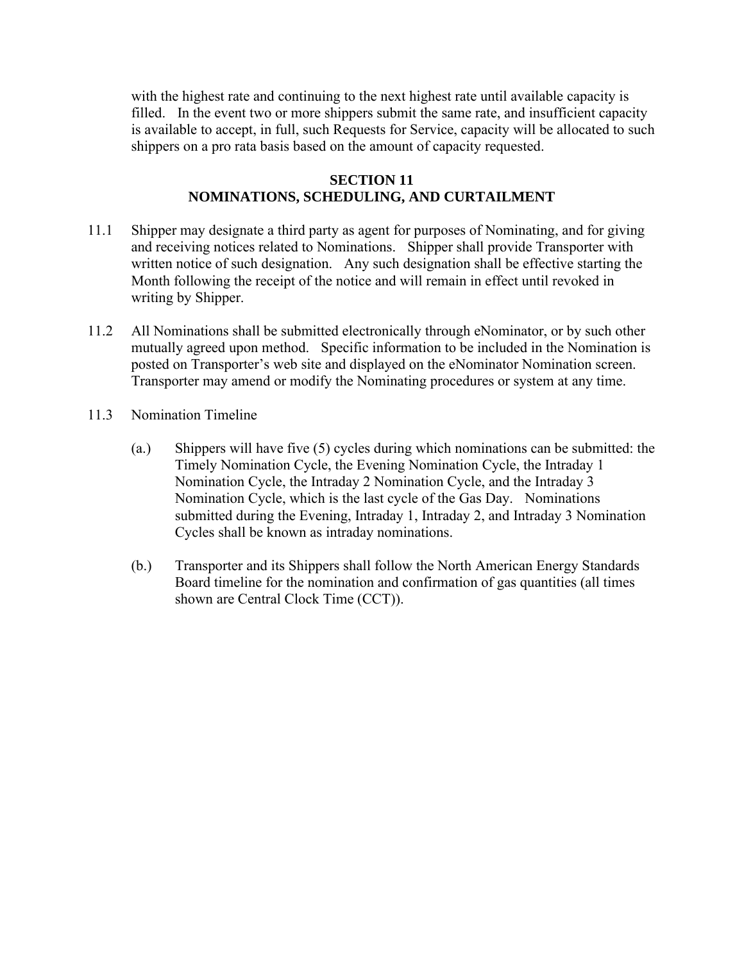with the highest rate and continuing to the next highest rate until available capacity is filled. In the event two or more shippers submit the same rate, and insufficient capacity is available to accept, in full, such Requests for Service, capacity will be allocated to such shippers on a pro rata basis based on the amount of capacity requested.

#### **SECTION 11 NOMINATIONS, SCHEDULING, AND CURTAILMENT**

- 11.1 Shipper may designate a third party as agent for purposes of Nominating, and for giving and receiving notices related to Nominations. Shipper shall provide Transporter with written notice of such designation. Any such designation shall be effective starting the Month following the receipt of the notice and will remain in effect until revoked in writing by Shipper.
- 11.2 All Nominations shall be submitted electronically through eNominator, or by such other mutually agreed upon method. Specific information to be included in the Nomination is posted on Transporter's web site and displayed on the eNominator Nomination screen. Transporter may amend or modify the Nominating procedures or system at any time.
- 11.3 Nomination Timeline
	- (a.) Shippers will have five (5) cycles during which nominations can be submitted: the Timely Nomination Cycle, the Evening Nomination Cycle, the Intraday 1 Nomination Cycle, the Intraday 2 Nomination Cycle, and the Intraday 3 Nomination Cycle, which is the last cycle of the Gas Day. Nominations submitted during the Evening, Intraday 1, Intraday 2, and Intraday 3 Nomination Cycles shall be known as intraday nominations.
	- (b.) Transporter and its Shippers shall follow the North American Energy Standards Board timeline for the nomination and confirmation of gas quantities (all times shown are Central Clock Time (CCT)).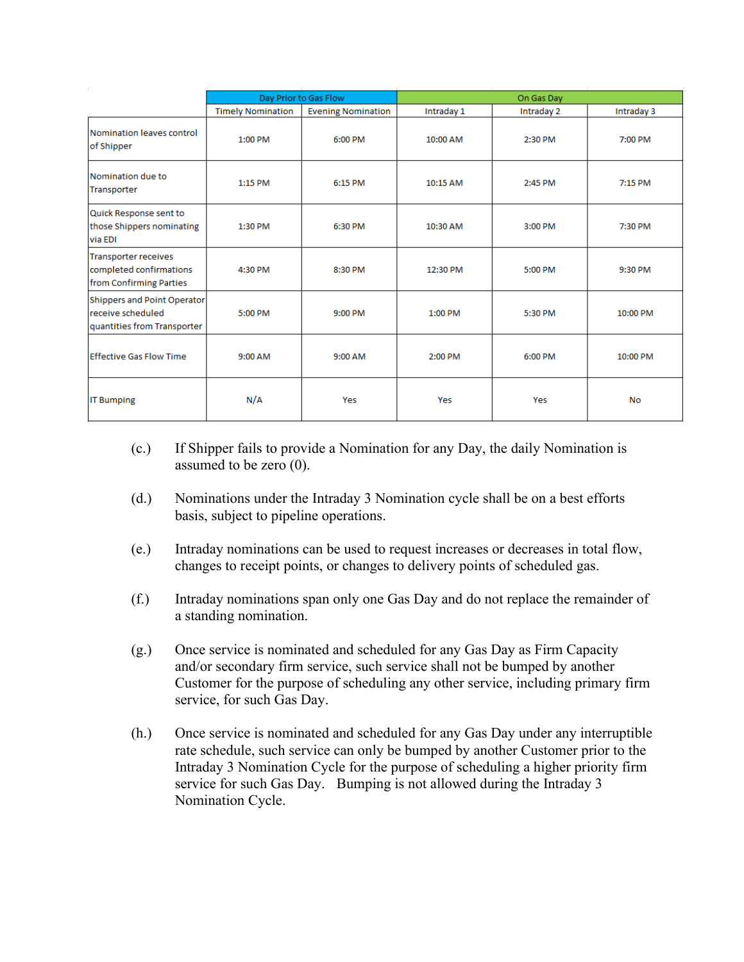|                                                                                   | Day Prior to Gas Flow    |                           | On Gas Day |            |            |
|-----------------------------------------------------------------------------------|--------------------------|---------------------------|------------|------------|------------|
|                                                                                   | <b>Timely Nomination</b> | <b>Evening Nomination</b> | Intraday 1 | Intraday 2 | Intraday 3 |
| Nomination leaves control<br>of Shipper                                           | 1:00 PM                  | 6:00 PM                   | 10:00 AM   | 2:30 PM    | 7:00 PM    |
| Nomination due to<br>Transporter                                                  | 1:15 PM                  | 6:15 PM                   | 10:15 AM   | 2:45 PM    | 7:15 PM    |
| Quick Response sent to<br>those Shippers nominating<br>via EDI                    | 1:30 PM                  | 6:30 PM                   | 10:30 AM   | 3:00 PM    | 7:30 PM    |
| <b>Transporter receives</b><br>completed confirmations<br>from Confirming Parties | 4:30 PM                  | 8:30 PM                   | 12:30 PM   | 5:00 PM    | 9:30 PM    |
| Shippers and Point Operator<br>receive scheduled<br>quantities from Transporter   | 5:00 PM                  | 9:00 PM                   | 1:00 PM    | 5:30 PM    | 10:00 PM   |
| Effective Gas Flow Time                                                           | 9:00 AM                  | 9:00 AM                   | 2:00 PM    | 6:00 PM    | 10:00 PM   |
| <b>IT Bumping</b>                                                                 | N/A                      | Yes                       | Yes        | Yes        | <b>No</b>  |

- (c.) If Shipper fails to provide a Nomination for any Day, the daily Nomination is assumed to be zero (0).
- (d.) Nominations under the Intraday 3 Nomination cycle shall be on a best efforts basis, subject to pipeline operations.
- (e.) Intraday nominations can be used to request increases or decreases in total flow, changes to receipt points, or changes to delivery points of scheduled gas.
- (f.) Intraday nominations span only one Gas Day and do not replace the remainder of a standing nomination.
- (g.) Once service is nominated and scheduled for any Gas Day as Firm Capacity and/or secondary firm service, such service shall not be bumped by another Customer for the purpose of scheduling any other service, including primary firm service, for such Gas Day.
- (h.) Once service is nominated and scheduled for any Gas Day under any interruptible rate schedule, such service can only be bumped by another Customer prior to the Intraday 3 Nomination Cycle for the purpose of scheduling a higher priority firm service for such Gas Day. Bumping is not allowed during the Intraday 3 Nomination Cycle.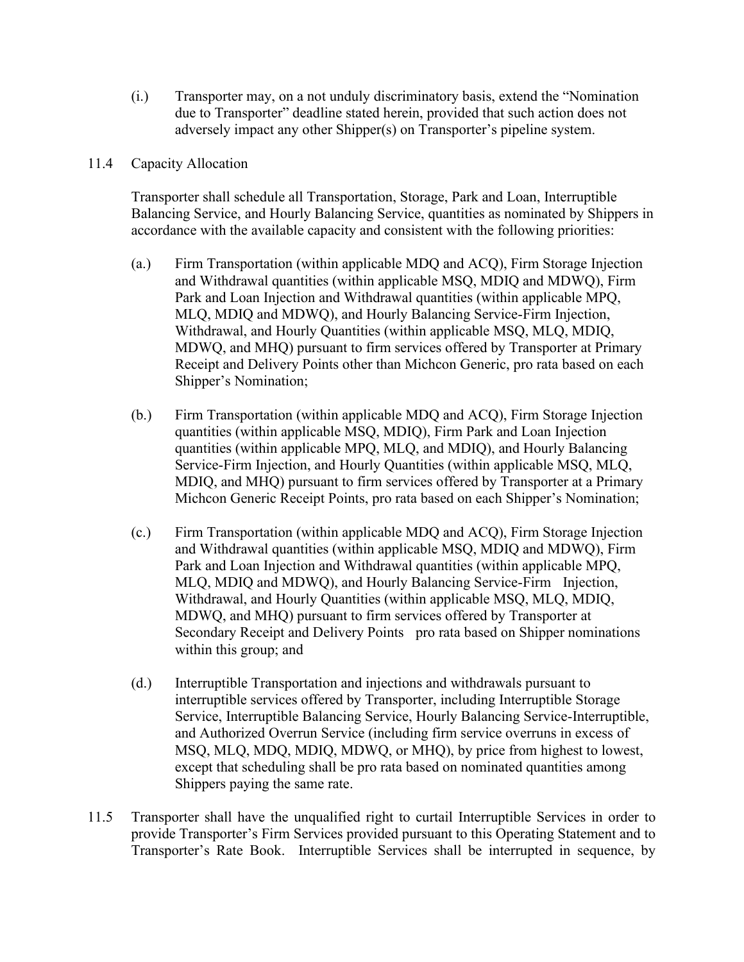- (i.) Transporter may, on a not unduly discriminatory basis, extend the "Nomination due to Transporter" deadline stated herein, provided that such action does not adversely impact any other Shipper(s) on Transporter's pipeline system.
- 11.4 Capacity Allocation

Transporter shall schedule all Transportation, Storage, Park and Loan, Interruptible Balancing Service, and Hourly Balancing Service, quantities as nominated by Shippers in accordance with the available capacity and consistent with the following priorities:

- (a.) Firm Transportation (within applicable MDQ and ACQ), Firm Storage Injection and Withdrawal quantities (within applicable MSQ, MDIQ and MDWQ), Firm Park and Loan Injection and Withdrawal quantities (within applicable MPQ, MLQ, MDIQ and MDWQ), and Hourly Balancing Service-Firm Injection, Withdrawal, and Hourly Quantities (within applicable MSQ, MLQ, MDIQ, MDWQ, and MHQ) pursuant to firm services offered by Transporter at Primary Receipt and Delivery Points other than Michcon Generic, pro rata based on each Shipper's Nomination;
- (b.) Firm Transportation (within applicable MDQ and ACQ), Firm Storage Injection quantities (within applicable MSQ, MDIQ), Firm Park and Loan Injection quantities (within applicable MPQ, MLQ, and MDIQ), and Hourly Balancing Service-Firm Injection, and Hourly Quantities (within applicable MSQ, MLQ, MDIQ, and MHQ) pursuant to firm services offered by Transporter at a Primary Michcon Generic Receipt Points, pro rata based on each Shipper's Nomination;
- (c.) Firm Transportation (within applicable MDQ and ACQ), Firm Storage Injection and Withdrawal quantities (within applicable MSQ, MDIQ and MDWQ), Firm Park and Loan Injection and Withdrawal quantities (within applicable MPQ, MLQ, MDIQ and MDWQ), and Hourly Balancing Service-Firm Injection, Withdrawal, and Hourly Quantities (within applicable MSQ, MLQ, MDIQ, MDWQ, and MHQ) pursuant to firm services offered by Transporter at Secondary Receipt and Delivery Points pro rata based on Shipper nominations within this group; and
- (d.) Interruptible Transportation and injections and withdrawals pursuant to interruptible services offered by Transporter, including Interruptible Storage Service, Interruptible Balancing Service, Hourly Balancing Service-Interruptible, and Authorized Overrun Service (including firm service overruns in excess of MSQ, MLQ, MDQ, MDIQ, MDWQ, or MHQ), by price from highest to lowest, except that scheduling shall be pro rata based on nominated quantities among Shippers paying the same rate.
- 11.5 Transporter shall have the unqualified right to curtail Interruptible Services in order to provide Transporter's Firm Services provided pursuant to this Operating Statement and to Transporter's Rate Book. Interruptible Services shall be interrupted in sequence, by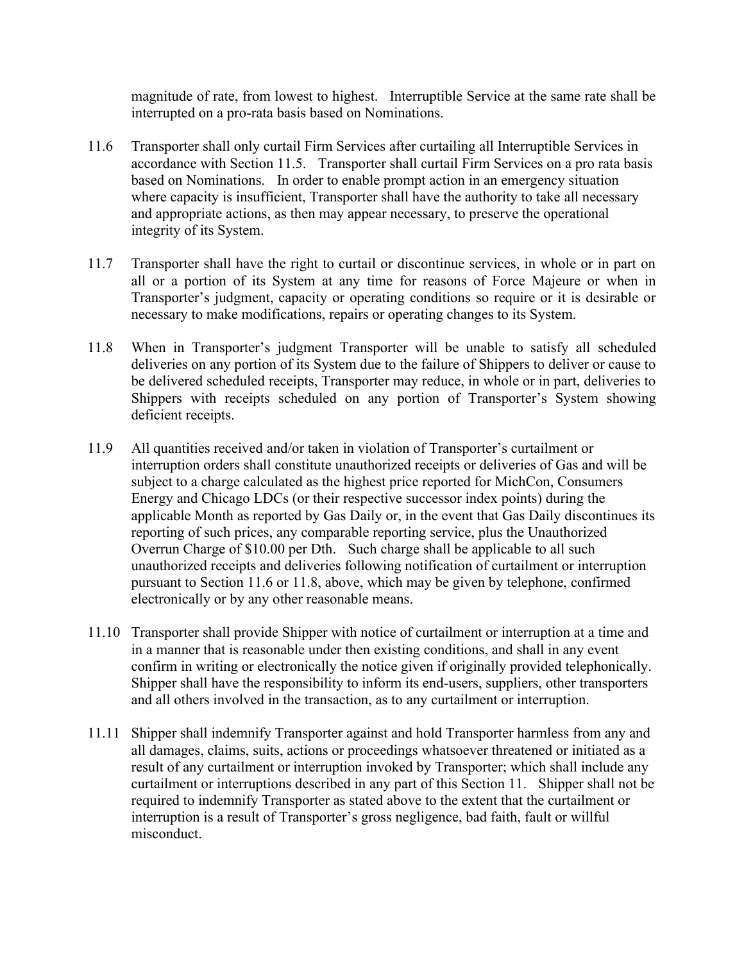magnitude of rate, from lowest to highest. Interruptible Service at the same rate shall be interrupted on a pro-rata basis based on Nominations.

- 11.6 Transporter shall only curtail Firm Services after curtailing all Interruptible Services in accordance with Section 11.5. Transporter shall curtail Firm Services on a pro rata basis based on Nominations. In order to enable prompt action in an emergency situation where capacity is insufficient, Transporter shall have the authority to take all necessary and appropriate actions, as then may appear necessary, to preserve the operational integrity of its System.
- 11.7 Transporter shall have the right to curtail or discontinue services, in whole or in part on all or a portion of its System at any time for reasons of Force Majeure or when in Transporter's judgment, capacity or operating conditions so require or it is desirable or necessary to make modifications, repairs or operating changes to its System.
- 11.8 When in Transporter's judgment Transporter will be unable to satisfy all scheduled deliveries on any portion of its System due to the failure of Shippers to deliver or cause to be delivered scheduled receipts, Transporter may reduce, in whole or in part, deliveries to Shippers with receipts scheduled on any portion of Transporter's System showing deficient receipts.
- 11.9 All quantities received and/or taken in violation of Transporter's curtailment or interruption orders shall constitute unauthorized receipts or deliveries of Gas and will be subject to a charge calculated as the highest price reported for MichCon, Consumers Energy and Chicago LDCs (or their respective successor index points) during the applicable Month as reported by Gas Daily or, in the event that Gas Daily discontinues its reporting of such prices, any comparable reporting service, plus the Unauthorized Overrun Charge of \$10.00 per Dth. Such charge shall be applicable to all such unauthorized receipts and deliveries following notification of curtailment or interruption pursuant to Section 11.6 or 11.8, above, which may be given by telephone, confirmed electronically or by any other reasonable means.
- 11.10 Transporter shall provide Shipper with notice of curtailment or interruption at a time and in a manner that is reasonable under then existing conditions, and shall in any event confirm in writing or electronically the notice given if originally provided telephonically. Shipper shall have the responsibility to inform its end-users, suppliers, other transporters and all others involved in the transaction, as to any curtailment or interruption.
- 11.11 Shipper shall indemnify Transporter against and hold Transporter harmless from any and all damages, claims, suits, actions or proceedings whatsoever threatened or initiated as a result of any curtailment or interruption invoked by Transporter; which shall include any curtailment or interruptions described in any part of this Section 11. Shipper shall not be required to indemnify Transporter as stated above to the extent that the curtailment or interruption is a result of Transporter's gross negligence, bad faith, fault or willful misconduct.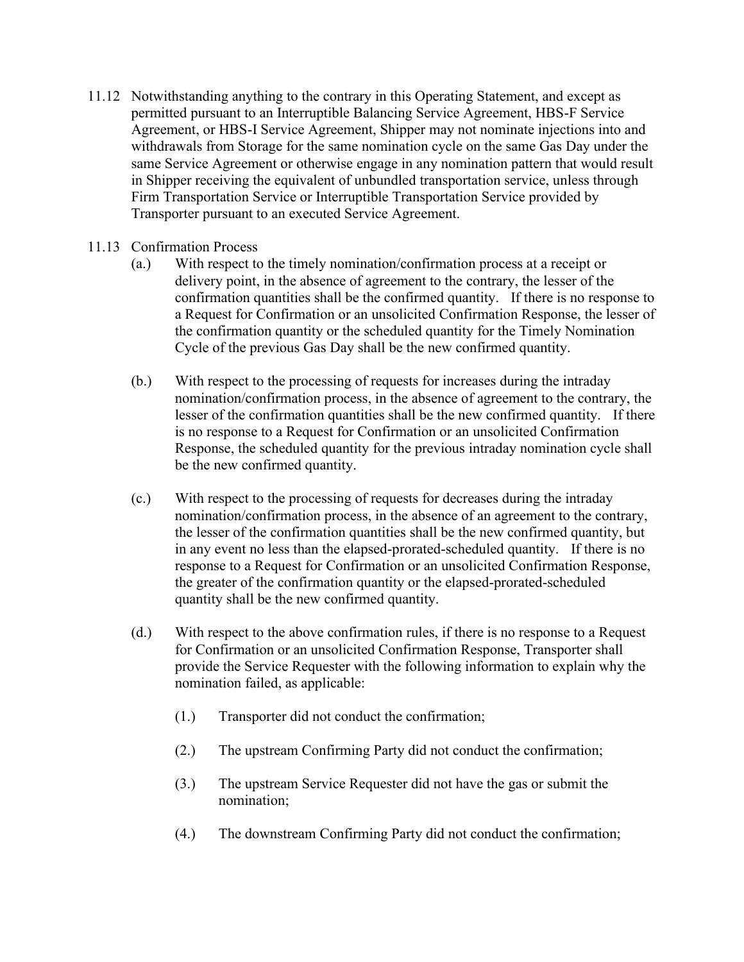11.12 Notwithstanding anything to the contrary in this Operating Statement, and except as permitted pursuant to an Interruptible Balancing Service Agreement, HBS-F Service Agreement, or HBS-I Service Agreement, Shipper may not nominate injections into and withdrawals from Storage for the same nomination cycle on the same Gas Day under the same Service Agreement or otherwise engage in any nomination pattern that would result in Shipper receiving the equivalent of unbundled transportation service, unless through Firm Transportation Service or Interruptible Transportation Service provided by Transporter pursuant to an executed Service Agreement.

### 11.13 Confirmation Process

- (a.) With respect to the timely nomination/confirmation process at a receipt or delivery point, in the absence of agreement to the contrary, the lesser of the confirmation quantities shall be the confirmed quantity. If there is no response to a Request for Confirmation or an unsolicited Confirmation Response, the lesser of the confirmation quantity or the scheduled quantity for the Timely Nomination Cycle of the previous Gas Day shall be the new confirmed quantity.
- (b.) With respect to the processing of requests for increases during the intraday nomination/confirmation process, in the absence of agreement to the contrary, the lesser of the confirmation quantities shall be the new confirmed quantity. If there is no response to a Request for Confirmation or an unsolicited Confirmation Response, the scheduled quantity for the previous intraday nomination cycle shall be the new confirmed quantity.
- (c.) With respect to the processing of requests for decreases during the intraday nomination/confirmation process, in the absence of an agreement to the contrary, the lesser of the confirmation quantities shall be the new confirmed quantity, but in any event no less than the elapsed-prorated-scheduled quantity. If there is no response to a Request for Confirmation or an unsolicited Confirmation Response, the greater of the confirmation quantity or the elapsed-prorated-scheduled quantity shall be the new confirmed quantity.
- (d.) With respect to the above confirmation rules, if there is no response to a Request for Confirmation or an unsolicited Confirmation Response, Transporter shall provide the Service Requester with the following information to explain why the nomination failed, as applicable:
	- (1.) Transporter did not conduct the confirmation;
	- (2.) The upstream Confirming Party did not conduct the confirmation;
	- (3.) The upstream Service Requester did not have the gas or submit the nomination;
	- (4.) The downstream Confirming Party did not conduct the confirmation;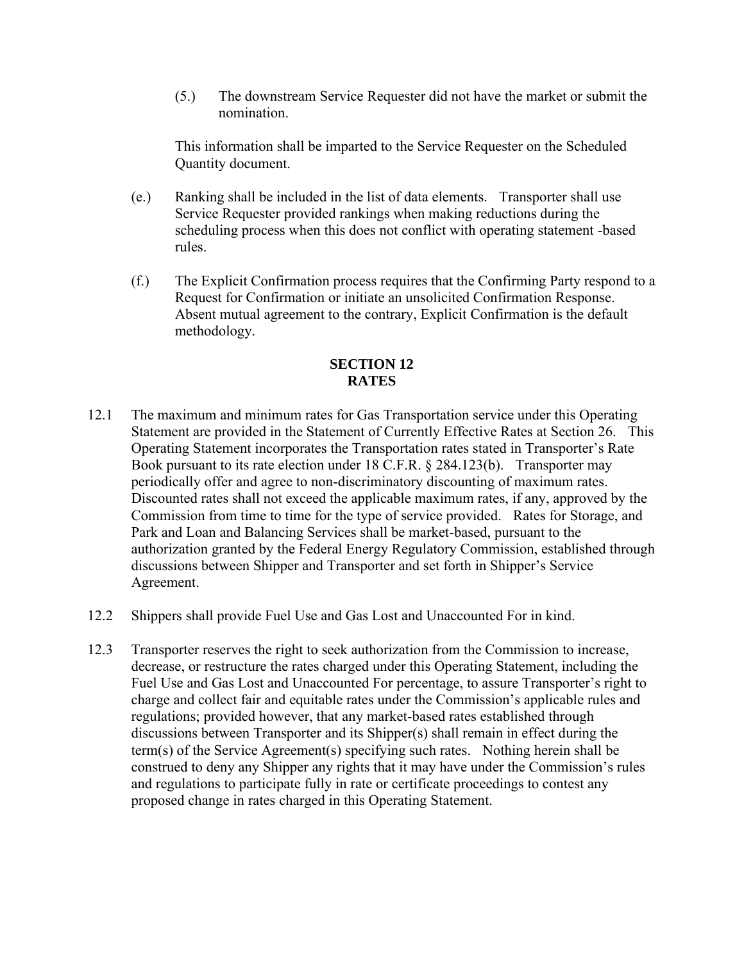(5.) The downstream Service Requester did not have the market or submit the nomination.

This information shall be imparted to the Service Requester on the Scheduled Quantity document.

- (e.) Ranking shall be included in the list of data elements. Transporter shall use Service Requester provided rankings when making reductions during the scheduling process when this does not conflict with operating statement -based rules.
- (f.) The Explicit Confirmation process requires that the Confirming Party respond to a Request for Confirmation or initiate an unsolicited Confirmation Response. Absent mutual agreement to the contrary, Explicit Confirmation is the default methodology.

# **SECTION 12 RATES**

- 12.1 The maximum and minimum rates for Gas Transportation service under this Operating Statement are provided in the Statement of Currently Effective Rates at Section 26. This Operating Statement incorporates the Transportation rates stated in Transporter's Rate Book pursuant to its rate election under 18 C.F.R. § 284.123(b). Transporter may periodically offer and agree to non-discriminatory discounting of maximum rates. Discounted rates shall not exceed the applicable maximum rates, if any, approved by the Commission from time to time for the type of service provided. Rates for Storage, and Park and Loan and Balancing Services shall be market-based, pursuant to the authorization granted by the Federal Energy Regulatory Commission, established through discussions between Shipper and Transporter and set forth in Shipper's Service Agreement.
- 12.2 Shippers shall provide Fuel Use and Gas Lost and Unaccounted For in kind.
- 12.3 Transporter reserves the right to seek authorization from the Commission to increase, decrease, or restructure the rates charged under this Operating Statement, including the Fuel Use and Gas Lost and Unaccounted For percentage, to assure Transporter's right to charge and collect fair and equitable rates under the Commission's applicable rules and regulations; provided however, that any market-based rates established through discussions between Transporter and its Shipper(s) shall remain in effect during the term(s) of the Service Agreement(s) specifying such rates. Nothing herein shall be construed to deny any Shipper any rights that it may have under the Commission's rules and regulations to participate fully in rate or certificate proceedings to contest any proposed change in rates charged in this Operating Statement.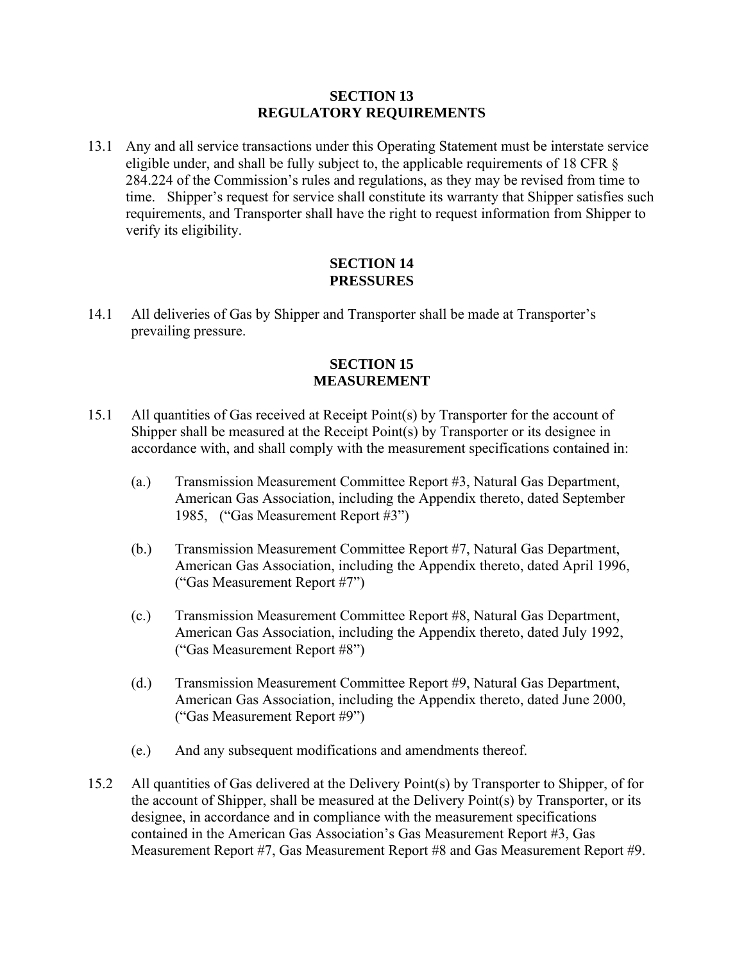#### **SECTION 13 REGULATORY REQUIREMENTS**

13.1 Any and all service transactions under this Operating Statement must be interstate service eligible under, and shall be fully subject to, the applicable requirements of 18 CFR § 284.224 of the Commission's rules and regulations, as they may be revised from time to time. Shipper's request for service shall constitute its warranty that Shipper satisfies such requirements, and Transporter shall have the right to request information from Shipper to verify its eligibility.

#### **SECTION 14 PRESSURES**

14.1 All deliveries of Gas by Shipper and Transporter shall be made at Transporter's prevailing pressure.

### **SECTION 15 MEASUREMENT**

- 15.1 All quantities of Gas received at Receipt Point(s) by Transporter for the account of Shipper shall be measured at the Receipt Point(s) by Transporter or its designee in accordance with, and shall comply with the measurement specifications contained in:
	- (a.) Transmission Measurement Committee Report #3, Natural Gas Department, American Gas Association, including the Appendix thereto, dated September 1985, ("Gas Measurement Report #3")
	- (b.) Transmission Measurement Committee Report #7, Natural Gas Department, American Gas Association, including the Appendix thereto, dated April 1996, ("Gas Measurement Report #7")
	- (c.) Transmission Measurement Committee Report #8, Natural Gas Department, American Gas Association, including the Appendix thereto, dated July 1992, ("Gas Measurement Report #8")
	- (d.) Transmission Measurement Committee Report #9, Natural Gas Department, American Gas Association, including the Appendix thereto, dated June 2000, ("Gas Measurement Report #9")
	- (e.) And any subsequent modifications and amendments thereof.
- 15.2 All quantities of Gas delivered at the Delivery Point(s) by Transporter to Shipper, of for the account of Shipper, shall be measured at the Delivery Point(s) by Transporter, or its designee, in accordance and in compliance with the measurement specifications contained in the American Gas Association's Gas Measurement Report #3, Gas Measurement Report #7, Gas Measurement Report #8 and Gas Measurement Report #9.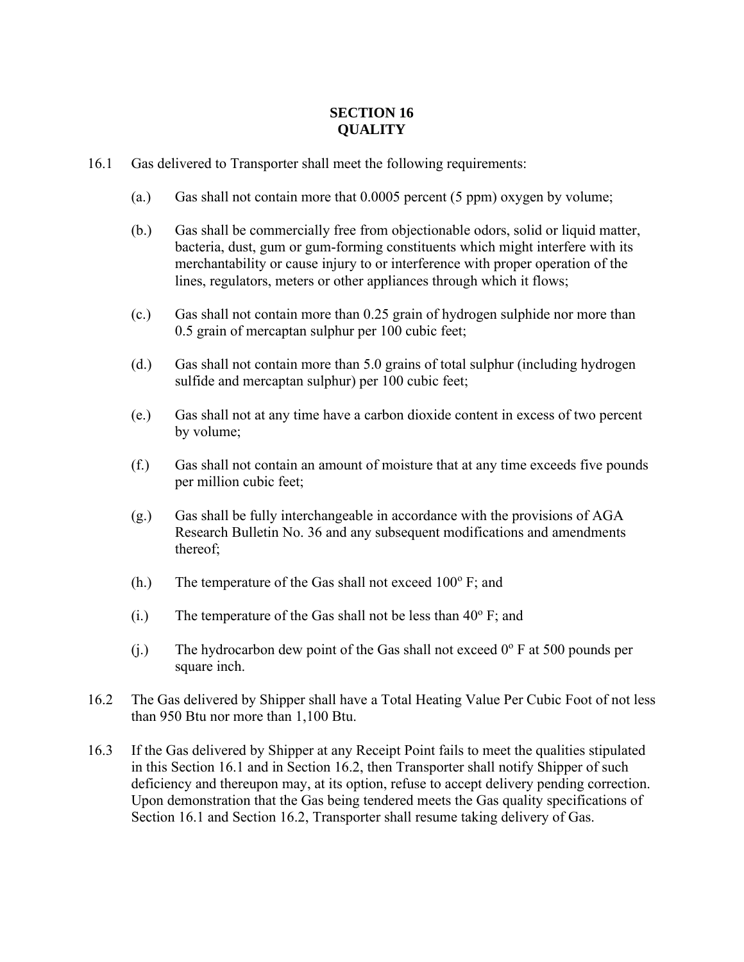# **SECTION 16 QUALITY**

- 16.1 Gas delivered to Transporter shall meet the following requirements:
	- (a.) Gas shall not contain more that 0.0005 percent (5 ppm) oxygen by volume;
	- (b.) Gas shall be commercially free from objectionable odors, solid or liquid matter, bacteria, dust, gum or gum-forming constituents which might interfere with its merchantability or cause injury to or interference with proper operation of the lines, regulators, meters or other appliances through which it flows;
	- (c.) Gas shall not contain more than 0.25 grain of hydrogen sulphide nor more than 0.5 grain of mercaptan sulphur per 100 cubic feet;
	- (d.) Gas shall not contain more than 5.0 grains of total sulphur (including hydrogen sulfide and mercaptan sulphur) per 100 cubic feet;
	- (e.) Gas shall not at any time have a carbon dioxide content in excess of two percent by volume;
	- (f.) Gas shall not contain an amount of moisture that at any time exceeds five pounds per million cubic feet;
	- (g.) Gas shall be fully interchangeable in accordance with the provisions of AGA Research Bulletin No. 36 and any subsequent modifications and amendments thereof;
	- (h.) The temperature of the Gas shall not exceed  $100^{\circ}$  F; and
	- (i.) The temperature of the Gas shall not be less than  $40^{\circ}$  F; and
	- (j.) The hydrocarbon dew point of the Gas shall not exceed  $0^{\circ}$  F at 500 pounds per square inch.
- 16.2 The Gas delivered by Shipper shall have a Total Heating Value Per Cubic Foot of not less than 950 Btu nor more than 1,100 Btu.
- 16.3 If the Gas delivered by Shipper at any Receipt Point fails to meet the qualities stipulated in this Section 16.1 and in Section 16.2, then Transporter shall notify Shipper of such deficiency and thereupon may, at its option, refuse to accept delivery pending correction. Upon demonstration that the Gas being tendered meets the Gas quality specifications of Section 16.1 and Section 16.2, Transporter shall resume taking delivery of Gas.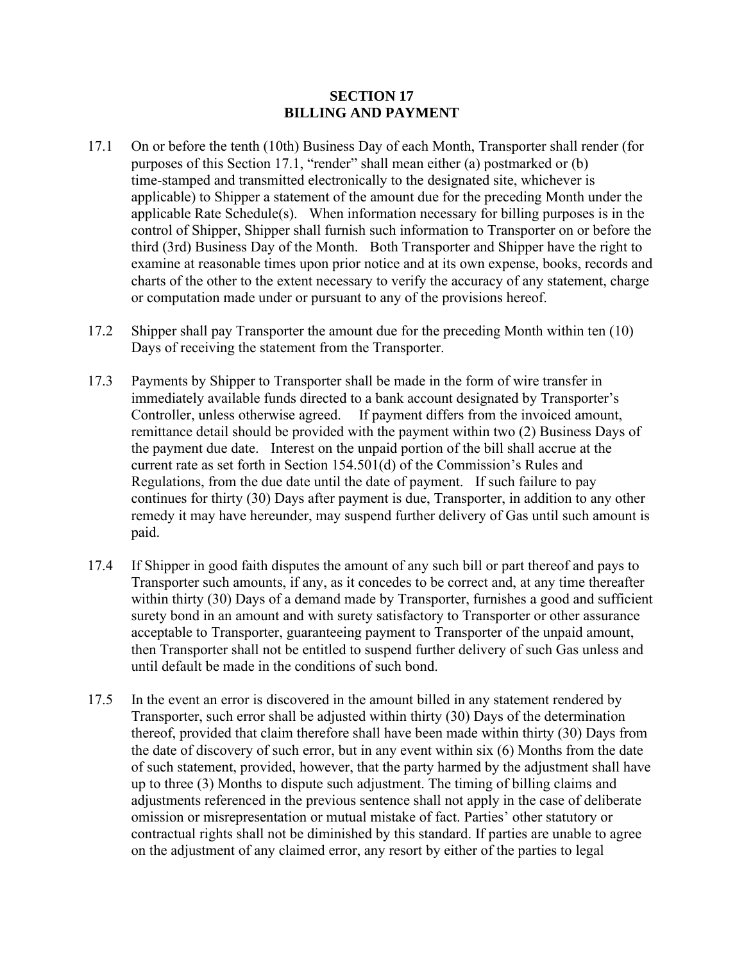#### **SECTION 17 BILLING AND PAYMENT**

- 17.1 On or before the tenth (10th) Business Day of each Month, Transporter shall render (for purposes of this Section 17.1, "render" shall mean either (a) postmarked or (b) time-stamped and transmitted electronically to the designated site, whichever is applicable) to Shipper a statement of the amount due for the preceding Month under the applicable Rate Schedule(s). When information necessary for billing purposes is in the control of Shipper, Shipper shall furnish such information to Transporter on or before the third (3rd) Business Day of the Month. Both Transporter and Shipper have the right to examine at reasonable times upon prior notice and at its own expense, books, records and charts of the other to the extent necessary to verify the accuracy of any statement, charge or computation made under or pursuant to any of the provisions hereof.
- 17.2 Shipper shall pay Transporter the amount due for the preceding Month within ten (10) Days of receiving the statement from the Transporter.
- 17.3 Payments by Shipper to Transporter shall be made in the form of wire transfer in immediately available funds directed to a bank account designated by Transporter's Controller, unless otherwise agreed. If payment differs from the invoiced amount, remittance detail should be provided with the payment within two (2) Business Days of the payment due date. Interest on the unpaid portion of the bill shall accrue at the current rate as set forth in Section 154.501(d) of the Commission's Rules and Regulations, from the due date until the date of payment. If such failure to pay continues for thirty (30) Days after payment is due, Transporter, in addition to any other remedy it may have hereunder, may suspend further delivery of Gas until such amount is paid.
- 17.4 If Shipper in good faith disputes the amount of any such bill or part thereof and pays to Transporter such amounts, if any, as it concedes to be correct and, at any time thereafter within thirty (30) Days of a demand made by Transporter, furnishes a good and sufficient surety bond in an amount and with surety satisfactory to Transporter or other assurance acceptable to Transporter, guaranteeing payment to Transporter of the unpaid amount, then Transporter shall not be entitled to suspend further delivery of such Gas unless and until default be made in the conditions of such bond.
- 17.5 In the event an error is discovered in the amount billed in any statement rendered by Transporter, such error shall be adjusted within thirty (30) Days of the determination thereof, provided that claim therefore shall have been made within thirty (30) Days from the date of discovery of such error, but in any event within six (6) Months from the date of such statement, provided, however, that the party harmed by the adjustment shall have up to three (3) Months to dispute such adjustment. The timing of billing claims and adjustments referenced in the previous sentence shall not apply in the case of deliberate omission or misrepresentation or mutual mistake of fact. Parties' other statutory or contractual rights shall not be diminished by this standard. If parties are unable to agree on the adjustment of any claimed error, any resort by either of the parties to legal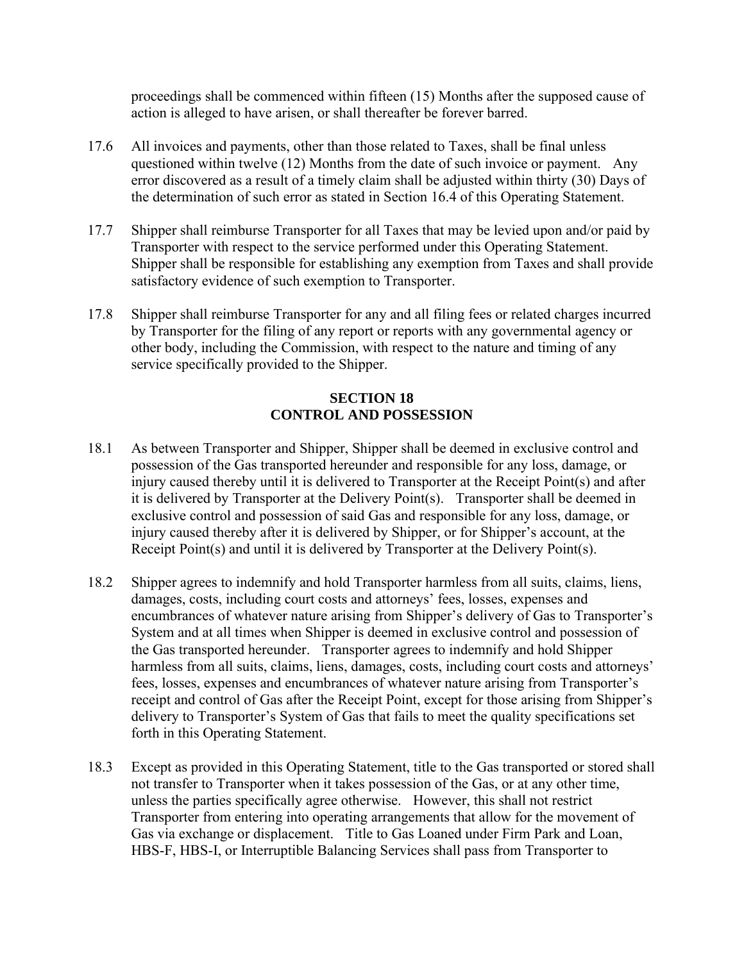proceedings shall be commenced within fifteen (15) Months after the supposed cause of action is alleged to have arisen, or shall thereafter be forever barred.

- 17.6 All invoices and payments, other than those related to Taxes, shall be final unless questioned within twelve (12) Months from the date of such invoice or payment. Any error discovered as a result of a timely claim shall be adjusted within thirty (30) Days of the determination of such error as stated in Section 16.4 of this Operating Statement.
- 17.7 Shipper shall reimburse Transporter for all Taxes that may be levied upon and/or paid by Transporter with respect to the service performed under this Operating Statement. Shipper shall be responsible for establishing any exemption from Taxes and shall provide satisfactory evidence of such exemption to Transporter.
- 17.8 Shipper shall reimburse Transporter for any and all filing fees or related charges incurred by Transporter for the filing of any report or reports with any governmental agency or other body, including the Commission, with respect to the nature and timing of any service specifically provided to the Shipper.

## **SECTION 18 CONTROL AND POSSESSION**

- 18.1 As between Transporter and Shipper, Shipper shall be deemed in exclusive control and possession of the Gas transported hereunder and responsible for any loss, damage, or injury caused thereby until it is delivered to Transporter at the Receipt Point(s) and after it is delivered by Transporter at the Delivery Point(s). Transporter shall be deemed in exclusive control and possession of said Gas and responsible for any loss, damage, or injury caused thereby after it is delivered by Shipper, or for Shipper's account, at the Receipt Point(s) and until it is delivered by Transporter at the Delivery Point(s).
- 18.2 Shipper agrees to indemnify and hold Transporter harmless from all suits, claims, liens, damages, costs, including court costs and attorneys' fees, losses, expenses and encumbrances of whatever nature arising from Shipper's delivery of Gas to Transporter's System and at all times when Shipper is deemed in exclusive control and possession of the Gas transported hereunder. Transporter agrees to indemnify and hold Shipper harmless from all suits, claims, liens, damages, costs, including court costs and attorneys' fees, losses, expenses and encumbrances of whatever nature arising from Transporter's receipt and control of Gas after the Receipt Point, except for those arising from Shipper's delivery to Transporter's System of Gas that fails to meet the quality specifications set forth in this Operating Statement.
- 18.3 Except as provided in this Operating Statement, title to the Gas transported or stored shall not transfer to Transporter when it takes possession of the Gas, or at any other time, unless the parties specifically agree otherwise. However, this shall not restrict Transporter from entering into operating arrangements that allow for the movement of Gas via exchange or displacement. Title to Gas Loaned under Firm Park and Loan, HBS-F, HBS-I, or Interruptible Balancing Services shall pass from Transporter to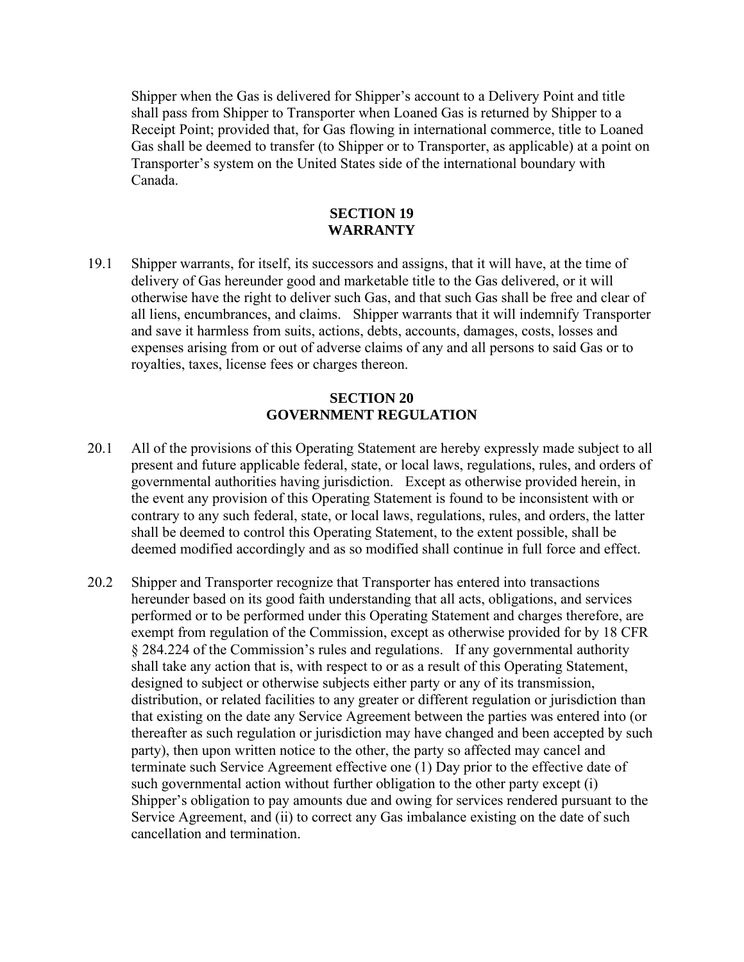Shipper when the Gas is delivered for Shipper's account to a Delivery Point and title shall pass from Shipper to Transporter when Loaned Gas is returned by Shipper to a Receipt Point; provided that, for Gas flowing in international commerce, title to Loaned Gas shall be deemed to transfer (to Shipper or to Transporter, as applicable) at a point on Transporter's system on the United States side of the international boundary with Canada.

### **SECTION 19 WARRANTY**

19.1 Shipper warrants, for itself, its successors and assigns, that it will have, at the time of delivery of Gas hereunder good and marketable title to the Gas delivered, or it will otherwise have the right to deliver such Gas, and that such Gas shall be free and clear of all liens, encumbrances, and claims. Shipper warrants that it will indemnify Transporter and save it harmless from suits, actions, debts, accounts, damages, costs, losses and expenses arising from or out of adverse claims of any and all persons to said Gas or to royalties, taxes, license fees or charges thereon.

### **SECTION 20 GOVERNMENT REGULATION**

- 20.1 All of the provisions of this Operating Statement are hereby expressly made subject to all present and future applicable federal, state, or local laws, regulations, rules, and orders of governmental authorities having jurisdiction. Except as otherwise provided herein, in the event any provision of this Operating Statement is found to be inconsistent with or contrary to any such federal, state, or local laws, regulations, rules, and orders, the latter shall be deemed to control this Operating Statement, to the extent possible, shall be deemed modified accordingly and as so modified shall continue in full force and effect.
- 20.2 Shipper and Transporter recognize that Transporter has entered into transactions hereunder based on its good faith understanding that all acts, obligations, and services performed or to be performed under this Operating Statement and charges therefore, are exempt from regulation of the Commission, except as otherwise provided for by 18 CFR § 284.224 of the Commission's rules and regulations. If any governmental authority shall take any action that is, with respect to or as a result of this Operating Statement, designed to subject or otherwise subjects either party or any of its transmission, distribution, or related facilities to any greater or different regulation or jurisdiction than that existing on the date any Service Agreement between the parties was entered into (or thereafter as such regulation or jurisdiction may have changed and been accepted by such party), then upon written notice to the other, the party so affected may cancel and terminate such Service Agreement effective one (1) Day prior to the effective date of such governmental action without further obligation to the other party except (i) Shipper's obligation to pay amounts due and owing for services rendered pursuant to the Service Agreement, and (ii) to correct any Gas imbalance existing on the date of such cancellation and termination.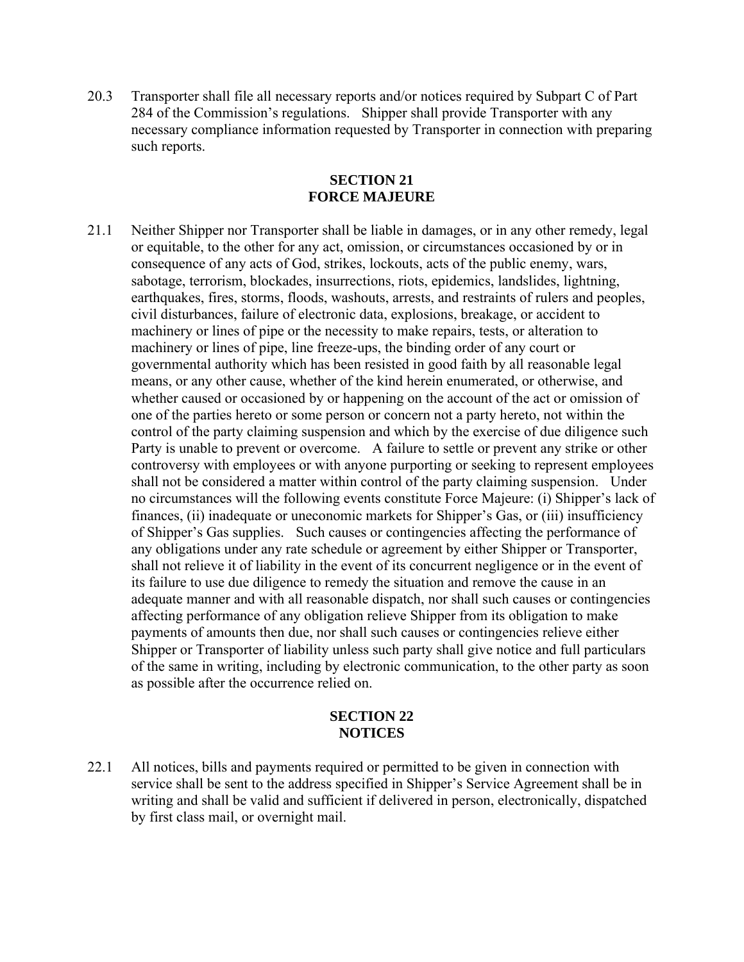20.3 Transporter shall file all necessary reports and/or notices required by Subpart C of Part 284 of the Commission's regulations. Shipper shall provide Transporter with any necessary compliance information requested by Transporter in connection with preparing such reports.

### **SECTION 21 FORCE MAJEURE**

21.1 Neither Shipper nor Transporter shall be liable in damages, or in any other remedy, legal or equitable, to the other for any act, omission, or circumstances occasioned by or in consequence of any acts of God, strikes, lockouts, acts of the public enemy, wars, sabotage, terrorism, blockades, insurrections, riots, epidemics, landslides, lightning, earthquakes, fires, storms, floods, washouts, arrests, and restraints of rulers and peoples, civil disturbances, failure of electronic data, explosions, breakage, or accident to machinery or lines of pipe or the necessity to make repairs, tests, or alteration to machinery or lines of pipe, line freeze-ups, the binding order of any court or governmental authority which has been resisted in good faith by all reasonable legal means, or any other cause, whether of the kind herein enumerated, or otherwise, and whether caused or occasioned by or happening on the account of the act or omission of one of the parties hereto or some person or concern not a party hereto, not within the control of the party claiming suspension and which by the exercise of due diligence such Party is unable to prevent or overcome. A failure to settle or prevent any strike or other controversy with employees or with anyone purporting or seeking to represent employees shall not be considered a matter within control of the party claiming suspension. Under no circumstances will the following events constitute Force Majeure: (i) Shipper's lack of finances, (ii) inadequate or uneconomic markets for Shipper's Gas, or (iii) insufficiency of Shipper's Gas supplies. Such causes or contingencies affecting the performance of any obligations under any rate schedule or agreement by either Shipper or Transporter, shall not relieve it of liability in the event of its concurrent negligence or in the event of its failure to use due diligence to remedy the situation and remove the cause in an adequate manner and with all reasonable dispatch, nor shall such causes or contingencies affecting performance of any obligation relieve Shipper from its obligation to make payments of amounts then due, nor shall such causes or contingencies relieve either Shipper or Transporter of liability unless such party shall give notice and full particulars of the same in writing, including by electronic communication, to the other party as soon as possible after the occurrence relied on.

### **SECTION 22 NOTICES**

22.1 All notices, bills and payments required or permitted to be given in connection with service shall be sent to the address specified in Shipper's Service Agreement shall be in writing and shall be valid and sufficient if delivered in person, electronically, dispatched by first class mail, or overnight mail.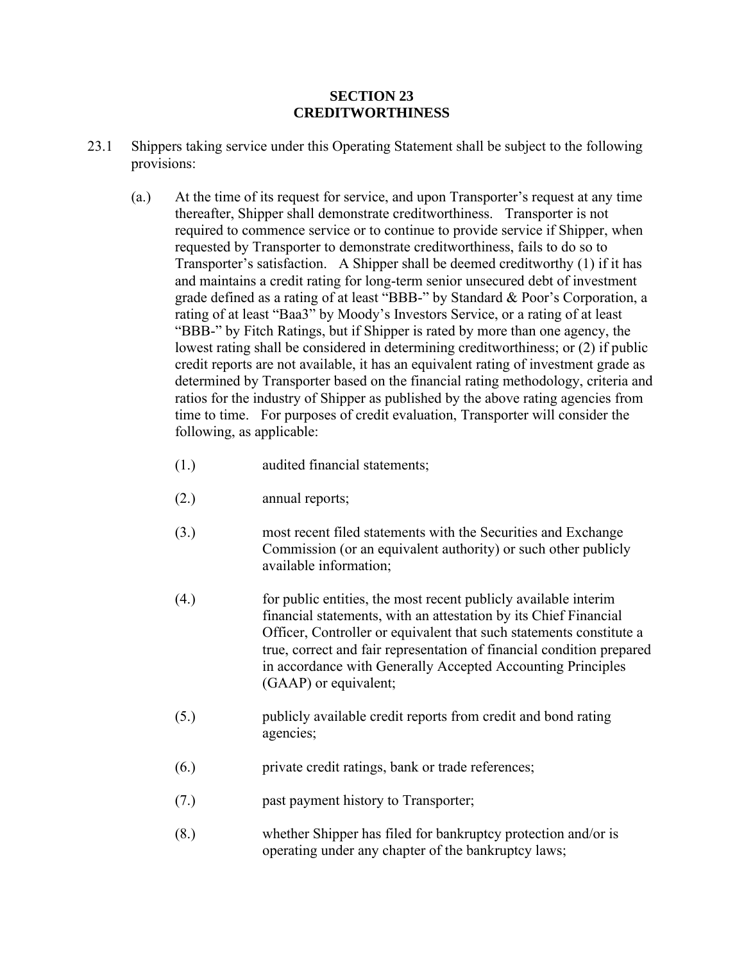### **SECTION 23 CREDITWORTHINESS**

- 23.1 Shippers taking service under this Operating Statement shall be subject to the following provisions:
	- (a.) At the time of its request for service, and upon Transporter's request at any time thereafter, Shipper shall demonstrate creditworthiness. Transporter is not required to commence service or to continue to provide service if Shipper, when requested by Transporter to demonstrate creditworthiness, fails to do so to Transporter's satisfaction. A Shipper shall be deemed creditworthy (1) if it has and maintains a credit rating for long-term senior unsecured debt of investment grade defined as a rating of at least "BBB-" by Standard & Poor's Corporation, a rating of at least "Baa3" by Moody's Investors Service, or a rating of at least "BBB-" by Fitch Ratings, but if Shipper is rated by more than one agency, the lowest rating shall be considered in determining creditworthiness; or (2) if public credit reports are not available, it has an equivalent rating of investment grade as determined by Transporter based on the financial rating methodology, criteria and ratios for the industry of Shipper as published by the above rating agencies from time to time. For purposes of credit evaluation, Transporter will consider the following, as applicable:
		- (1.) audited financial statements;
		- (2.) annual reports;
		- (3.) most recent filed statements with the Securities and Exchange Commission (or an equivalent authority) or such other publicly available information;
		- (4.) for public entities, the most recent publicly available interim financial statements, with an attestation by its Chief Financial Officer, Controller or equivalent that such statements constitute a true, correct and fair representation of financial condition prepared in accordance with Generally Accepted Accounting Principles (GAAP) or equivalent;
		- (5.) publicly available credit reports from credit and bond rating agencies;
		- (6.) private credit ratings, bank or trade references;
		- (7.) past payment history to Transporter;
		- (8.) whether Shipper has filed for bankruptcy protection and/or is operating under any chapter of the bankruptcy laws;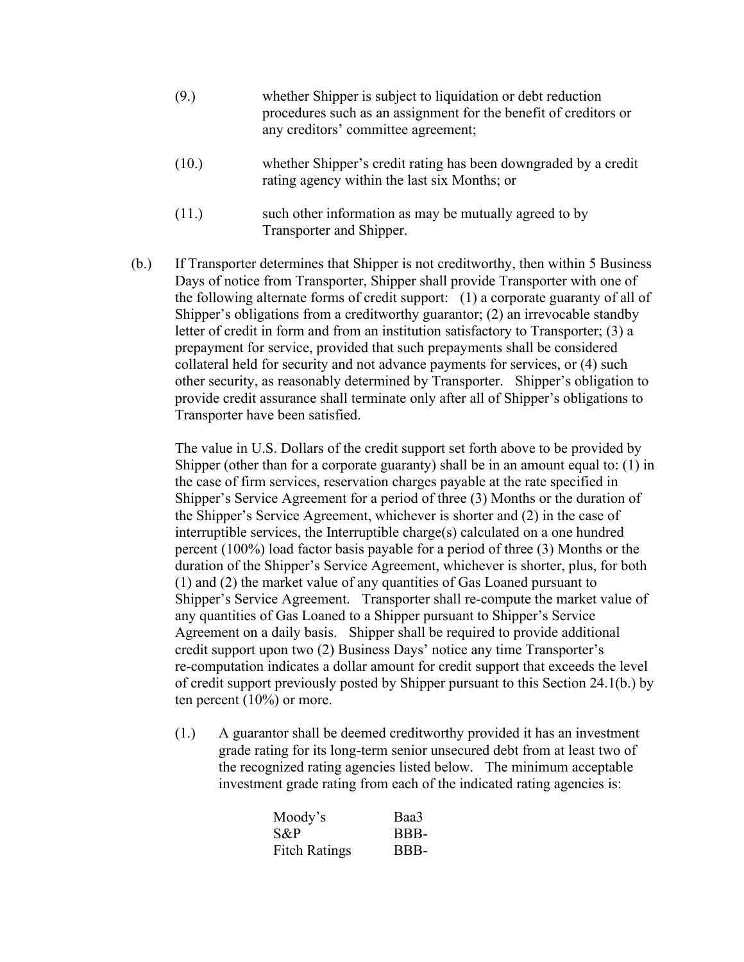- (9.) whether Shipper is subject to liquidation or debt reduction procedures such as an assignment for the benefit of creditors or any creditors' committee agreement;
- (10.) whether Shipper's credit rating has been downgraded by a credit rating agency within the last six Months; or
- (11.) such other information as may be mutually agreed to by Transporter and Shipper.
- (b.) If Transporter determines that Shipper is not creditworthy, then within 5 Business Days of notice from Transporter, Shipper shall provide Transporter with one of the following alternate forms of credit support: (1) a corporate guaranty of all of Shipper's obligations from a creditworthy guarantor; (2) an irrevocable standby letter of credit in form and from an institution satisfactory to Transporter; (3) a prepayment for service, provided that such prepayments shall be considered collateral held for security and not advance payments for services, or (4) such other security, as reasonably determined by Transporter. Shipper's obligation to provide credit assurance shall terminate only after all of Shipper's obligations to Transporter have been satisfied.

The value in U.S. Dollars of the credit support set forth above to be provided by Shipper (other than for a corporate guaranty) shall be in an amount equal to: (1) in the case of firm services, reservation charges payable at the rate specified in Shipper's Service Agreement for a period of three (3) Months or the duration of the Shipper's Service Agreement, whichever is shorter and (2) in the case of interruptible services, the Interruptible charge(s) calculated on a one hundred percent (100%) load factor basis payable for a period of three (3) Months or the duration of the Shipper's Service Agreement, whichever is shorter, plus, for both (1) and (2) the market value of any quantities of Gas Loaned pursuant to Shipper's Service Agreement. Transporter shall re-compute the market value of any quantities of Gas Loaned to a Shipper pursuant to Shipper's Service Agreement on a daily basis. Shipper shall be required to provide additional credit support upon two (2) Business Days' notice any time Transporter's re-computation indicates a dollar amount for credit support that exceeds the level of credit support previously posted by Shipper pursuant to this Section 24.1(b.) by ten percent (10%) or more.

(1.) A guarantor shall be deemed creditworthy provided it has an investment grade rating for its long-term senior unsecured debt from at least two of the recognized rating agencies listed below. The minimum acceptable investment grade rating from each of the indicated rating agencies is:

| Moody's              | Baa3 |
|----------------------|------|
| S&P                  | BBB- |
| <b>Fitch Ratings</b> | BBB- |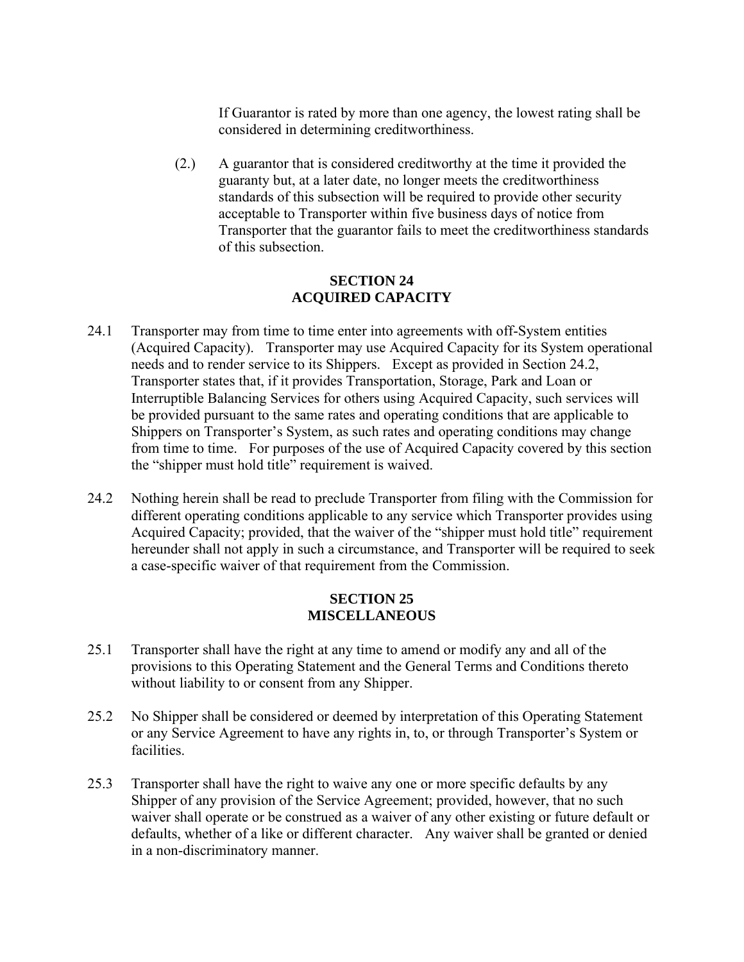If Guarantor is rated by more than one agency, the lowest rating shall be considered in determining creditworthiness.

(2.) A guarantor that is considered creditworthy at the time it provided the guaranty but, at a later date, no longer meets the creditworthiness standards of this subsection will be required to provide other security acceptable to Transporter within five business days of notice from Transporter that the guarantor fails to meet the creditworthiness standards of this subsection.

## **SECTION 24 ACQUIRED CAPACITY**

- 24.1 Transporter may from time to time enter into agreements with off-System entities (Acquired Capacity). Transporter may use Acquired Capacity for its System operational needs and to render service to its Shippers. Except as provided in Section 24.2, Transporter states that, if it provides Transportation, Storage, Park and Loan or Interruptible Balancing Services for others using Acquired Capacity, such services will be provided pursuant to the same rates and operating conditions that are applicable to Shippers on Transporter's System, as such rates and operating conditions may change from time to time. For purposes of the use of Acquired Capacity covered by this section the "shipper must hold title" requirement is waived.
- 24.2 Nothing herein shall be read to preclude Transporter from filing with the Commission for different operating conditions applicable to any service which Transporter provides using Acquired Capacity; provided, that the waiver of the "shipper must hold title" requirement hereunder shall not apply in such a circumstance, and Transporter will be required to seek a case-specific waiver of that requirement from the Commission.

### **SECTION 25 MISCELLANEOUS**

- 25.1 Transporter shall have the right at any time to amend or modify any and all of the provisions to this Operating Statement and the General Terms and Conditions thereto without liability to or consent from any Shipper.
- 25.2 No Shipper shall be considered or deemed by interpretation of this Operating Statement or any Service Agreement to have any rights in, to, or through Transporter's System or facilities.
- 25.3 Transporter shall have the right to waive any one or more specific defaults by any Shipper of any provision of the Service Agreement; provided, however, that no such waiver shall operate or be construed as a waiver of any other existing or future default or defaults, whether of a like or different character. Any waiver shall be granted or denied in a non-discriminatory manner.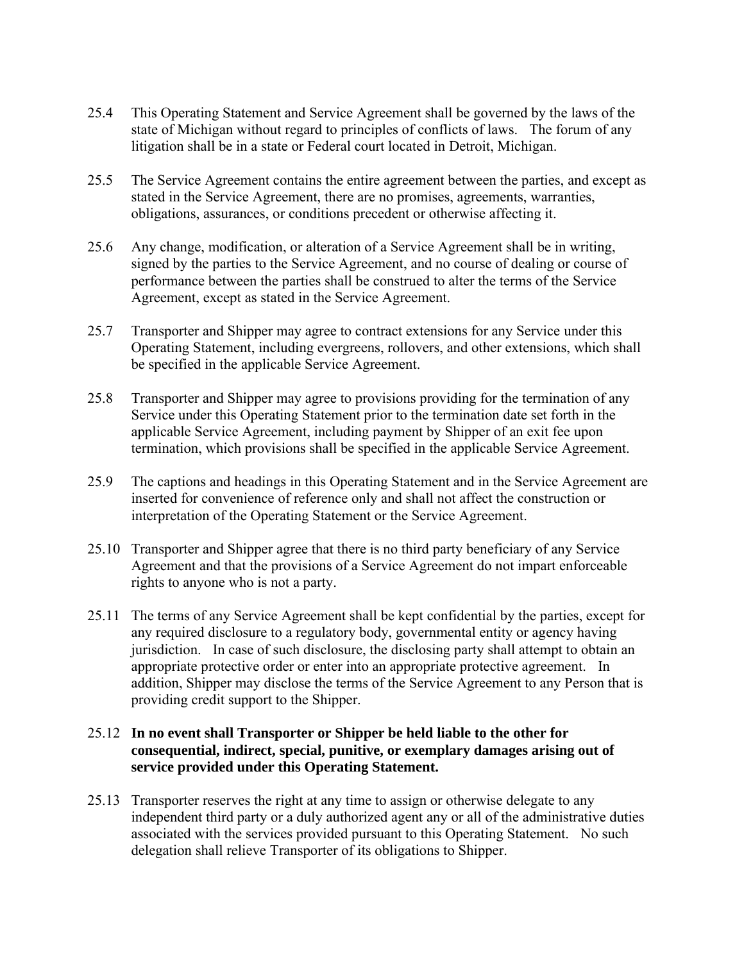- 25.4 This Operating Statement and Service Agreement shall be governed by the laws of the state of Michigan without regard to principles of conflicts of laws. The forum of any litigation shall be in a state or Federal court located in Detroit, Michigan.
- 25.5 The Service Agreement contains the entire agreement between the parties, and except as stated in the Service Agreement, there are no promises, agreements, warranties, obligations, assurances, or conditions precedent or otherwise affecting it.
- 25.6 Any change, modification, or alteration of a Service Agreement shall be in writing, signed by the parties to the Service Agreement, and no course of dealing or course of performance between the parties shall be construed to alter the terms of the Service Agreement, except as stated in the Service Agreement.
- 25.7 Transporter and Shipper may agree to contract extensions for any Service under this Operating Statement, including evergreens, rollovers, and other extensions, which shall be specified in the applicable Service Agreement.
- 25.8 Transporter and Shipper may agree to provisions providing for the termination of any Service under this Operating Statement prior to the termination date set forth in the applicable Service Agreement, including payment by Shipper of an exit fee upon termination, which provisions shall be specified in the applicable Service Agreement.
- 25.9 The captions and headings in this Operating Statement and in the Service Agreement are inserted for convenience of reference only and shall not affect the construction or interpretation of the Operating Statement or the Service Agreement.
- 25.10 Transporter and Shipper agree that there is no third party beneficiary of any Service Agreement and that the provisions of a Service Agreement do not impart enforceable rights to anyone who is not a party.
- 25.11 The terms of any Service Agreement shall be kept confidential by the parties, except for any required disclosure to a regulatory body, governmental entity or agency having jurisdiction. In case of such disclosure, the disclosing party shall attempt to obtain an appropriate protective order or enter into an appropriate protective agreement. In addition, Shipper may disclose the terms of the Service Agreement to any Person that is providing credit support to the Shipper.

## 25.12 **In no event shall Transporter or Shipper be held liable to the other for consequential, indirect, special, punitive, or exemplary damages arising out of service provided under this Operating Statement.**

25.13 Transporter reserves the right at any time to assign or otherwise delegate to any independent third party or a duly authorized agent any or all of the administrative duties associated with the services provided pursuant to this Operating Statement. No such delegation shall relieve Transporter of its obligations to Shipper.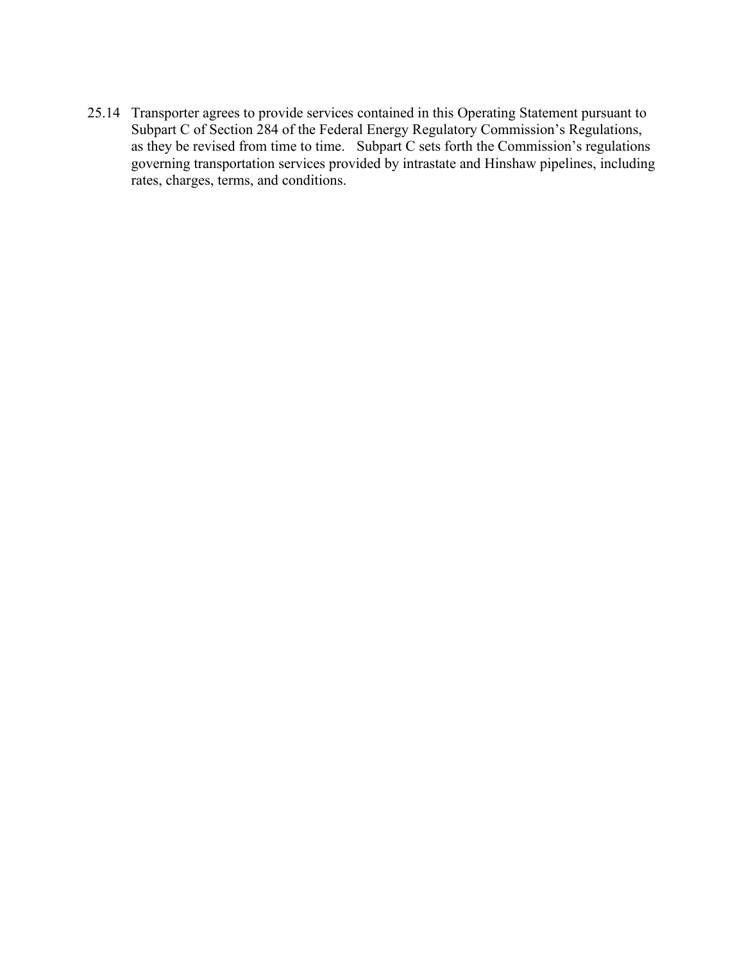25.14 Transporter agrees to provide services contained in this Operating Statement pursuant to Subpart C of Section 284 of the Federal Energy Regulatory Commission's Regulations, as they be revised from time to time. Subpart C sets forth the Commission's regulations governing transportation services provided by intrastate and Hinshaw pipelines, including rates, charges, terms, and conditions.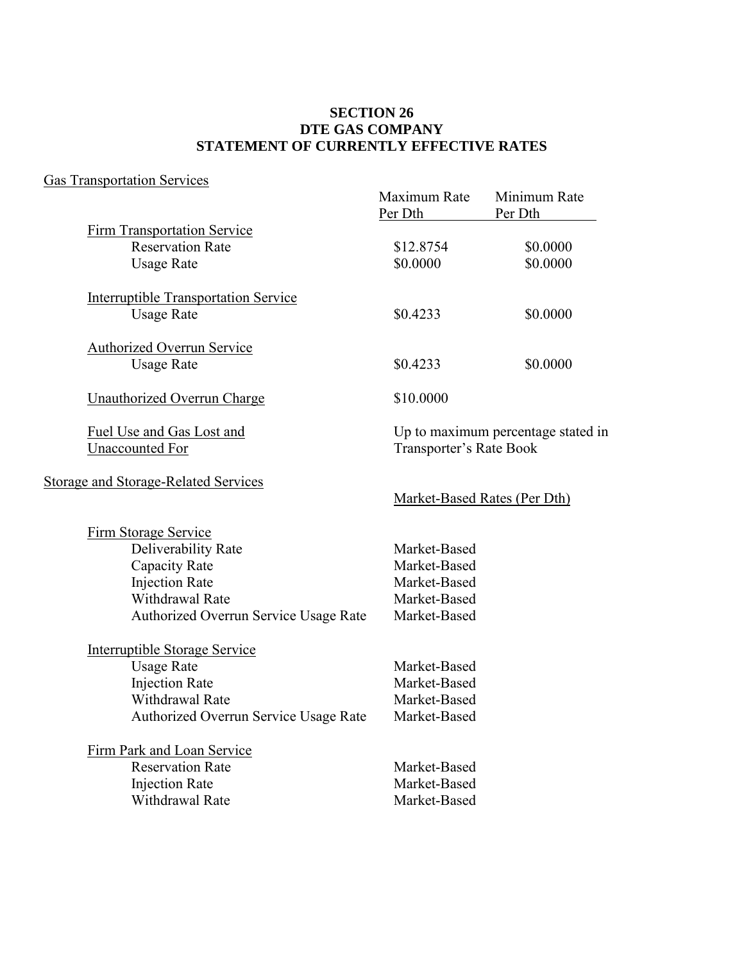## **SECTION 26 DTE GAS COMPANY STATEMENT OF CURRENTLY EFFECTIVE RATES**

# Gas Transportation Services

| <u>Uas Transportation Suivides</u>          | Maximum Rate<br>Per Dth      | Minimum Rate<br>Per Dth            |
|---------------------------------------------|------------------------------|------------------------------------|
| <b>Firm Transportation Service</b>          |                              |                                    |
| <b>Reservation Rate</b>                     | \$12.8754                    | \$0.0000                           |
| <b>Usage Rate</b>                           | \$0.0000                     | \$0.0000                           |
| <b>Interruptible Transportation Service</b> |                              |                                    |
| <b>Usage Rate</b>                           | \$0.4233                     | \$0.0000                           |
| <b>Authorized Overrun Service</b>           |                              |                                    |
| <b>Usage Rate</b>                           | \$0.4233                     | \$0.0000                           |
| <b>Unauthorized Overrun Charge</b>          | \$10.0000                    |                                    |
| Fuel Use and Gas Lost and                   |                              | Up to maximum percentage stated in |
| <b>Unaccounted For</b>                      | Transporter's Rate Book      |                                    |
| <b>Storage and Storage-Related Services</b> |                              |                                    |
|                                             | Market-Based Rates (Per Dth) |                                    |
| <b>Firm Storage Service</b>                 |                              |                                    |
| Deliverability Rate                         | Market-Based                 |                                    |
| Capacity Rate                               | Market-Based                 |                                    |
| <b>Injection Rate</b>                       | Market-Based                 |                                    |
| Withdrawal Rate                             | Market-Based                 |                                    |
| Authorized Overrun Service Usage Rate       | Market-Based                 |                                    |
| <b>Interruptible Storage Service</b>        |                              |                                    |
| <b>Usage Rate</b>                           | Market-Based                 |                                    |
| <b>Injection Rate</b>                       | Market-Based                 |                                    |
| <b>Withdrawal Rate</b>                      | Market-Based                 |                                    |
| Authorized Overrun Service Usage Rate       | Market-Based                 |                                    |
| Firm Park and Loan Service                  |                              |                                    |
| <b>Reservation Rate</b>                     | Market-Based                 |                                    |
| <b>Injection Rate</b>                       | Market-Based                 |                                    |
| <b>Withdrawal Rate</b>                      | Market-Based                 |                                    |
|                                             |                              |                                    |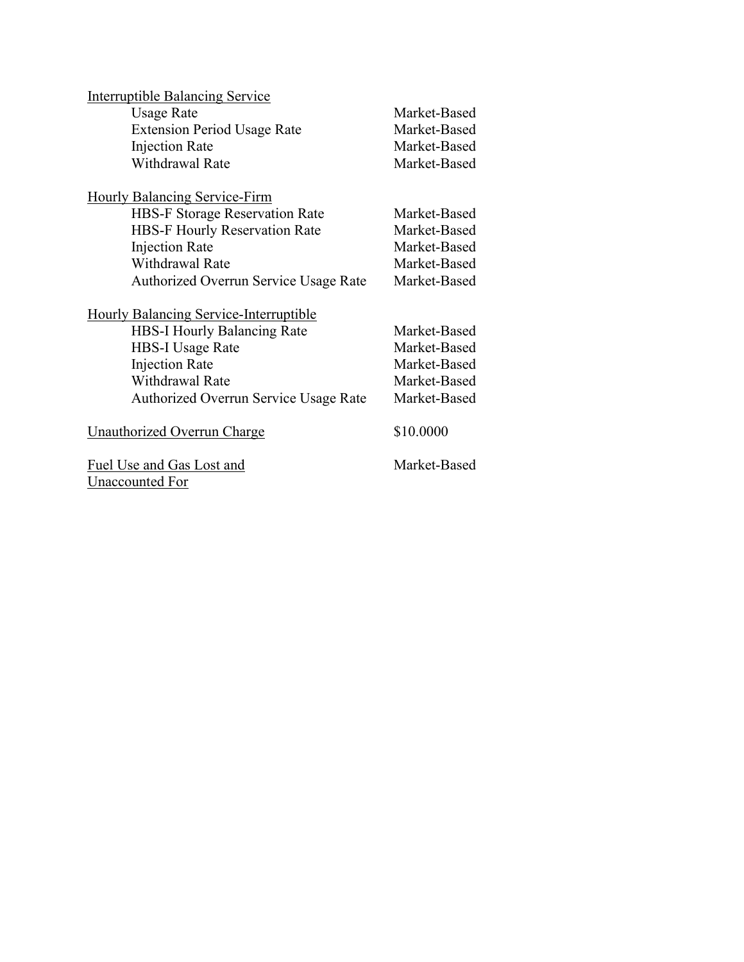| <b>Interruptible Balancing Service</b>        |              |
|-----------------------------------------------|--------------|
| <b>Usage Rate</b>                             | Market-Based |
| <b>Extension Period Usage Rate</b>            | Market-Based |
| <b>Injection Rate</b>                         | Market-Based |
| <b>Withdrawal Rate</b>                        | Market-Based |
| <b>Hourly Balancing Service-Firm</b>          |              |
| <b>HBS-F Storage Reservation Rate</b>         | Market-Based |
| <b>HBS-F Hourly Reservation Rate</b>          | Market-Based |
| <b>Injection Rate</b>                         | Market-Based |
| <b>Withdrawal Rate</b>                        | Market-Based |
| Authorized Overrun Service Usage Rate         | Market-Based |
| <b>Hourly Balancing Service-Interruptible</b> |              |
| <b>HBS-I Hourly Balancing Rate</b>            | Market-Based |
| HBS-I Usage Rate                              | Market-Based |
| <b>Injection Rate</b>                         | Market-Based |
| <b>Withdrawal Rate</b>                        | Market-Based |
| Authorized Overrun Service Usage Rate         | Market-Based |
| <u><b>Unauthorized Overrun Charge</b></u>     | \$10.0000    |
| Fuel Use and Gas Lost and<br>Unaccounted For  | Market-Based |
|                                               |              |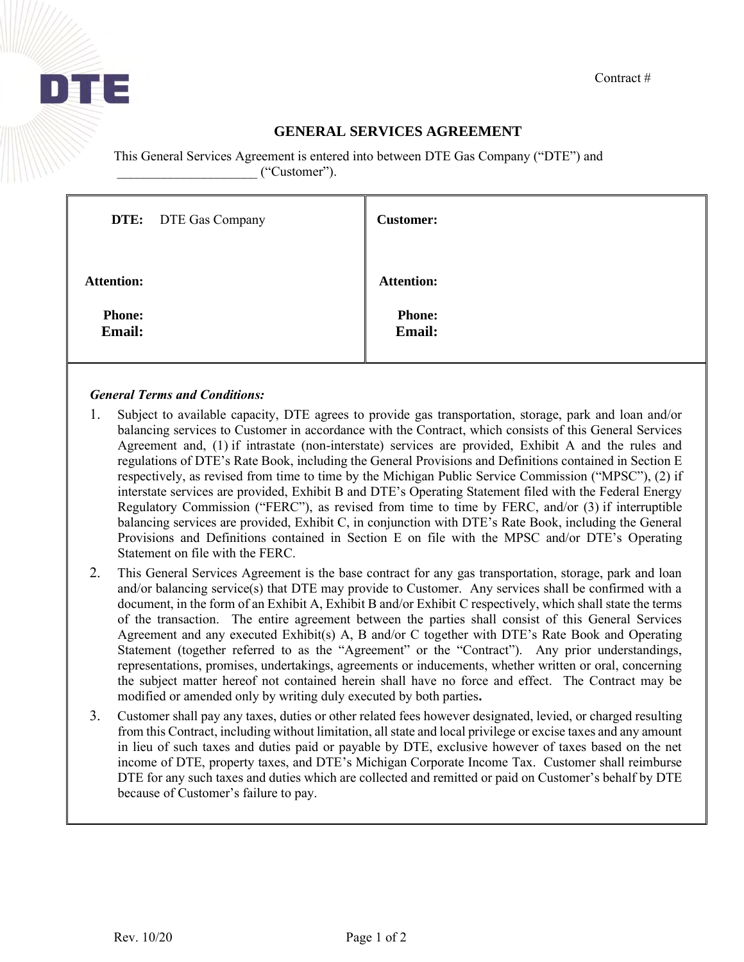

# **GENERAL SERVICES AGREEMENT**

This General Services Agreement is entered into between DTE Gas Company ("DTE") and \_\_\_\_\_\_\_\_\_\_\_\_\_\_\_\_\_\_\_\_\_ ("Customer").

|                                | <b>DTE:</b> DTE Gas Company | <b>Customer:</b>        |
|--------------------------------|-----------------------------|-------------------------|
| <b>Attention:</b>              |                             | <b>Attention:</b>       |
| <b>Phone:</b><br><b>Email:</b> |                             | <b>Phone:</b><br>Email: |

## *General Terms and Conditions:*

- 1. Subject to available capacity, DTE agrees to provide gas transportation, storage, park and loan and/or balancing services to Customer in accordance with the Contract, which consists of this General Services Agreement and, (1) if intrastate (non-interstate) services are provided, Exhibit A and the rules and regulations of DTE's Rate Book, including the General Provisions and Definitions contained in Section E respectively, as revised from time to time by the Michigan Public Service Commission ("MPSC"), (2) if interstate services are provided, Exhibit B and DTE's Operating Statement filed with the Federal Energy Regulatory Commission ("FERC"), as revised from time to time by FERC, and/or (3) if interruptible balancing services are provided, Exhibit C, in conjunction with DTE's Rate Book, including the General Provisions and Definitions contained in Section E on file with the MPSC and/or DTE's Operating Statement on file with the FERC.
- 2. This General Services Agreement is the base contract for any gas transportation, storage, park and loan and/or balancing service(s) that DTE may provide to Customer. Any services shall be confirmed with a document, in the form of an Exhibit A, Exhibit B and/or Exhibit C respectively, which shall state the terms of the transaction. The entire agreement between the parties shall consist of this General Services Agreement and any executed Exhibit(s) A, B and/or C together with DTE's Rate Book and Operating Statement (together referred to as the "Agreement" or the "Contract"). Any prior understandings, representations, promises, undertakings, agreements or inducements, whether written or oral, concerning the subject matter hereof not contained herein shall have no force and effect. The Contract may be modified or amended only by writing duly executed by both parties**.**
- 3. Customer shall pay any taxes, duties or other related fees however designated, levied, or charged resulting from this Contract, including without limitation, all state and local privilege or excise taxes and any amount in lieu of such taxes and duties paid or payable by DTE, exclusive however of taxes based on the net income of DTE, property taxes, and DTE's Michigan Corporate Income Tax. Customer shall reimburse DTE for any such taxes and duties which are collected and remitted or paid on Customer's behalf by DTE because of Customer's failure to pay.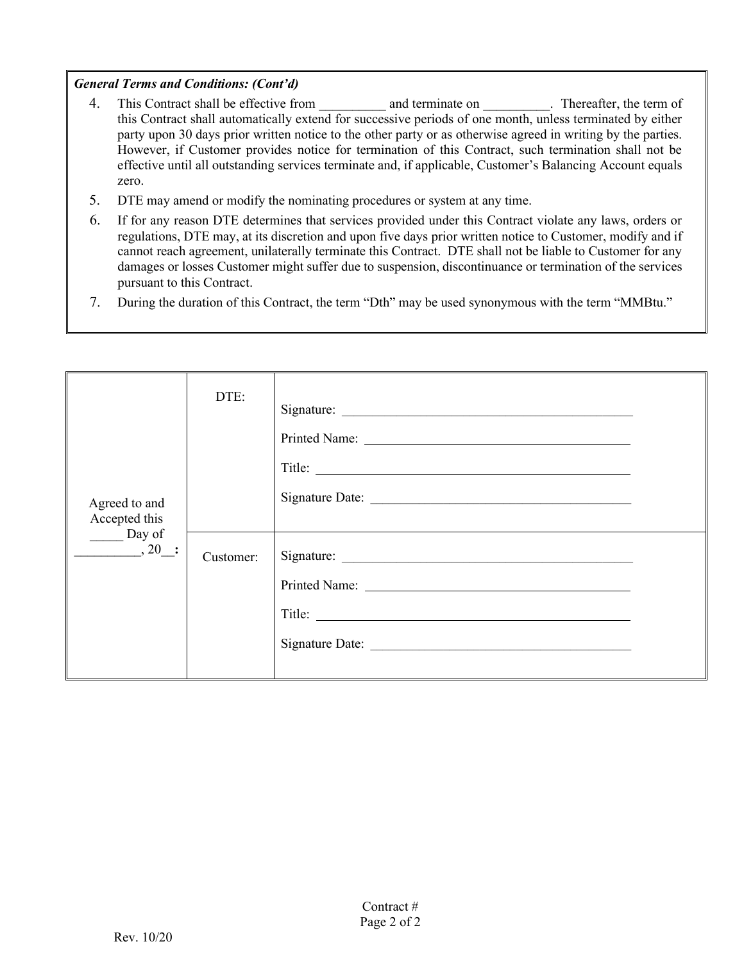### *General Terms and Conditions: (Cont'd)*

- 4. This Contract shall be effective from and terminate on Thereafter, the term of this Contract shall automatically extend for successive periods of one month, unless terminated by either party upon 30 days prior written notice to the other party or as otherwise agreed in writing by the parties. However, if Customer provides notice for termination of this Contract, such termination shall not be effective until all outstanding services terminate and, if applicable, Customer's Balancing Account equals zero.
- 5. DTE may amend or modify the nominating procedures or system at any time.
- 6. If for any reason DTE determines that services provided under this Contract violate any laws, orders or regulations, DTE may, at its discretion and upon five days prior written notice to Customer, modify and if cannot reach agreement, unilaterally terminate this Contract. DTE shall not be liable to Customer for any damages or losses Customer might suffer due to suspension, discontinuance or termination of the services pursuant to this Contract.
- 7. During the duration of this Contract, the term "Dth" may be used synonymous with the term "MMBtu."

| Agreed to and<br>Accepted this<br>$\rule{1em}{0.15mm}$ Day of | DTE:      | Signature: |  |
|---------------------------------------------------------------|-----------|------------|--|
| , 20 :                                                        | Customer: |            |  |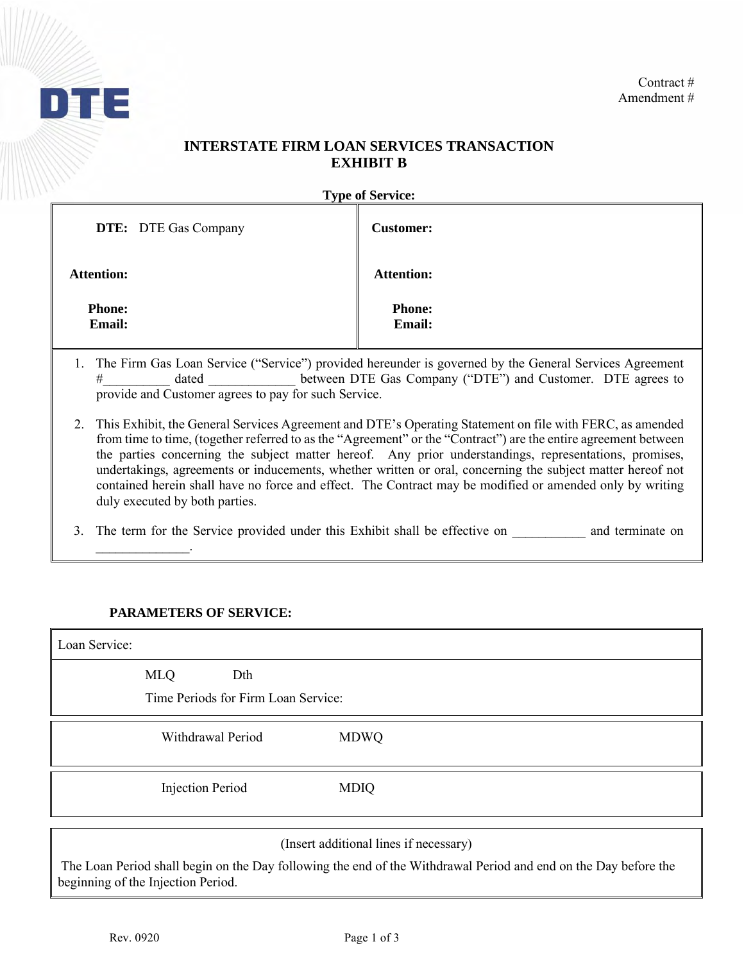

## **INTERSTATE FIRM LOAN SERVICES TRANSACTION EXHIBIT B**

**Type of Service:** 

| <b>DTE:</b> DTE Gas Company    | <b>Customer:</b>               |
|--------------------------------|--------------------------------|
| <b>Attention:</b>              | <b>Attention:</b>              |
| <b>Phone:</b><br><b>Email:</b> | <b>Phone:</b><br><b>Email:</b> |

- 1. The Firm Gas Loan Service ("Service") provided hereunder is governed by the General Services Agreement # dated between DTE Gas Company ("DTE") and Customer. DTE agrees to provide and Customer agrees to pay for such Service.
- 2. This Exhibit, the General Services Agreement and DTE's Operating Statement on file with FERC, as amended from time to time, (together referred to as the "Agreement" or the "Contract") are the entire agreement between the parties concerning the subject matter hereof. Any prior understandings, representations, promises, undertakings, agreements or inducements, whether written or oral, concerning the subject matter hereof not contained herein shall have no force and effect. The Contract may be modified or amended only by writing duly executed by both parties.

3. The term for the Service provided under this Exhibit shall be effective on and terminate on

### **PARAMETERS OF SERVICE:**

 $\mathcal{L}_\text{max}$  .

| Loan Service: |                                            |             |
|---------------|--------------------------------------------|-------------|
| <b>MLQ</b>    | Dth<br>Time Periods for Firm Loan Service: |             |
|               | Withdrawal Period                          | <b>MDWQ</b> |
|               | <b>Injection Period</b>                    | <b>MDIQ</b> |

(Insert additional lines if necessary)

The Loan Period shall begin on the Day following the end of the Withdrawal Period and end on the Day before the beginning of the Injection Period.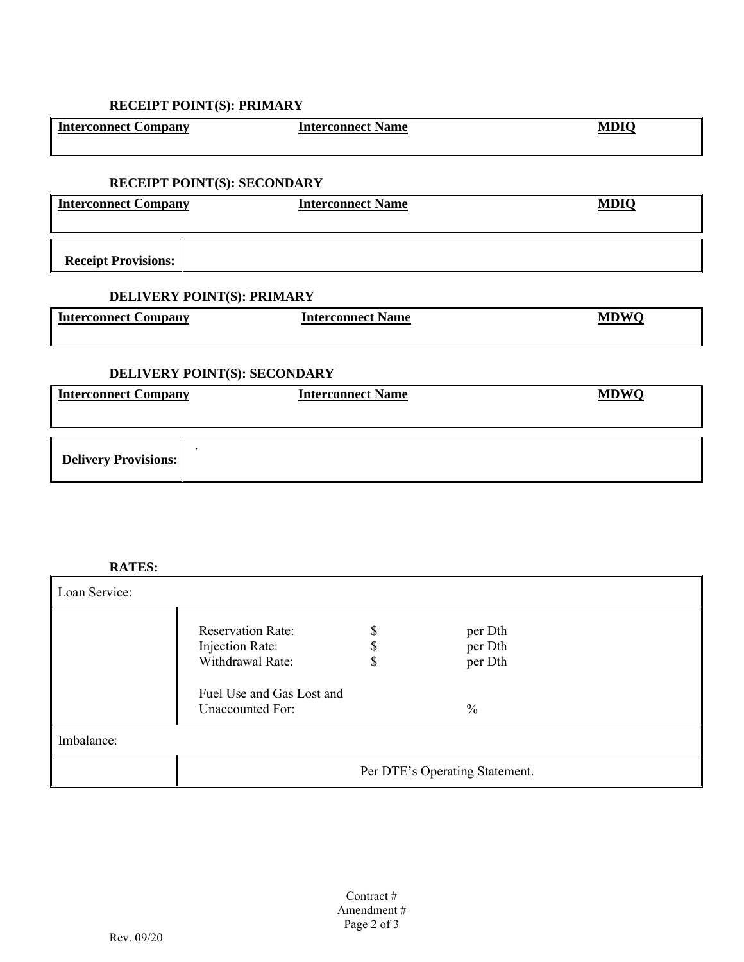## **RECEIPT POINT(S): PRIMARY**

| Interconnect Company                 | <b>Interconnect Name</b> | <b>MDIC</b> |
|--------------------------------------|--------------------------|-------------|
| <b>DECEIPT DOINT(C), CECOND A DV</b> |                          |             |

#### **RECEIPT POINT(S): SECONDARY**

| Interconnect Company       | <b>Interconnect Name</b> | <b>MDIQ</b> |
|----------------------------|--------------------------|-------------|
| <b>Receipt Provisions:</b> |                          |             |

# **DELIVERY POINT(S): PRIMARY**

| <b>Interconnect Company</b>  | <b>Interconnect Name</b> | <b>MDWQ</b> |
|------------------------------|--------------------------|-------------|
| DELIVERY POINT(S): SECONDARY |                          |             |
| <b>Interconnect Company</b>  | <b>Interconnect Name</b> | <b>MDWO</b> |
| <b>Delivery Provisions:</b>  |                          |             |

### **RATES:**

| Loan Service: |                                                                                                                  |                                |                                       |
|---------------|------------------------------------------------------------------------------------------------------------------|--------------------------------|---------------------------------------|
|               | <b>Reservation Rate:</b><br>Injection Rate:<br>Withdrawal Rate:<br>Fuel Use and Gas Lost and<br>Unaccounted For: | \$<br>D<br>J                   | per Dth<br>per Dth<br>per Dth<br>$\%$ |
| Imbalance:    |                                                                                                                  |                                |                                       |
|               |                                                                                                                  | Per DTE's Operating Statement. |                                       |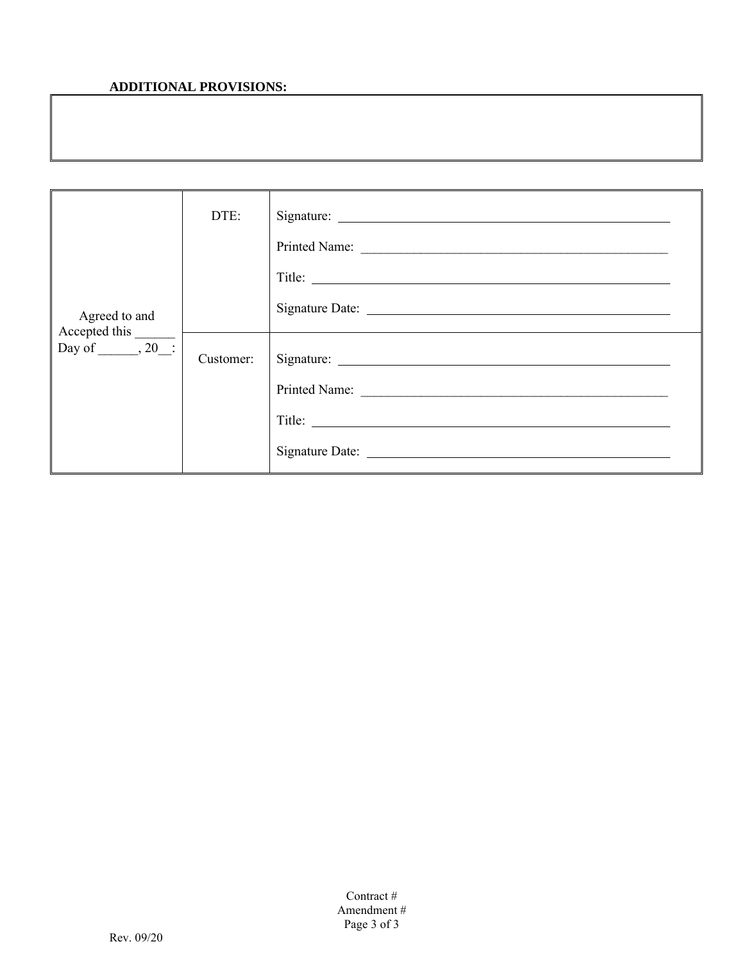## **ADDITIONAL PROVISIONS:**

| Agreed to and          | DTE:      |                         |
|------------------------|-----------|-------------------------|
| Day of _______, 20___: | Customer: | Printed Name:<br>Title: |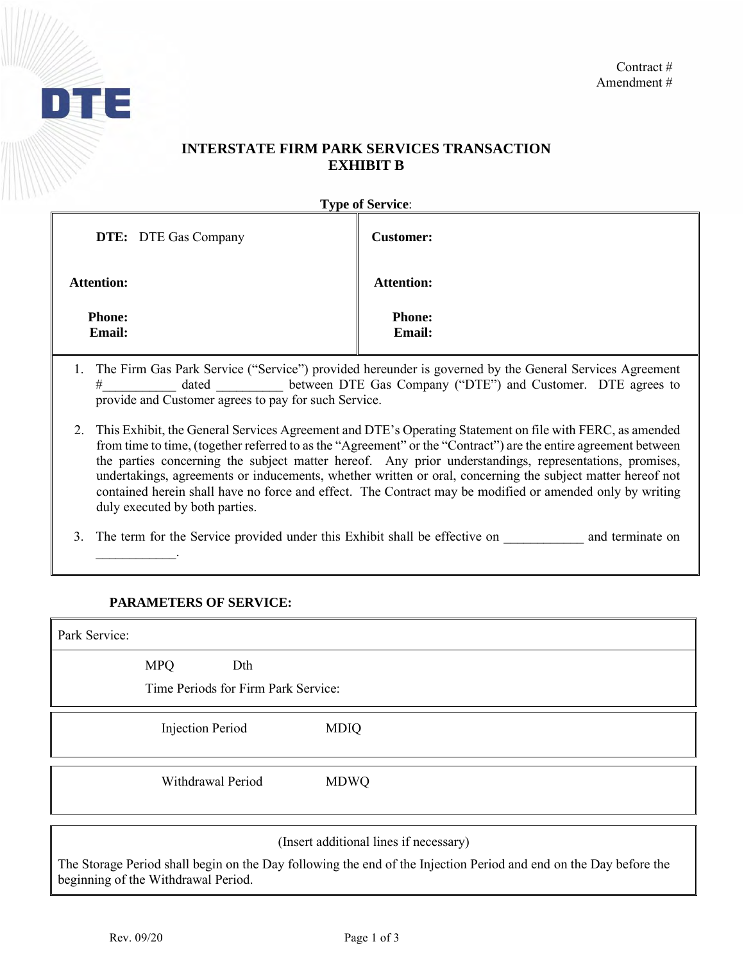

## **INTERSTATE FIRM PARK SERVICES TRANSACTION EXHIBIT B**

**Type of Service**:

| <b>DTE:</b> DTE Gas Company    | <b>Customer:</b>               |
|--------------------------------|--------------------------------|
| <b>Attention:</b>              | <b>Attention:</b>              |
| <b>Phone:</b><br><b>Email:</b> | <b>Phone:</b><br><b>Email:</b> |

- 1. The Firm Gas Park Service ("Service") provided hereunder is governed by the General Services Agreement # dated between DTE Gas Company ("DTE") and Customer. DTE agrees to provide and Customer agrees to pay for such Service.
- 2. This Exhibit, the General Services Agreement and DTE's Operating Statement on file with FERC, as amended from time to time, (together referred to as the "Agreement" or the "Contract") are the entire agreement between the parties concerning the subject matter hereof. Any prior understandings, representations, promises, undertakings, agreements or inducements, whether written or oral, concerning the subject matter hereof not contained herein shall have no force and effect. The Contract may be modified or amended only by writing duly executed by both parties.

3. The term for the Service provided under this Exhibit shall be effective on and terminate on

### **PARAMETERS OF SERVICE:**

 $\mathcal{L}=\mathcal{L}^{\mathcal{L}}$ 

| Park Service: |                                                          |             |
|---------------|----------------------------------------------------------|-------------|
|               | <b>MPQ</b><br>Dth<br>Time Periods for Firm Park Service: |             |
|               | <b>Injection Period</b>                                  | <b>MDIQ</b> |
|               | Withdrawal Period                                        | <b>MDWQ</b> |

(Insert additional lines if necessary)

The Storage Period shall begin on the Day following the end of the Injection Period and end on the Day before the beginning of the Withdrawal Period.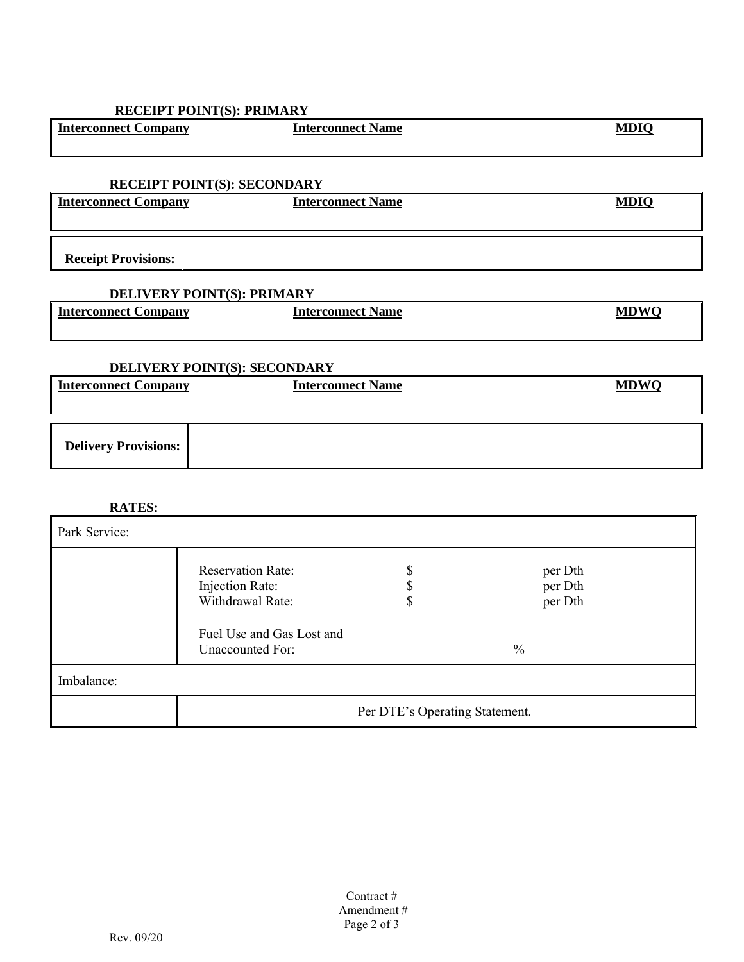## **RECEIPT POINT(S): PRIMARY**

| <b>Interconnect Company</b> | <b>Interconnect Name</b> | <b>MDIQ</b> |
|-----------------------------|--------------------------|-------------|
|                             |                          |             |
|                             |                          |             |

## **RECEIPT POINT(S): SECONDARY**

| Interconnect Company       | <b>Interconnect Name</b> | MDIC |
|----------------------------|--------------------------|------|
|                            |                          |      |
|                            |                          |      |
| <b>Receipt Provisions:</b> |                          |      |

## **DELIVERY POINT(S): PRIMARY**

| $\overline{\phantom{0}}$<br>Interconnect (<br>Company | <b>Interconnect Name</b> | ADWO<br>МD |
|-------------------------------------------------------|--------------------------|------------|
|                                                       |                          |            |

#### **DELIVERY POINT(S): SECONDARY**

| <b>DEED:</b> A DIST TO ALL (D), DECOTION TO |                          |             |
|---------------------------------------------|--------------------------|-------------|
| <b>Interconnect Company</b>                 | <b>Interconnect Name</b> | <b>MDWO</b> |
|                                             |                          |             |
| <b>Delivery Provisions:</b>                 |                          |             |

### **RATES:**

| Park Service: |                                                                 |                                |                               |  |
|---------------|-----------------------------------------------------------------|--------------------------------|-------------------------------|--|
|               | <b>Reservation Rate:</b><br>Injection Rate:<br>Withdrawal Rate: |                                | per Dth<br>per Dth<br>per Dth |  |
|               | Fuel Use and Gas Lost and<br>Unaccounted For:                   |                                | $\frac{0}{0}$                 |  |
| Imbalance:    |                                                                 |                                |                               |  |
|               |                                                                 | Per DTE's Operating Statement. |                               |  |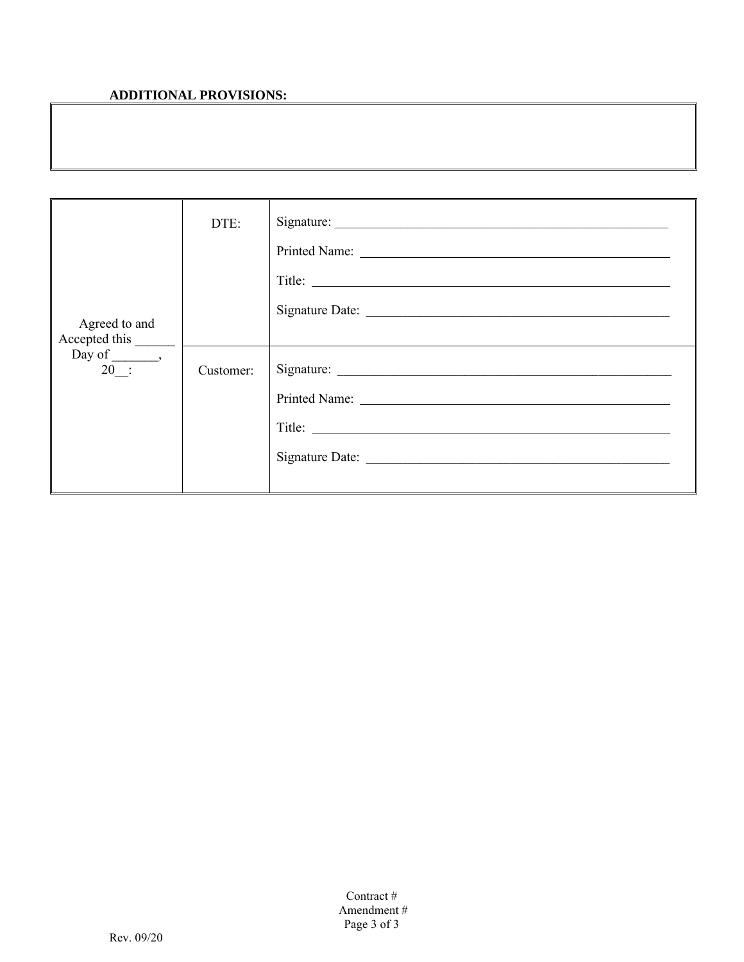# **ADDITIONAL PROVISIONS:**

|                                                           | DTE:      | Title:                                |
|-----------------------------------------------------------|-----------|---------------------------------------|
| Agreed to and<br>Accepted this<br>$Day of \_\_$<br>$20$ : | Customer: | Signature:<br>Printed Name:<br>Title: |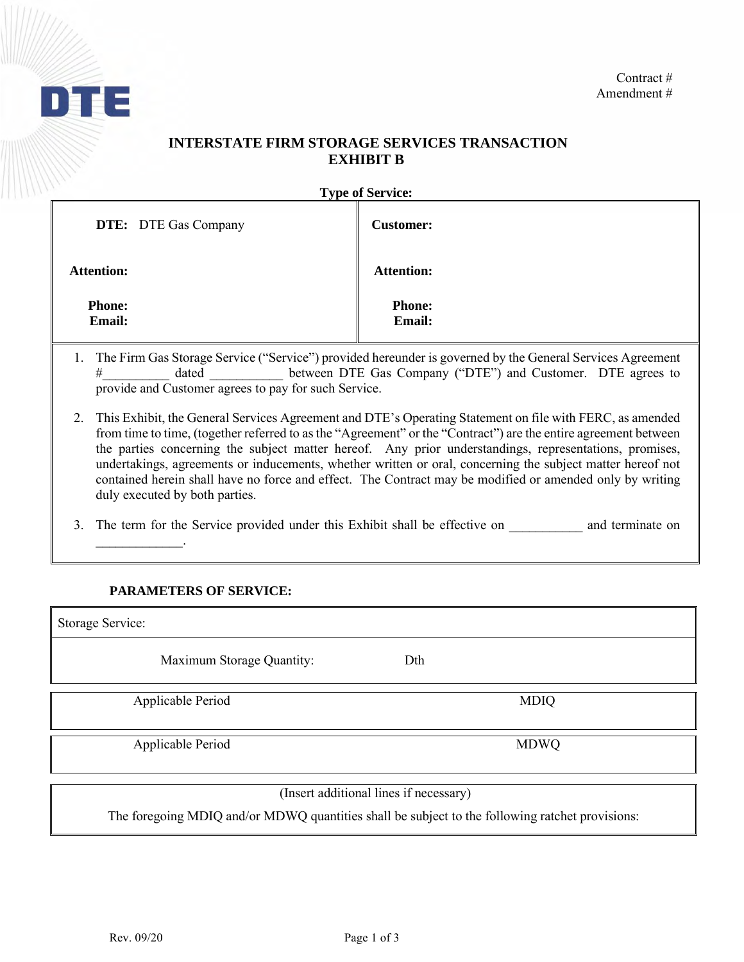

# **INTERSTATE FIRM STORAGE SERVICES TRANSACTION EXHIBIT B**

**Type of Service:** 

| <b>DTE:</b> DTE Gas Company    | <b>Customer:</b>               |
|--------------------------------|--------------------------------|
| <b>Attention:</b>              | <b>Attention:</b>              |
| <b>Phone:</b><br><b>Email:</b> | <b>Phone:</b><br><b>Email:</b> |

- 1. The Firm Gas Storage Service ("Service") provided hereunder is governed by the General Services Agreement # dated between DTE Gas Company ("DTE") and Customer. DTE agrees to provide and Customer agrees to pay for such Service.
- 2. This Exhibit, the General Services Agreement and DTE's Operating Statement on file with FERC, as amended from time to time, (together referred to as the "Agreement" or the "Contract") are the entire agreement between the parties concerning the subject matter hereof. Any prior understandings, representations, promises, undertakings, agreements or inducements, whether written or oral, concerning the subject matter hereof not contained herein shall have no force and effect. The Contract may be modified or amended only by writing duly executed by both parties.

3. The term for the Service provided under this Exhibit shall be effective on and terminate on

### **PARAMETERS OF SERVICE:**

 $\mathcal{L}=\mathcal{L}^{\mathcal{L}}$ 

Storage Service: Maximum Storage Quantity: Dth Applicable Period MDIQ Applicable Period MDWQ (Insert additional lines if necessary) The foregoing MDIQ and/or MDWQ quantities shall be subject to the following ratchet provisions: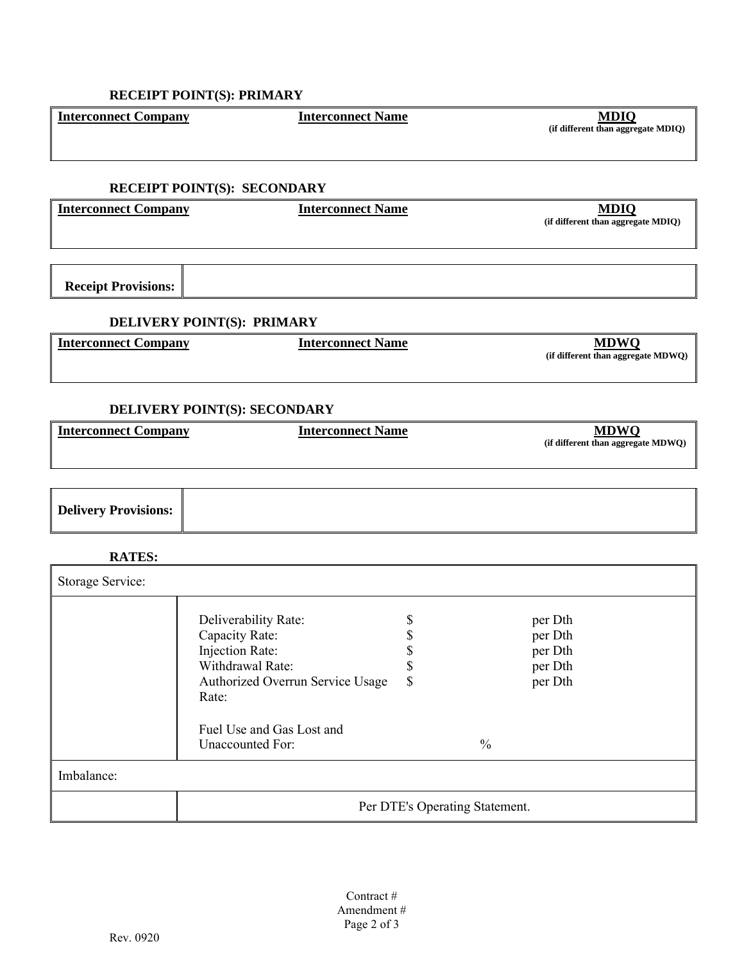| <b>RECEIPT POINT(S): SECONDARY</b> |                                                                                                                            |                            |                                |                                                     |
|------------------------------------|----------------------------------------------------------------------------------------------------------------------------|----------------------------|--------------------------------|-----------------------------------------------------|
| <b>Interconnect Company</b>        | <b>Interconnect Name</b>                                                                                                   |                            |                                | <b>MDIQ</b><br>(if different than aggregate MDIQ)   |
|                                    |                                                                                                                            |                            |                                |                                                     |
| <b>Receipt Provisions:</b>         |                                                                                                                            |                            |                                |                                                     |
|                                    | DELIVERY POINT(S): PRIMARY                                                                                                 |                            |                                |                                                     |
| <b>Interconnect Company</b>        | <b>Interconnect Name</b>                                                                                                   |                            |                                | <b>MDWQ</b><br>(if different than aggregate MDWQ)   |
|                                    | DELIVERY POINT(S): SECONDARY                                                                                               |                            |                                |                                                     |
| <b>Interconnect Company</b>        | <b>Interconnect Name</b>                                                                                                   |                            |                                | <b>MDWO</b><br>(if different than aggregate MDWQ)   |
|                                    |                                                                                                                            |                            |                                |                                                     |
| <b>Delivery Provisions:</b>        |                                                                                                                            |                            |                                |                                                     |
| <b>RATES:</b>                      |                                                                                                                            |                            |                                |                                                     |
| Storage Service:                   |                                                                                                                            |                            |                                |                                                     |
|                                    | Deliverability Rate:<br>Capacity Rate:<br>Injection Rate:<br>Withdrawal Rate:<br>Authorized Overrun Service Usage<br>Rate: | \$<br>\$<br>\$<br>\$<br>\$ |                                | per Dth<br>per Dth<br>per Dth<br>per Dth<br>per Dth |
|                                    | Fuel Use and Gas Lost and<br><b>Unaccounted For:</b>                                                                       |                            | $\frac{0}{0}$                  |                                                     |
| Imbalance:                         |                                                                                                                            |                            |                                |                                                     |
|                                    |                                                                                                                            |                            | Per DTE's Operating Statement. |                                                     |

**(if different than aggregate MDIQ)**

**Interconnect Company Interconnect Name**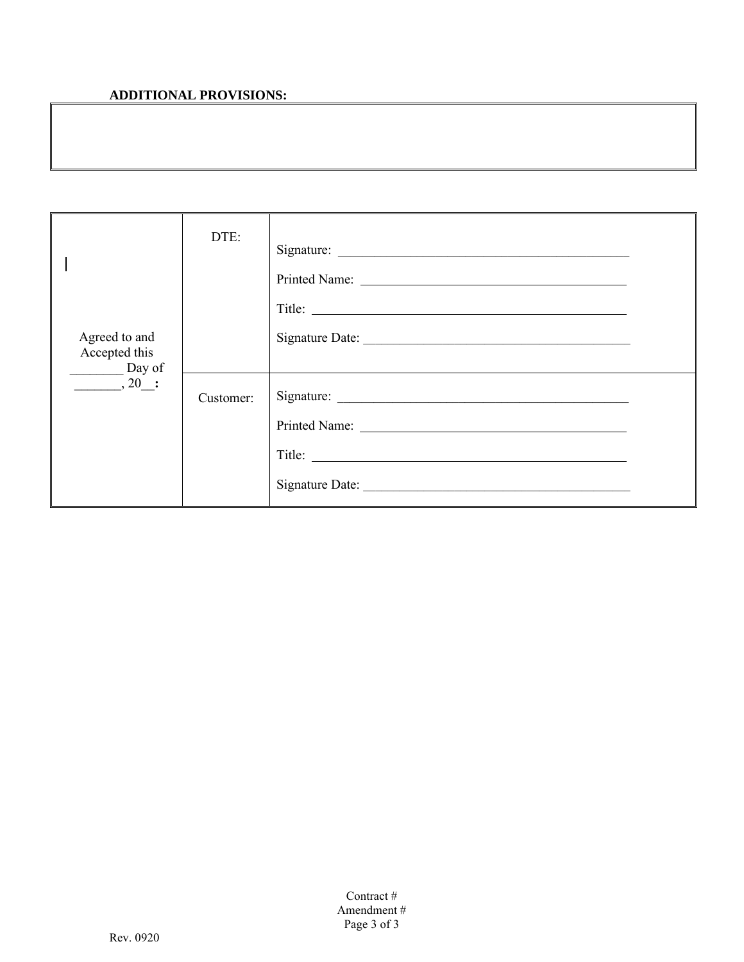# **ADDITIONAL PROVISIONS:**

| Agreed to and<br>Accepted this<br>$\frac{1}{\sqrt{1-\frac{1}{2}}\log \frac{1}{2}}$ | DTE:      | Signature:<br>Title: |  |
|------------------------------------------------------------------------------------|-----------|----------------------|--|
| $\overline{\phantom{0}}$ , 20 :                                                    | Customer: |                      |  |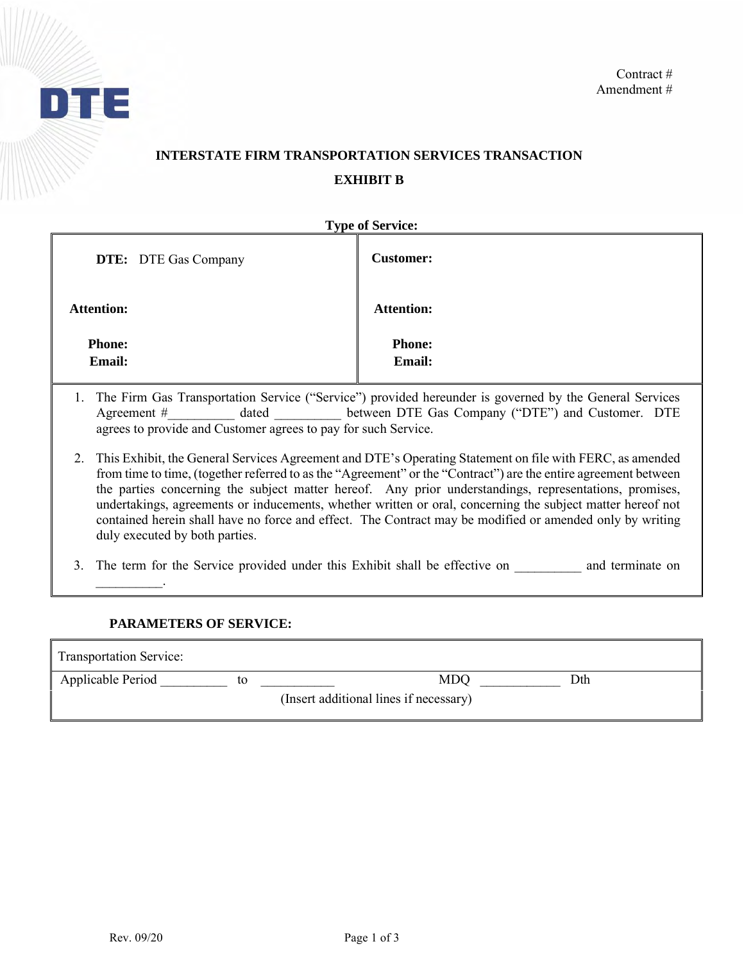

# **INTERSTATE FIRM TRANSPORTATION SERVICES TRANSACTION EXHIBIT B**

| <b>Type of Service:</b>                                                                                                                                                                                                                                 |                                |  |  |
|---------------------------------------------------------------------------------------------------------------------------------------------------------------------------------------------------------------------------------------------------------|--------------------------------|--|--|
| <b>DTE:</b> DTE Gas Company                                                                                                                                                                                                                             | <b>Customer:</b>               |  |  |
| <b>Attention:</b>                                                                                                                                                                                                                                       | <b>Attention:</b>              |  |  |
| <b>Phone:</b><br><b>Email:</b>                                                                                                                                                                                                                          | <b>Phone:</b><br><b>Email:</b> |  |  |
| 1. The Firm Gas Transportation Service ("Service") provided hereunder is governed by the General Services<br>dated between DTE Gas Company ("DTE") and Customer. DTE<br>Agreement $#$<br>agrees to provide and Customer agrees to pay for such Service. |                                |  |  |

- 2. This Exhibit, the General Services Agreement and DTE's Operating Statement on file with FERC, as amended from time to time, (together referred to as the "Agreement" or the "Contract") are the entire agreement between the parties concerning the subject matter hereof. Any prior understandings, representations, promises, undertakings, agreements or inducements, whether written or oral, concerning the subject matter hereof not contained herein shall have no force and effect. The Contract may be modified or amended only by writing duly executed by both parties.
- 3. The term for the Service provided under this Exhibit shall be effective on \_\_\_\_\_\_\_\_\_\_ and terminate on \_\_\_\_\_\_\_\_\_\_.

### **PARAMETERS OF SERVICE:**

| <b>Transportation Service:</b> |                                        |     |
|--------------------------------|----------------------------------------|-----|
| Applicable Period              | MDQ                                    | Dth |
|                                | (Insert additional lines if necessary) |     |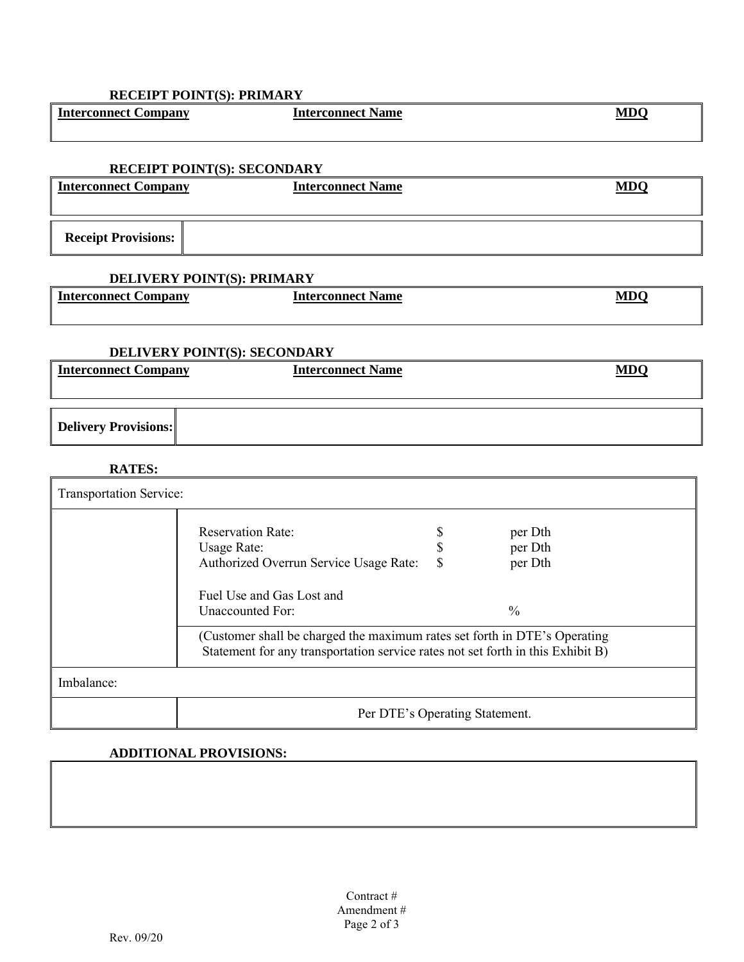| <b>Interconnect Company</b> | <b>Interconnect Name</b>                                                  |               | <b>MDQ</b> |
|-----------------------------|---------------------------------------------------------------------------|---------------|------------|
|                             | <b>RECEIPT POINT(S): SECONDARY</b>                                        |               |            |
|                             |                                                                           |               |            |
| <b>Interconnect Company</b> | <b>Interconnect Name</b>                                                  |               | <b>MDQ</b> |
|                             |                                                                           |               |            |
| <b>Receipt Provisions:</b>  |                                                                           |               |            |
|                             | <b>DELIVERY POINT(S): PRIMARY</b>                                         |               |            |
| <b>Interconnect Company</b> | <b>Interconnect Name</b>                                                  |               | <b>MDQ</b> |
|                             | DELIVERY POINT(S): SECONDARY                                              |               |            |
| <b>Interconnect Company</b> | <b>Interconnect Name</b>                                                  |               | <b>MDQ</b> |
| <b>Delivery Provisions:</b> |                                                                           |               |            |
| <b>RATES:</b>               |                                                                           |               |            |
| Transportation Service:     |                                                                           |               |            |
|                             | <b>Reservation Rate:</b>                                                  | \$<br>per Dth |            |
|                             | <b>Usage Rate:</b>                                                        | \$<br>per Dth |            |
|                             | Authorized Overrun Service Usage Rate:                                    | \$<br>per Dth |            |
|                             | Fuel Use and Gas Lost and                                                 |               |            |
|                             | <b>Unaccounted For:</b>                                                   | $\frac{0}{0}$ |            |
|                             | (Customer shall be charged the maximum rates set forth in DTE's Operating |               |            |

٦

Statement for any transportation service rates not set forth in this Exhibit B)

Imbalance:

Per DTE's Operating Statement.

### **ADDITIONAL PROVISIONS:**

**RECEIPT POINT(S): PRIMARY**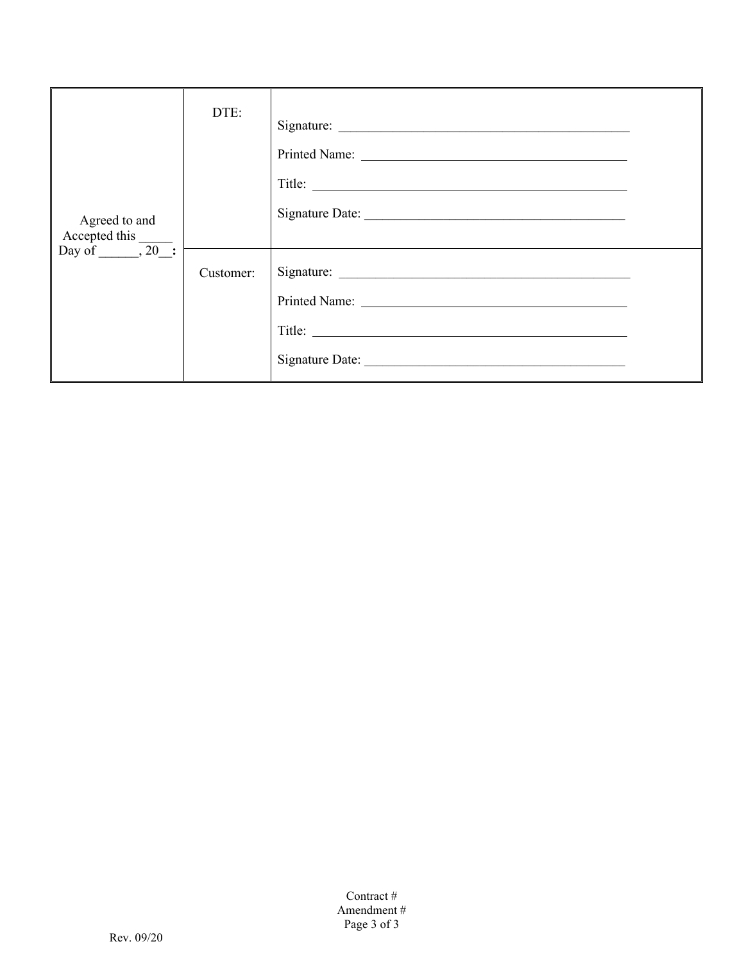| Agreed to and<br>Accepted this $\frac{\text{Day of}}{1.20}$ : | DTE:      | Title:          |  |
|---------------------------------------------------------------|-----------|-----------------|--|
|                                                               | Customer: | Signature Date: |  |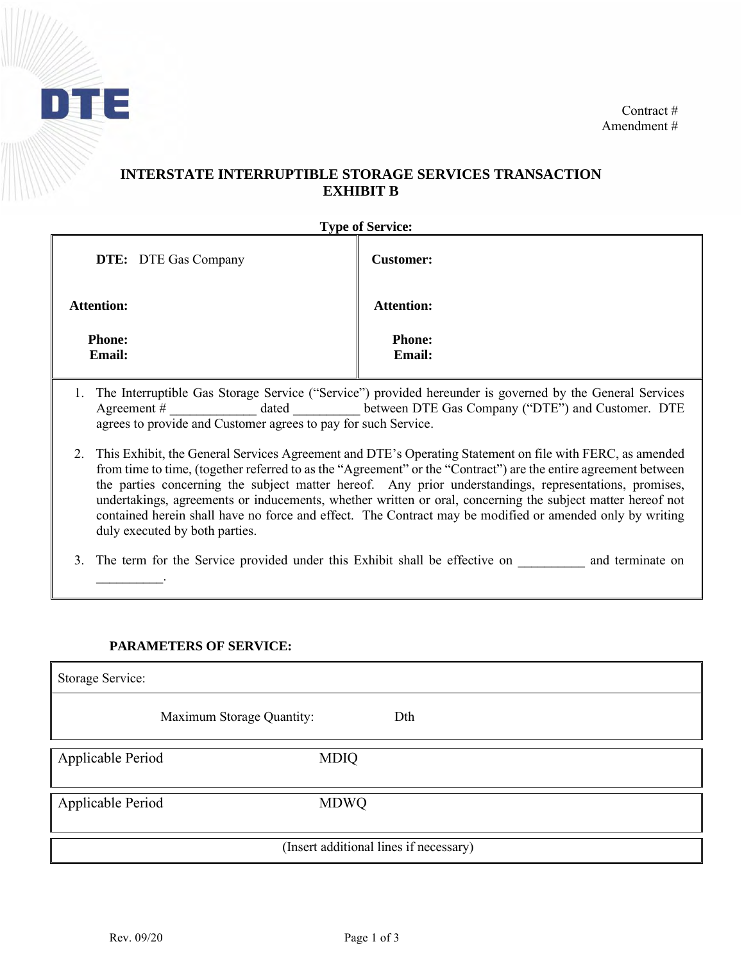

## **INTERSTATE INTERRUPTIBLE STORAGE SERVICES TRANSACTION EXHIBIT B**

| <b>Type of Service:</b> |                             |                                |  |  |
|-------------------------|-----------------------------|--------------------------------|--|--|
|                         | <b>DTE:</b> DTE Gas Company | <b>Customer:</b>               |  |  |
| <b>Attention:</b>       |                             | <b>Attention:</b>              |  |  |
| <b>Phone:</b><br>Email: |                             | <b>Phone:</b><br><b>Email:</b> |  |  |

- 1. The Interruptible Gas Storage Service ("Service") provided hereunder is governed by the General Services Agreement #  $4$  dated between DTE Gas Company ("DTE") and Customer. DTE agrees to provide and Customer agrees to pay for such Service.
- 2. This Exhibit, the General Services Agreement and DTE's Operating Statement on file with FERC, as amended from time to time, (together referred to as the "Agreement" or the "Contract") are the entire agreement between the parties concerning the subject matter hereof. Any prior understandings, representations, promises, undertakings, agreements or inducements, whether written or oral, concerning the subject matter hereof not contained herein shall have no force and effect. The Contract may be modified or amended only by writing duly executed by both parties.
- 3. The term for the Service provided under this Exhibit shall be effective on \_\_\_\_\_\_\_\_\_\_ and terminate on \_\_\_\_\_\_\_\_\_\_.

### **PARAMETERS OF SERVICE:**

| Storage Service:  |                                        |
|-------------------|----------------------------------------|
|                   | Maximum Storage Quantity:<br>Dth       |
| Applicable Period | <b>MDIQ</b>                            |
| Applicable Period | <b>MDWQ</b>                            |
|                   | (Insert additional lines if necessary) |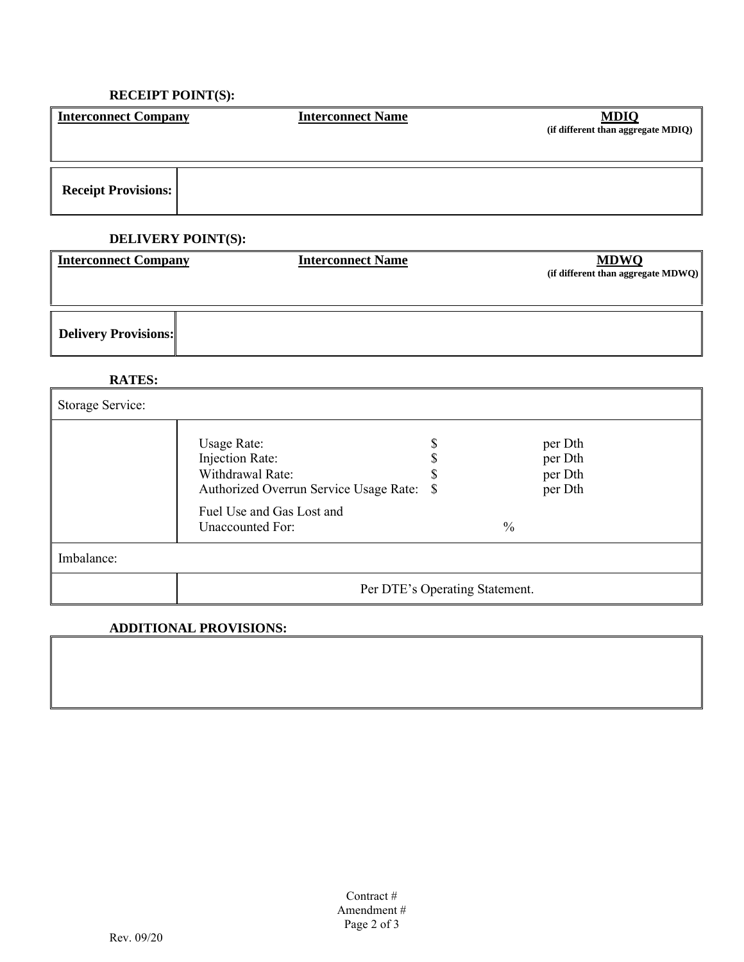# **RECEIPT POINT(S):**

| <b>Interconnect Company</b> | <b>Interconnect Name</b>  | <b>MDIQ</b><br>(if different than aggregate MDIQ) |
|-----------------------------|---------------------------|---------------------------------------------------|
| <b>Receipt Provisions:</b>  |                           |                                                   |
|                             | <b>DELIVERY POINT(S):</b> |                                                   |
| <b>Interconnect Company</b> | <b>Interconnect Name</b>  | <b>MDWQ</b><br>(if different than aggregate MDWQ) |
|                             |                           |                                                   |

**Delivery Provisions:**

### **RATES:**

| Storage Service: |                                                                                                 |                                          |  |
|------------------|-------------------------------------------------------------------------------------------------|------------------------------------------|--|
|                  | Usage Rate:<br>Injection Rate:<br>Withdrawal Rate:<br>Authorized Overrun Service Usage Rate: \$ | per Dth<br>per Dth<br>per Dth<br>per Dth |  |
|                  | Fuel Use and Gas Lost and<br>Unaccounted For:                                                   | $\frac{0}{0}$                            |  |
| Imbalance:       |                                                                                                 |                                          |  |
|                  |                                                                                                 | Per DTE's Operating Statement.           |  |

## **ADDITIONAL PROVISIONS:**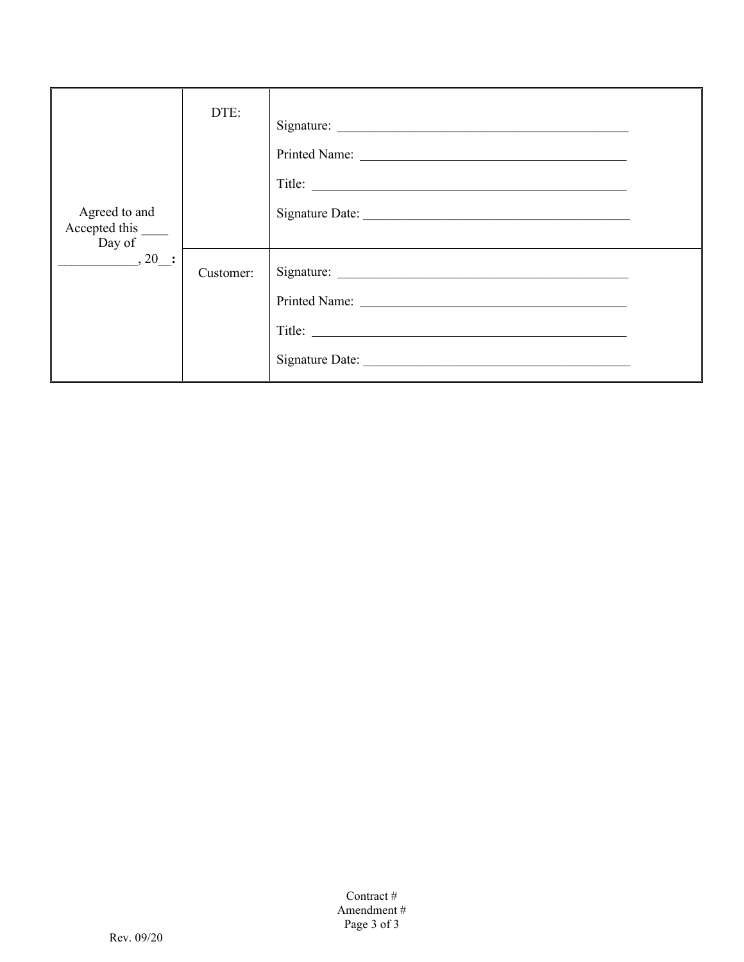| Agreed to and<br>Accepted this $\frac{1}{\text{Day of}}$ | DTE:      | Signature:<br>Printed Name: Name:<br>Signature Date: |  |
|----------------------------------------------------------|-----------|------------------------------------------------------|--|
| $\frac{1}{\sqrt{2}}$ , 20 $\frac{1}{\sqrt{2}}$           | Customer: |                                                      |  |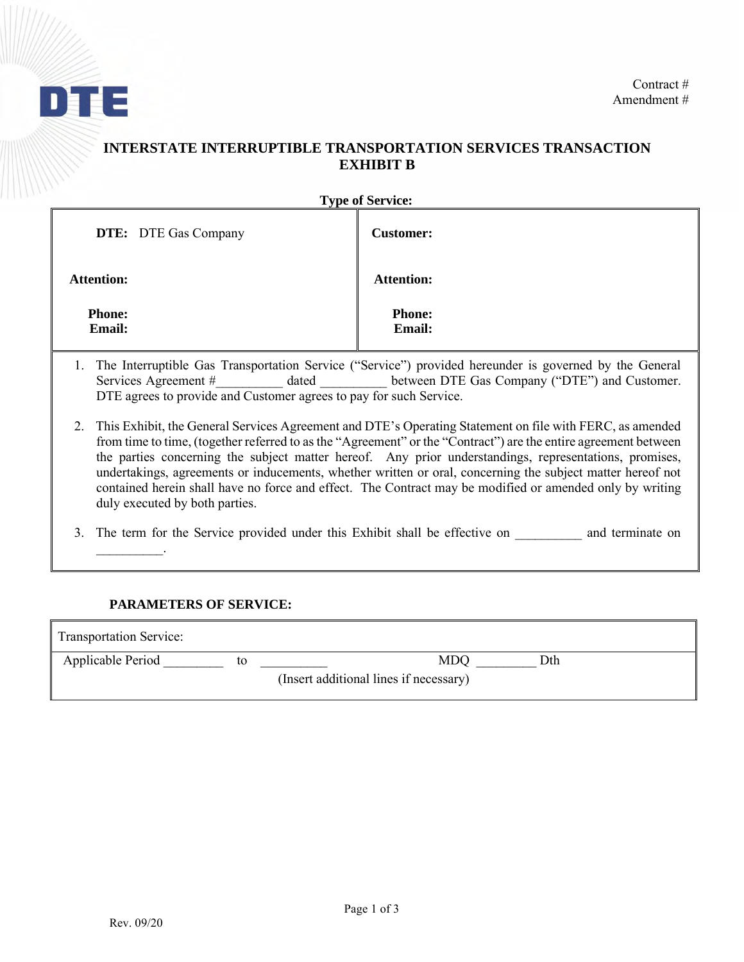

## **INTERSTATE INTERRUPTIBLE TRANSPORTATION SERVICES TRANSACTION EXHIBIT B**

| <b>Type of Service:</b> |  |
|-------------------------|--|
|-------------------------|--|

| <b>DTE:</b> DTE Gas Company    | <b>Customer:</b>               |
|--------------------------------|--------------------------------|
| <b>Attention:</b>              | <b>Attention:</b>              |
| <b>Phone:</b><br><b>Email:</b> | <b>Phone:</b><br><b>Email:</b> |

- 1. The Interruptible Gas Transportation Service ("Service") provided hereunder is governed by the General Services Agreement # dated between DTE Gas Company ("DTE") and Customer. DTE agrees to provide and Customer agrees to pay for such Service.
- 2. This Exhibit, the General Services Agreement and DTE's Operating Statement on file with FERC, as amended from time to time, (together referred to as the "Agreement" or the "Contract") are the entire agreement between the parties concerning the subject matter hereof. Any prior understandings, representations, promises, undertakings, agreements or inducements, whether written or oral, concerning the subject matter hereof not contained herein shall have no force and effect. The Contract may be modified or amended only by writing duly executed by both parties.
- 3. The term for the Service provided under this Exhibit shall be effective on and terminate on

### **PARAMETERS OF SERVICE:**

| <b>Transportation Service:</b> |    |                                        |
|--------------------------------|----|----------------------------------------|
| Applicable Period              | tο | MDO<br>Dth                             |
|                                |    | (Insert additional lines if necessary) |

 $\mathcal{L}=\mathcal{L}^{\mathcal{L}}$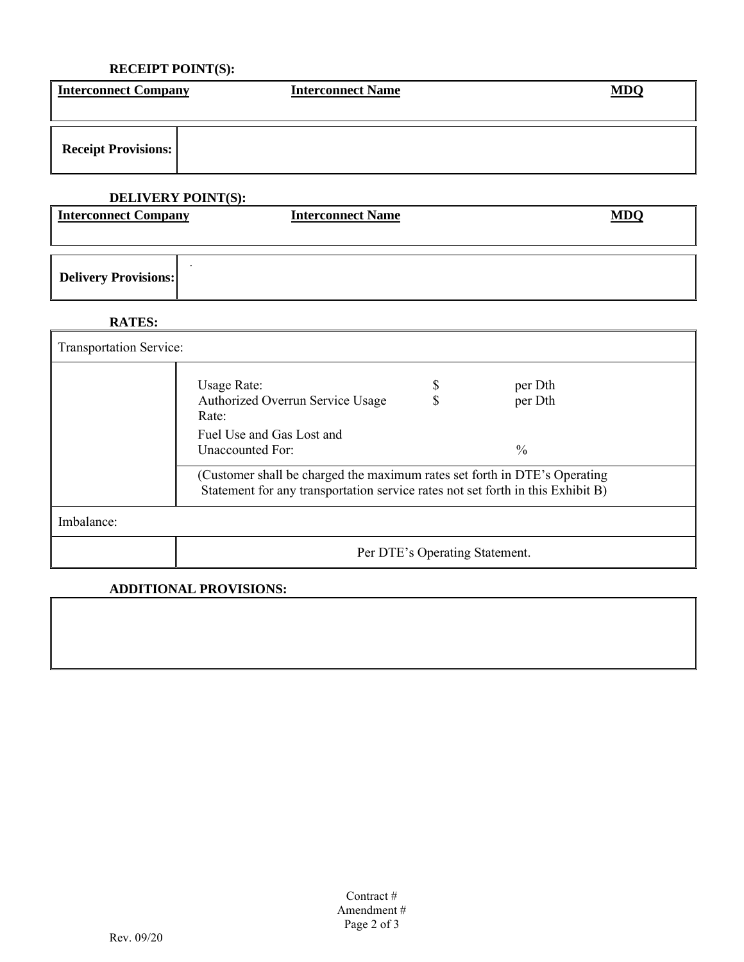## **RECEIPT POINT(S):**

| <b>Interconnect Company</b> | <b>Interconnect Name</b> | <b>MDQ</b> |
|-----------------------------|--------------------------|------------|
|                             |                          |            |
| <b>Receipt Provisions:</b>  |                          |            |

# **DELIVERY POINT(S):**

| Interconnect Company | <b>Interconnect Name</b> | MDC |
|----------------------|--------------------------|-----|
|                      |                          |     |
| Delivery Provisions: |                          |     |

**RATES:**

| <b>Transportation Service:</b> |                                                                                                                                                              |                                |                    |  |
|--------------------------------|--------------------------------------------------------------------------------------------------------------------------------------------------------------|--------------------------------|--------------------|--|
|                                | Usage Rate:<br>Authorized Overrun Service Usage<br>Rate:                                                                                                     |                                | per Dth<br>per Dth |  |
|                                | Fuel Use and Gas Lost and<br>Unaccounted For:                                                                                                                |                                | $\frac{0}{0}$      |  |
|                                | (Customer shall be charged the maximum rates set forth in DTE's Operating<br>Statement for any transportation service rates not set forth in this Exhibit B) |                                |                    |  |
| Imbalance:                     |                                                                                                                                                              |                                |                    |  |
|                                |                                                                                                                                                              | Per DTE's Operating Statement. |                    |  |

# **ADDITIONAL PROVISIONS:**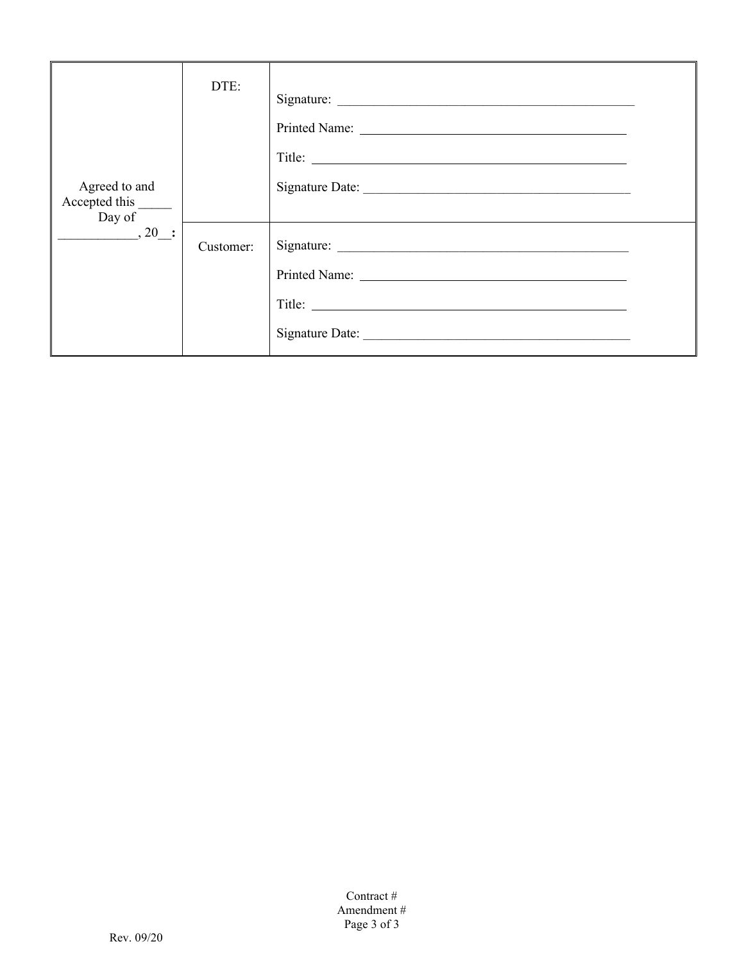| Agreed to and<br>Accepted this _______<br>Day of | DTE:      |                 |  |
|--------------------------------------------------|-----------|-----------------|--|
| $, 20$ :                                         | Customer: | Signature Date: |  |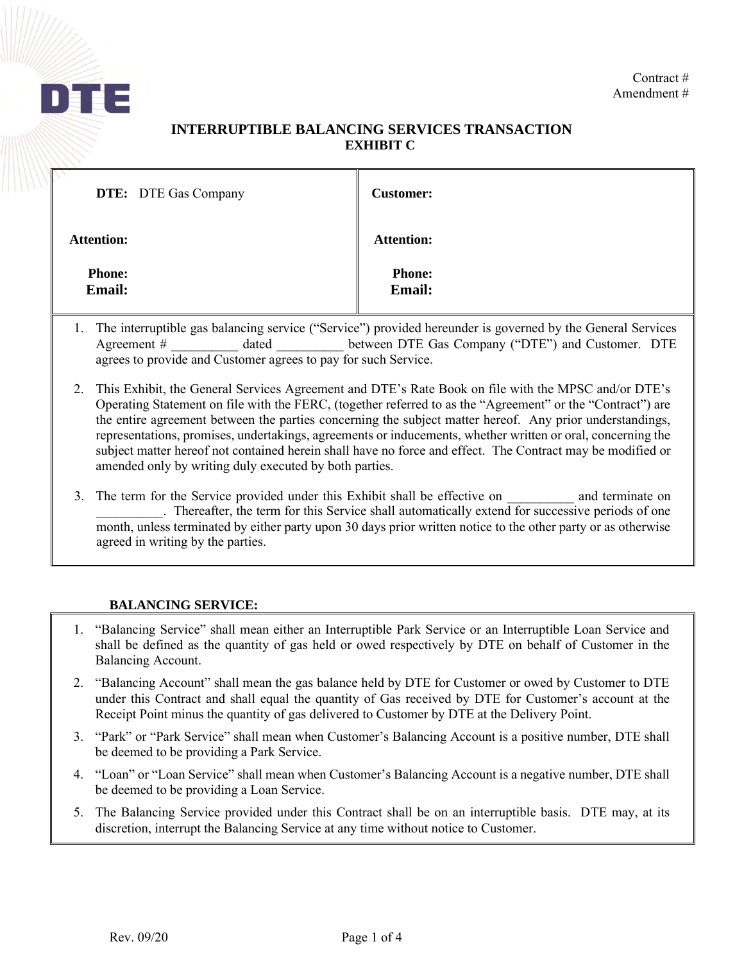

### **INTERRUPTIBLE BALANCING SERVICES TRANSACTION EXHIBIT C**

| <b>DTE:</b> DTE Gas Company    | <b>Customer:</b>               |
|--------------------------------|--------------------------------|
| <b>Attention:</b>              | <b>Attention:</b>              |
| <b>Phone:</b><br><b>Email:</b> | <b>Phone:</b><br><b>Email:</b> |

- 1. The interruptible gas balancing service ("Service") provided hereunder is governed by the General Services Agreement #  $\qquad$  dated between DTE Gas Company ("DTE") and Customer. DTE agrees to provide and Customer agrees to pay for such Service.
- 2. This Exhibit, the General Services Agreement and DTE's Rate Book on file with the MPSC and/or DTE's Operating Statement on file with the FERC, (together referred to as the "Agreement" or the "Contract") are the entire agreement between the parties concerning the subject matter hereof. Any prior understandings, representations, promises, undertakings, agreements or inducements, whether written or oral, concerning the subject matter hereof not contained herein shall have no force and effect. The Contract may be modified or amended only by writing duly executed by both parties.
- 3. The term for the Service provided under this Exhibit shall be effective on and terminate on . Thereafter, the term for this Service shall automatically extend for successive periods of one month, unless terminated by either party upon 30 days prior written notice to the other party or as otherwise agreed in writing by the parties.

### **BALANCING SERVICE:**

- 1. "Balancing Service" shall mean either an Interruptible Park Service or an Interruptible Loan Service and shall be defined as the quantity of gas held or owed respectively by DTE on behalf of Customer in the Balancing Account.
- 2. "Balancing Account" shall mean the gas balance held by DTE for Customer or owed by Customer to DTE under this Contract and shall equal the quantity of Gas received by DTE for Customer's account at the Receipt Point minus the quantity of gas delivered to Customer by DTE at the Delivery Point.
- 3. "Park" or "Park Service" shall mean when Customer's Balancing Account is a positive number, DTE shall be deemed to be providing a Park Service.
- 4. "Loan" or "Loan Service" shall mean when Customer's Balancing Account is a negative number, DTE shall be deemed to be providing a Loan Service.
- 5. The Balancing Service provided under this Contract shall be on an interruptible basis. DTE may, at its discretion, interrupt the Balancing Service at any time without notice to Customer.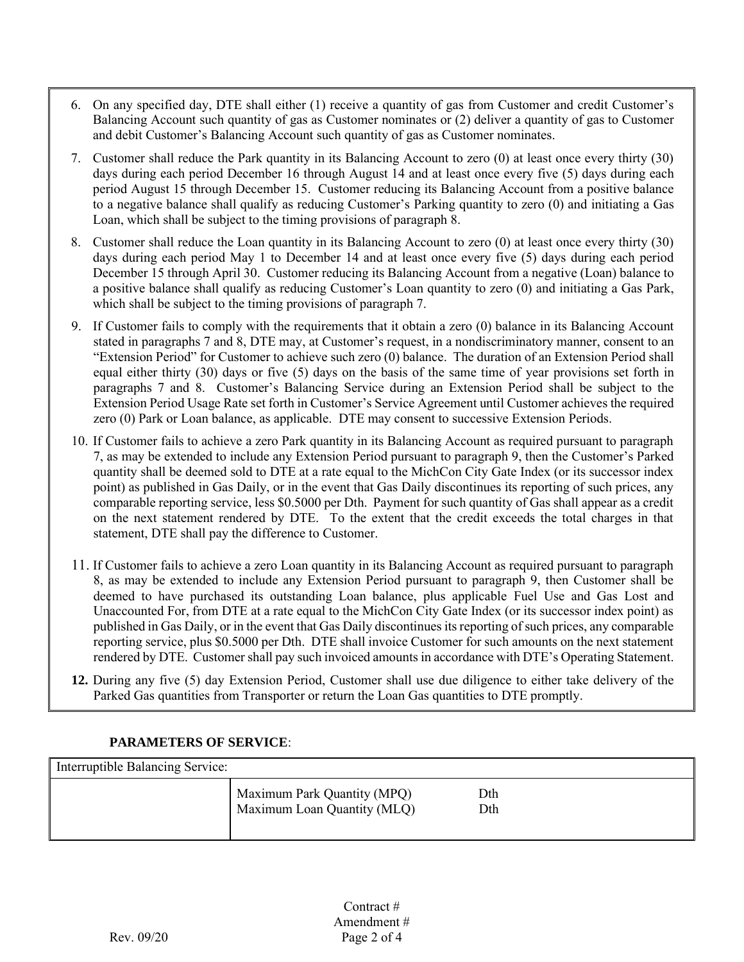- 6. On any specified day, DTE shall either (1) receive a quantity of gas from Customer and credit Customer's Balancing Account such quantity of gas as Customer nominates or (2) deliver a quantity of gas to Customer and debit Customer's Balancing Account such quantity of gas as Customer nominates.
- 7. Customer shall reduce the Park quantity in its Balancing Account to zero (0) at least once every thirty (30) days during each period December 16 through August 14 and at least once every five (5) days during each period August 15 through December 15. Customer reducing its Balancing Account from a positive balance to a negative balance shall qualify as reducing Customer's Parking quantity to zero (0) and initiating a Gas Loan, which shall be subject to the timing provisions of paragraph 8.
- 8. Customer shall reduce the Loan quantity in its Balancing Account to zero (0) at least once every thirty (30) days during each period May 1 to December 14 and at least once every five (5) days during each period December 15 through April 30. Customer reducing its Balancing Account from a negative (Loan) balance to a positive balance shall qualify as reducing Customer's Loan quantity to zero (0) and initiating a Gas Park, which shall be subject to the timing provisions of paragraph 7.
- 9. If Customer fails to comply with the requirements that it obtain a zero (0) balance in its Balancing Account stated in paragraphs 7 and 8, DTE may, at Customer's request, in a nondiscriminatory manner, consent to an "Extension Period" for Customer to achieve such zero (0) balance. The duration of an Extension Period shall equal either thirty (30) days or five (5) days on the basis of the same time of year provisions set forth in paragraphs 7 and 8. Customer's Balancing Service during an Extension Period shall be subject to the Extension Period Usage Rate set forth in Customer's Service Agreement until Customer achieves the required zero (0) Park or Loan balance, as applicable. DTE may consent to successive Extension Periods.
- 10. If Customer fails to achieve a zero Park quantity in its Balancing Account as required pursuant to paragraph 7, as may be extended to include any Extension Period pursuant to paragraph 9, then the Customer's Parked quantity shall be deemed sold to DTE at a rate equal to the MichCon City Gate Index (or its successor index point) as published in Gas Daily, or in the event that Gas Daily discontinues its reporting of such prices, any comparable reporting service, less \$0.5000 per Dth. Payment for such quantity of Gas shall appear as a credit on the next statement rendered by DTE. To the extent that the credit exceeds the total charges in that statement, DTE shall pay the difference to Customer.
- 11. If Customer fails to achieve a zero Loan quantity in its Balancing Account as required pursuant to paragraph 8, as may be extended to include any Extension Period pursuant to paragraph 9, then Customer shall be deemed to have purchased its outstanding Loan balance, plus applicable Fuel Use and Gas Lost and Unaccounted For, from DTE at a rate equal to the MichCon City Gate Index (or its successor index point) as published in Gas Daily, or in the event that Gas Daily discontinues its reporting of such prices, any comparable reporting service, plus \$0.5000 per Dth. DTE shall invoice Customer for such amounts on the next statement rendered by DTE. Customer shall pay such invoiced amounts in accordance with DTE's Operating Statement.
- **12.** During any five (5) day Extension Period, Customer shall use due diligence to either take delivery of the Parked Gas quantities from Transporter or return the Loan Gas quantities to DTE promptly.

### **PARAMETERS OF SERVICE**:

| Interruptible Balancing Service: |                                                            |            |
|----------------------------------|------------------------------------------------------------|------------|
|                                  | Maximum Park Quantity (MPQ)<br>Maximum Loan Quantity (MLQ) | Dth<br>Dth |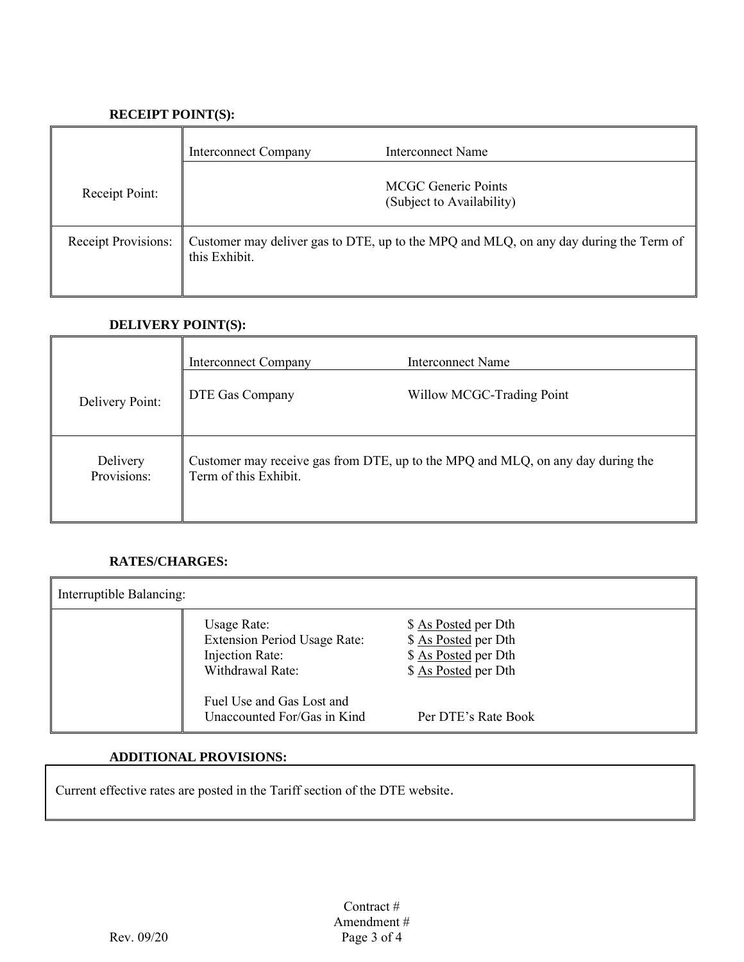## **RECEIPT POINT(S):**

|                     | <b>Interconnect Company</b> | Interconnect Name                                                                     |
|---------------------|-----------------------------|---------------------------------------------------------------------------------------|
| Receipt Point:      |                             | <b>MCGC</b> Generic Points<br>(Subject to Availability)                               |
| Receipt Provisions: | this Exhibit.               | Customer may deliver gas to DTE, up to the MPQ and MLQ, on any day during the Term of |

### **DELIVERY POINT(S):**

|                         | <b>Interconnect Company</b> | Interconnect Name                                                               |
|-------------------------|-----------------------------|---------------------------------------------------------------------------------|
| Delivery Point:         | DTE Gas Company             | Willow MCGC-Trading Point                                                       |
| Delivery<br>Provisions: | Term of this Exhibit.       | Customer may receive gas from DTE, up to the MPQ and MLQ, on any day during the |

### **RATES/CHARGES:**

| Interruptible Balancing: |                                                                                           |                                                                                              |  |
|--------------------------|-------------------------------------------------------------------------------------------|----------------------------------------------------------------------------------------------|--|
|                          | Usage Rate:<br><b>Extension Period Usage Rate:</b><br>Injection Rate:<br>Withdrawal Rate: | \$ As Posted per Dth<br>\$ As Posted per Dth<br>\$ As Posted per Dth<br>\$ As Posted per Dth |  |
|                          | Fuel Use and Gas Lost and<br>Unaccounted For/Gas in Kind                                  | Per DTE's Rate Book                                                                          |  |

## **ADDITIONAL PROVISIONS:**

Current effective rates are posted in the Tariff section of the DTE website.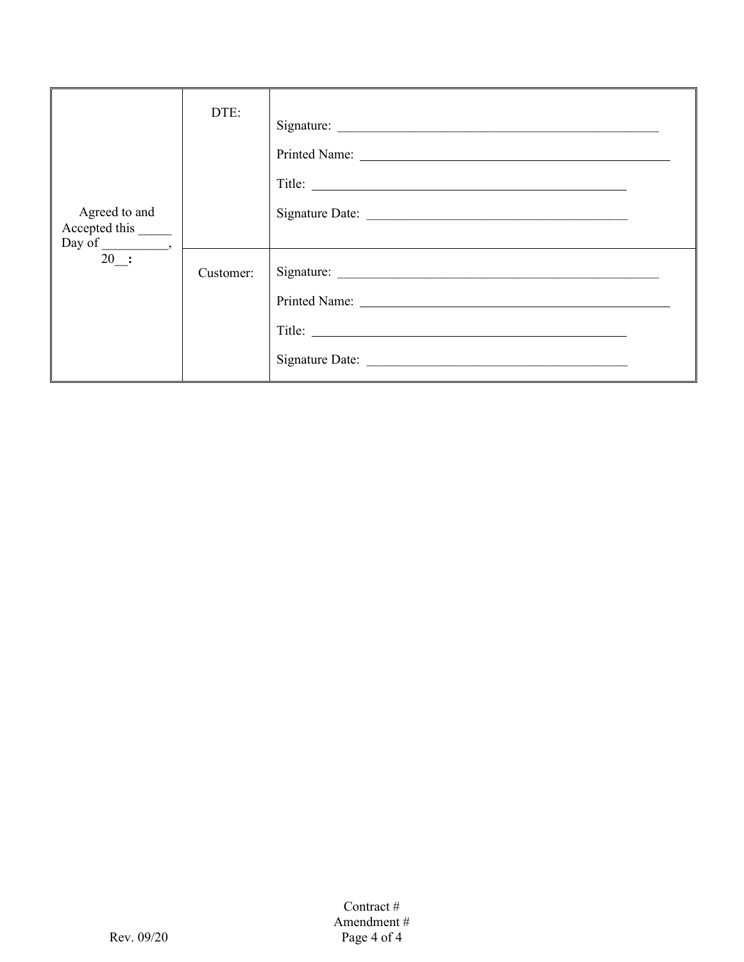| Agreed to and<br>Accepted this ________ | DTE:      | Signature: |
|-----------------------------------------|-----------|------------|
| Day of $\frac{1}{20}$ .                 | Customer: |            |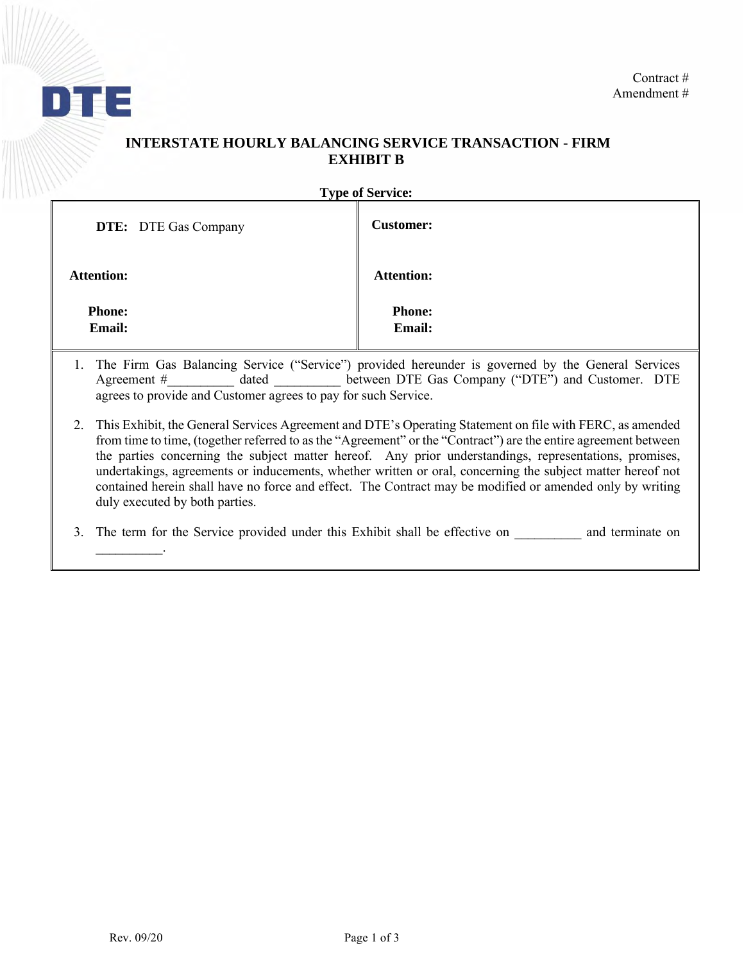

# **INTERSTATE HOURLY BALANCING SERVICE TRANSACTION - FIRM EXHIBIT B**

**Type of Service:** 

| <b>DTE:</b> DTE Gas Company    | <b>Customer:</b>        |
|--------------------------------|-------------------------|
| <b>Attention:</b>              | <b>Attention:</b>       |
| <b>Phone:</b><br><b>Email:</b> | <b>Phone:</b><br>Email: |

- 1. The Firm Gas Balancing Service ("Service") provided hereunder is governed by the General Services Agreement # dated between DTE Gas Company ("DTE") and Customer. DTE agrees to provide and Customer agrees to pay for such Service.
- 2. This Exhibit, the General Services Agreement and DTE's Operating Statement on file with FERC, as amended from time to time, (together referred to as the "Agreement" or the "Contract") are the entire agreement between the parties concerning the subject matter hereof. Any prior understandings, representations, promises, undertakings, agreements or inducements, whether written or oral, concerning the subject matter hereof not contained herein shall have no force and effect. The Contract may be modified or amended only by writing duly executed by both parties.

3. The term for the Service provided under this Exhibit shall be effective on \_\_\_\_\_\_\_\_\_\_\_ and terminate on

\_\_\_\_\_\_\_\_\_\_.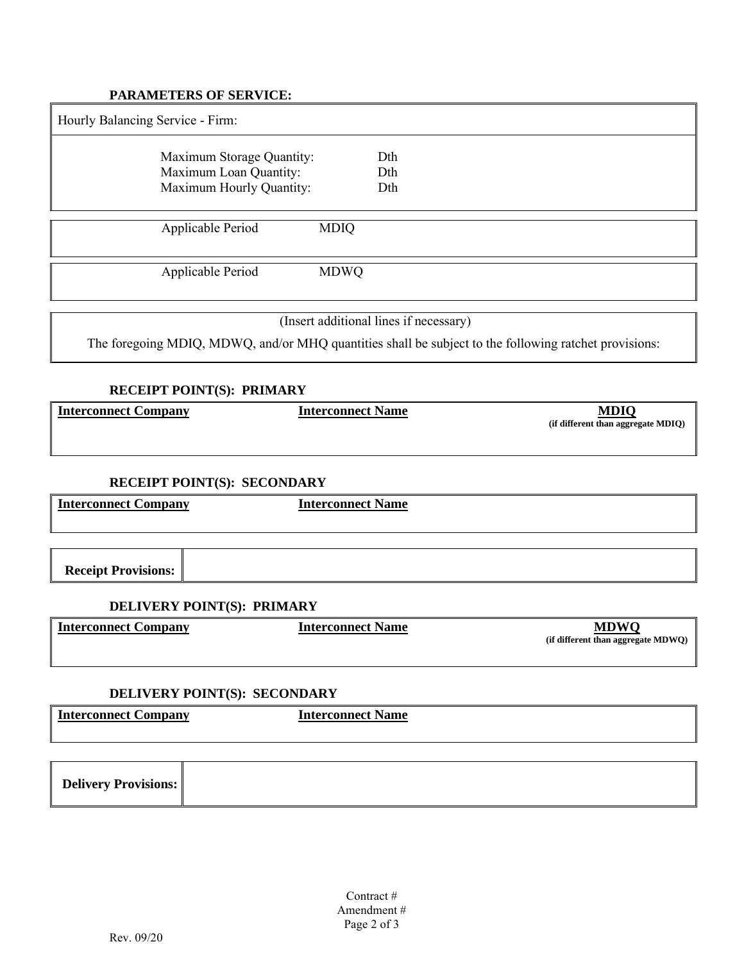#### **PARAMETERS OF SERVICE:**

| Hourly Balancing Service - Firm:                                                |             |                   |
|---------------------------------------------------------------------------------|-------------|-------------------|
| Maximum Storage Quantity:<br>Maximum Loan Quantity:<br>Maximum Hourly Quantity: |             | Dth<br>Dth<br>Dth |
| Applicable Period                                                               | <b>MDIQ</b> |                   |
| Applicable Period                                                               | <b>MDWQ</b> |                   |
|                                                                                 |             |                   |

(Insert additional lines if necessary)

The foregoing MDIQ, MDWQ, and/or MHQ quantities shall be subject to the following ratchet provisions:

### **RECEIPT POINT(S): PRIMARY**

| <b>Interconnect Company</b> | <b>Interconnect Name</b> | <b>MDIQ</b><br>(if different than aggregate MDIQ) |
|-----------------------------|--------------------------|---------------------------------------------------|
|                             |                          |                                                   |

## **RECEIPT POINT(S): SECONDARY**

**Interconnect Company Interconnect Name**

**Receipt Provisions:**

### **DELIVERY POINT(S): PRIMARY**

| Interconnect Company | Interconnect Name | (if different than aggregate MDWQ) |
|----------------------|-------------------|------------------------------------|
|                      |                   |                                    |

#### **DELIVERY POINT(S): SECONDARY**

| $\mathbf r$<br>Inte<br>*arconnect +<br><b>Company</b><br>–• comicc. .<br><b>COMP</b> | anaannaat<br><b>Name</b> |
|--------------------------------------------------------------------------------------|--------------------------|
|                                                                                      |                          |
|                                                                                      |                          |

| <b>Delivery Provisions:</b> |  |
|-----------------------------|--|
|-----------------------------|--|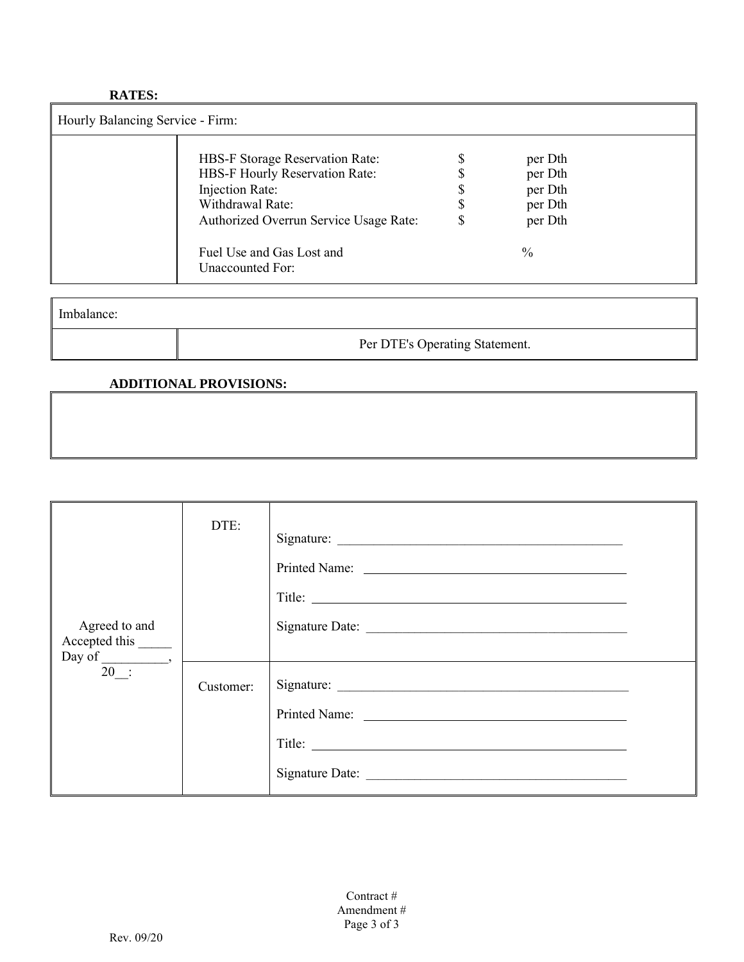### **RATES:**

 $\mathcal{L}$ 

| Hourly Balancing Service - Firm: |                                                                                                                                                    |  |                                                     |  |  |
|----------------------------------|----------------------------------------------------------------------------------------------------------------------------------------------------|--|-----------------------------------------------------|--|--|
|                                  | HBS-F Storage Reservation Rate:<br>HBS-F Hourly Reservation Rate:<br>Injection Rate:<br>Withdrawal Rate:<br>Authorized Overrun Service Usage Rate: |  | per Dth<br>per Dth<br>per Dth<br>per Dth<br>per Dth |  |  |
|                                  | Fuel Use and Gas Lost and<br>Unaccounted For:                                                                                                      |  | $\%$                                                |  |  |

| Imbalance: |                                |
|------------|--------------------------------|
|            | Per DTE's Operating Statement. |

## **ADDITIONAL PROVISIONS:**

| Agreed to and<br>Accepted this ________<br>$\overline{20}$ : | DTE:      | Signature: |
|--------------------------------------------------------------|-----------|------------|
|                                                              | Customer: | Title:     |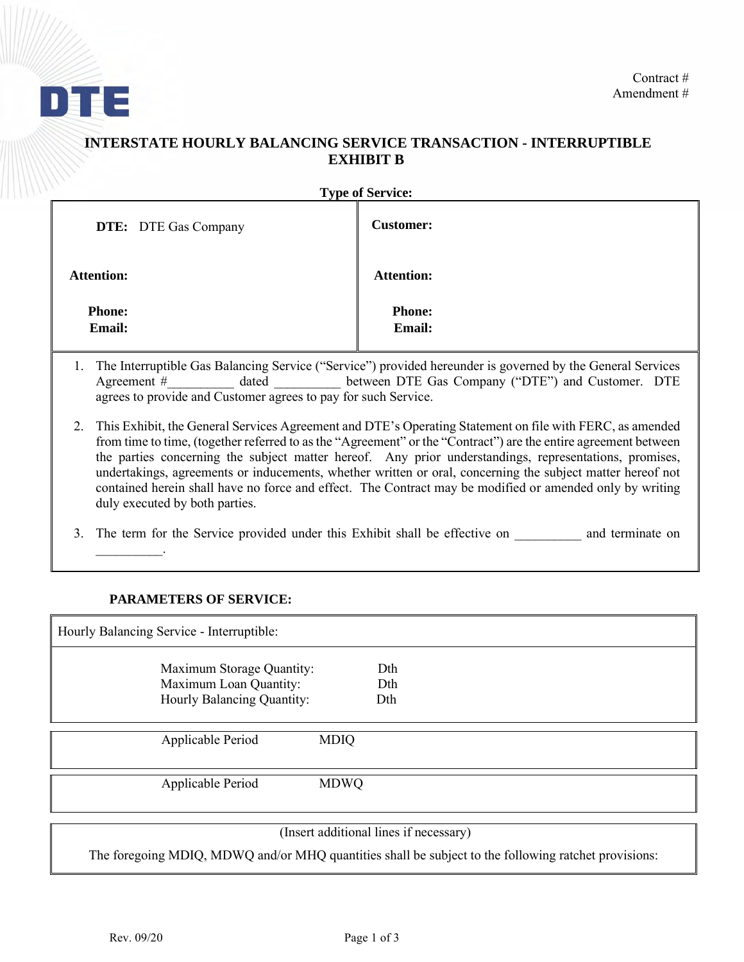

# **INTERSTATE HOURLY BALANCING SERVICE TRANSACTION - INTERRUPTIBLE EXHIBIT B**

| <b>Type of Service:</b>     |  |                                |  |
|-----------------------------|--|--------------------------------|--|
| <b>DTE:</b> DTE Gas Company |  | <b>Customer:</b>               |  |
| <b>Attention:</b>           |  | <b>Attention:</b>              |  |
| <b>Phone:</b><br>Email:     |  | <b>Phone:</b><br><b>Email:</b> |  |

- 1. The Interruptible Gas Balancing Service ("Service") provided hereunder is governed by the General Services Agreement # dated between DTE Gas Company ("DTE") and Customer. DTE agrees to provide and Customer agrees to pay for such Service.
- 2. This Exhibit, the General Services Agreement and DTE's Operating Statement on file with FERC, as amended from time to time, (together referred to as the "Agreement" or the "Contract") are the entire agreement between the parties concerning the subject matter hereof. Any prior understandings, representations, promises, undertakings, agreements or inducements, whether written or oral, concerning the subject matter hereof not contained herein shall have no force and effect. The Contract may be modified or amended only by writing duly executed by both parties.
- 3. The term for the Service provided under this Exhibit shall be effective on and terminate on

#### **PARAMETERS OF SERVICE:**

 $\mathcal{L}=\mathcal{L}^{\mathcal{L}}$ 

| Hourly Balancing Service - Interruptible:                                                                                                                                                                                                                                                                          |             |                                    |  |  |
|--------------------------------------------------------------------------------------------------------------------------------------------------------------------------------------------------------------------------------------------------------------------------------------------------------------------|-------------|------------------------------------|--|--|
| Maximum Storage Quantity:<br>Maximum Loan Quantity:                                                                                                                                                                                                                                                                |             | Dth<br>Dth                         |  |  |
| Hourly Balancing Quantity:                                                                                                                                                                                                                                                                                         |             | Dth                                |  |  |
| Applicable Period                                                                                                                                                                                                                                                                                                  | <b>MDIQ</b> |                                    |  |  |
| Applicable Period                                                                                                                                                                                                                                                                                                  | <b>MDWQ</b> |                                    |  |  |
| $\sqrt{1}$ $\sqrt{1}$ $\sqrt{1}$ $\sqrt{1}$ $\sqrt{1}$ $\sqrt{1}$ $\sqrt{1}$ $\sqrt{1}$ $\sqrt{1}$ $\sqrt{1}$ $\sqrt{1}$ $\sqrt{1}$ $\sqrt{1}$ $\sqrt{1}$ $\sqrt{1}$ $\sqrt{1}$ $\sqrt{1}$ $\sqrt{1}$ $\sqrt{1}$ $\sqrt{1}$ $\sqrt{1}$ $\sqrt{1}$ $\sqrt{1}$ $\sqrt{1}$ $\sqrt{1}$ $\sqrt{1}$ $\sqrt{1}$ $\sqrt{1$ |             | 1.1<br>$\cdot$ $\sim$<br>$\lambda$ |  |  |

(Insert additional lines if necessary)

The foregoing MDIQ, MDWQ and/or MHQ quantities shall be subject to the following ratchet provisions: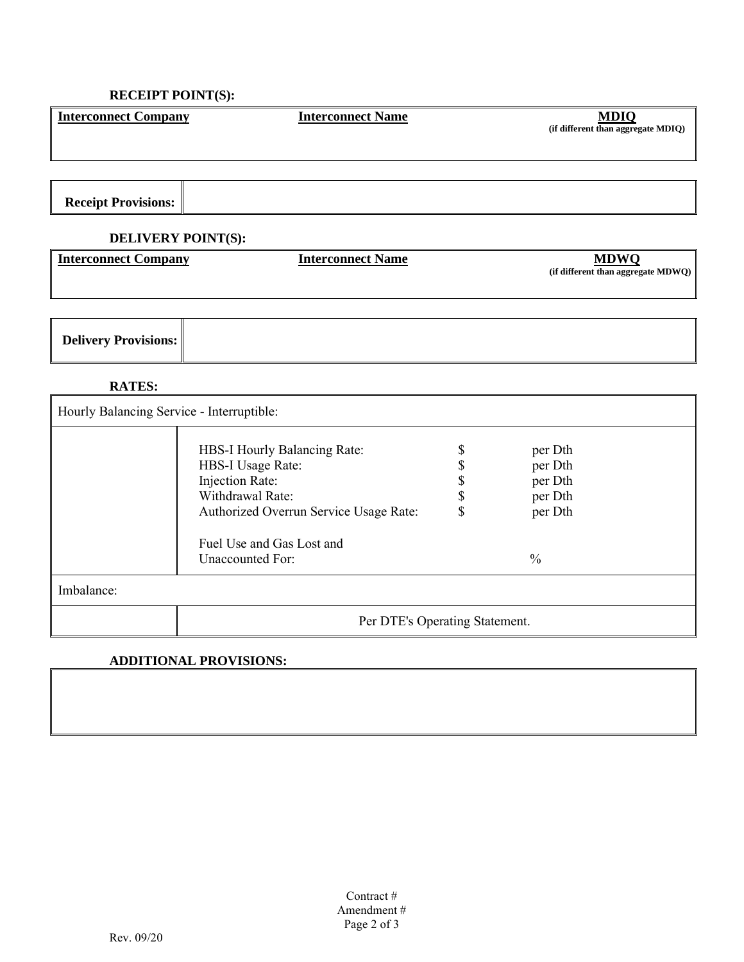## **RECEIPT POINT(S):**

| <b>Interconnect Company</b>               | <b>Interconnect Name</b>  | <b>MDIQ</b><br>(if different than aggregate MDIQ) |  |  |  |
|-------------------------------------------|---------------------------|---------------------------------------------------|--|--|--|
|                                           |                           |                                                   |  |  |  |
|                                           |                           |                                                   |  |  |  |
| <b>Receipt Provisions:</b>                |                           |                                                   |  |  |  |
|                                           | <b>DELIVERY POINT(S):</b> |                                                   |  |  |  |
| <b>Interconnect Company</b>               | <b>Interconnect Name</b>  | <b>MDWQ</b><br>(if different than aggregate MDWQ) |  |  |  |
|                                           |                           |                                                   |  |  |  |
| <b>Delivery Provisions:</b>               |                           |                                                   |  |  |  |
| <b>RATES:</b>                             |                           |                                                   |  |  |  |
| Hourly Balancing Service - Interruptible: |                           |                                                   |  |  |  |

| Hourly Balancing Service - interruptible: |                                                                                                                                                                                            |  |                                                                      |  |
|-------------------------------------------|--------------------------------------------------------------------------------------------------------------------------------------------------------------------------------------------|--|----------------------------------------------------------------------|--|
|                                           | HBS-I Hourly Balancing Rate:<br><b>HBS-I Usage Rate:</b><br>Injection Rate:<br>Withdrawal Rate:<br>Authorized Overrun Service Usage Rate:<br>Fuel Use and Gas Lost and<br>Unaccounted For: |  | per Dth<br>per Dth<br>per Dth<br>per Dth<br>per Dth<br>$\frac{0}{0}$ |  |
| Imbalance:                                |                                                                                                                                                                                            |  |                                                                      |  |
|                                           | Per DTE's Operating Statement.                                                                                                                                                             |  |                                                                      |  |

### **ADDITIONAL PROVISIONS:**